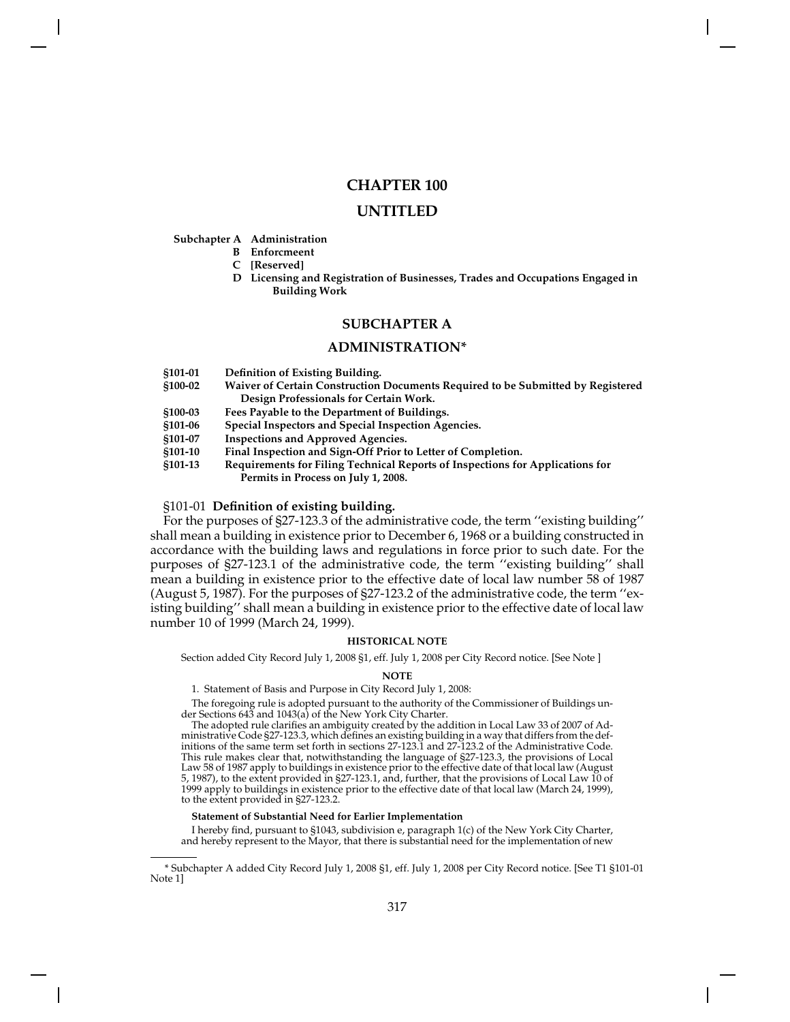# **CHAPTER 100**

# **UNTITLED**

## **Subchapter A Administration**

- **B Enforcmeent**
- **C [Reserved]**
- **D Licensing and Registration of Businesses, Trades and Occupations Engaged in Building Work**

# **SUBCHAPTER A**

# **ADMINISTRATION\***

- **§101-01 Definition of Existing Building.**
- **§100-02 Waiver of Certain Construction Documents Required to be Submitted by Registered Design Professionals for Certain Work.**
- **§100-03 Fees Payable to the Department of Buildings.**
- **§101-06 Special Inspectors and Special Inspection Agencies.**
- **§101-07 Inspections and Approved Agencies.**
- **§101-10 Final Inspection and Sign-Off Prior to Letter of Completion.**
- **§101-13 Requirements for Filing Technical Reports of Inspections for Applications for Permits in Process on July 1, 2008.**

## §101-01 **Definition of existing building.**

For the purposes of §27-123.3 of the administrative code, the term ''existing building'' shall mean a building in existence prior to December 6, 1968 or a building constructed in accordance with the building laws and regulations in force prior to such date. For the purposes of §27-123.1 of the administrative code, the term ''existing building'' shall mean a building in existence prior to the effective date of local law number 58 of 1987 (August 5, 1987). For the purposes of §27-123.2 of the administrative code, the term ''existing building'' shall mean a building in existence prior to the effective date of local law number 10 of 1999 (March 24, 1999).

## **HISTORICAL NOTE**

Section added City Record July 1, 2008 §1, eff. July 1, 2008 per City Record notice. [See Note ]

### **NOTE**

1. Statement of Basis and Purpose in City Record July 1, 2008:

The foregoing rule is adopted pursuant to the authority of the Commissioner of Buildings under Sections 643 and 1043(a) of the New York City Charter.

The adopted rule clarifies an ambiguity created by the addition in Local Law 33 of 2007 of Administrative Code §27-123.3, which defines an existing building in a way that differs from the definitions of the same term set forth in sections 27-123.1 and 27-123.2 of the Administrative Code. This rule makes clear that, notwithstanding the language of §27-123.3, the provisions of Local Law 58 of 1987 apply to buildings in existence prior to the effective date of that local law (August 5, 1987), to the extent provided in §27-123.1, and, further, that the provisions of Local Law 10 of 1999 apply to buildings in existence prior to the effective date of that local law (March 24, 1999), to the extent provided in §27-123.2.

### **Statement of Substantial Need for Earlier Implementation**

I hereby find, pursuant to §1043, subdivision e, paragraph 1(c) of the New York City Charter, and hereby represent to the Mayor, that there is substantial need for the implementation of new

<sup>\*</sup> Subchapter A added City Record July 1, 2008 §1, eff. July 1, 2008 per City Record notice. [See T1 §101-01 Note 1]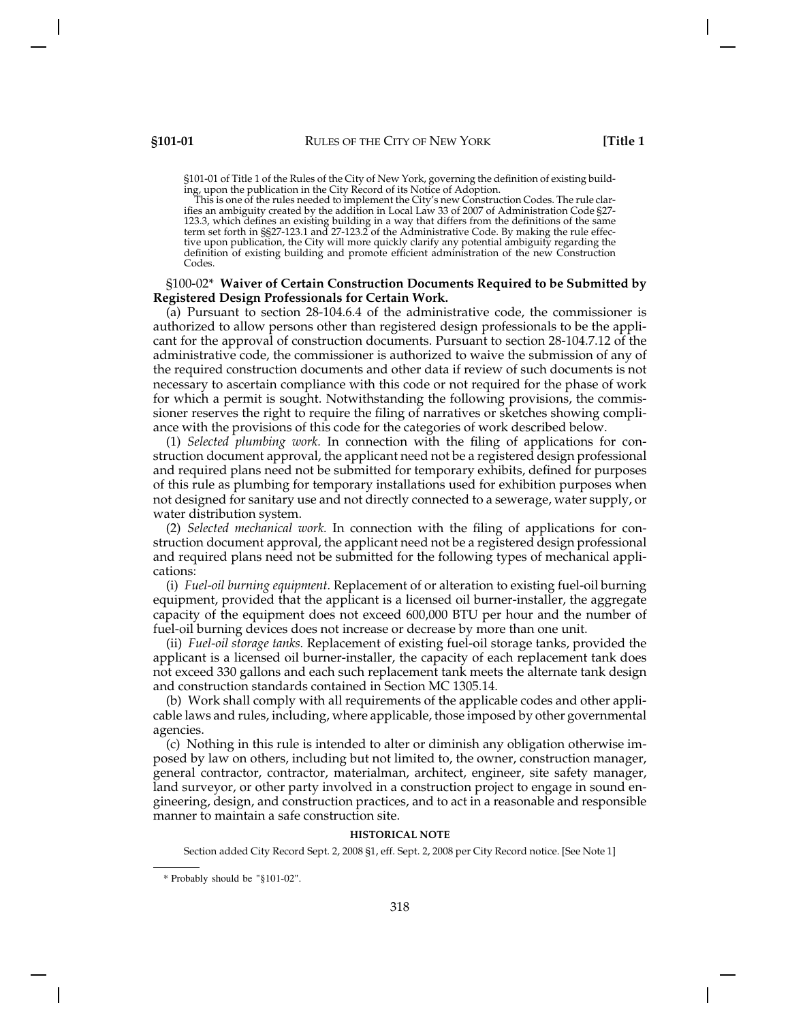§101-01 of Title 1 of the Rules of the City of New York, governing the definition of existing building, upon the publication in the City Record of its Notice of Adoption.

This is one of the rules needed to implement the City's new Construction Codes. The rule clarifies an ambiguity created by the addition in Local Law 33 of 2007 of Administration Code §27- 123.3, which defines an existing building in a way that differs from the definitions of the same term set forth in §§27-123.1 and 27-123.2 of the Administrative Code. By making the rule effective upon publication, the City will more quickly clarify any potential ambiguity regarding the definition of existing building and promote efficient administration of the new Construction Codes.

# §100-02\* **Waiver of Certain Construction Documents Required to be Submitted by Registered Design Professionals for Certain Work.**

(a) Pursuant to section 28-104.6.4 of the administrative code, the commissioner is authorized to allow persons other than registered design professionals to be the applicant for the approval of construction documents. Pursuant to section 28-104.7.12 of the administrative code, the commissioner is authorized to waive the submission of any of the required construction documents and other data if review of such documents is not necessary to ascertain compliance with this code or not required for the phase of work for which a permit is sought. Notwithstanding the following provisions, the commissioner reserves the right to require the filing of narratives or sketches showing compliance with the provisions of this code for the categories of work described below.

(1) *Selected plumbing work.* In connection with the filing of applications for construction document approval, the applicant need not be a registered design professional and required plans need not be submitted for temporary exhibits, defined for purposes of this rule as plumbing for temporary installations used for exhibition purposes when not designed for sanitary use and not directly connected to a sewerage, water supply, or water distribution system.

(2) *Selected mechanical work.* In connection with the filing of applications for construction document approval, the applicant need not be a registered design professional and required plans need not be submitted for the following types of mechanical applications:

(i) *Fuel-oil burning equipment.* Replacement of or alteration to existing fuel-oil burning equipment, provided that the applicant is a licensed oil burner-installer, the aggregate capacity of the equipment does not exceed 600,000 BTU per hour and the number of fuel-oil burning devices does not increase or decrease by more than one unit.

(ii) *Fuel-oil storage tanks.* Replacement of existing fuel-oil storage tanks, provided the applicant is a licensed oil burner-installer, the capacity of each replacement tank does not exceed 330 gallons and each such replacement tank meets the alternate tank design and construction standards contained in Section MC 1305.14.

(b) Work shall comply with all requirements of the applicable codes and other applicable laws and rules, including, where applicable, those imposed by other governmental agencies.

(c) Nothing in this rule is intended to alter or diminish any obligation otherwise imposed by law on others, including but not limited to, the owner, construction manager, general contractor, contractor, materialman, architect, engineer, site safety manager, land surveyor, or other party involved in a construction project to engage in sound engineering, design, and construction practices, and to act in a reasonable and responsible manner to maintain a safe construction site.

### **HISTORICAL NOTE**

Section added City Record Sept. 2, 2008 §1, eff. Sept. 2, 2008 per City Record notice. [See Note 1]

<sup>\*</sup> Probably should be "§101-02".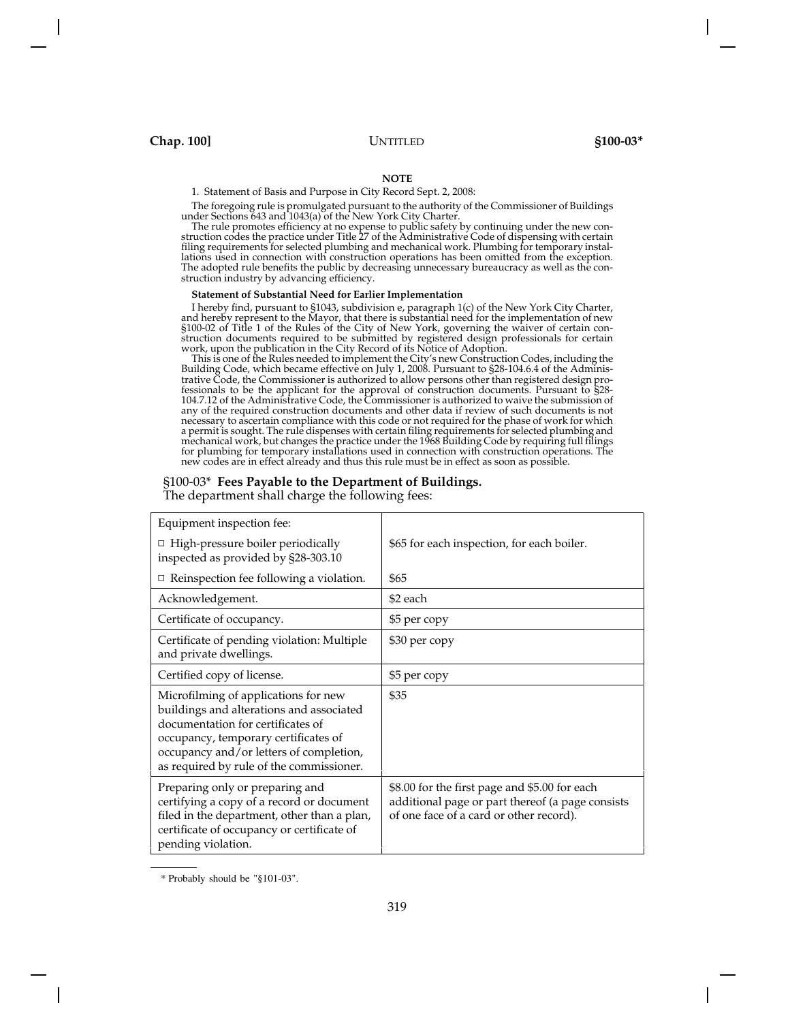### **NOTE**

1. Statement of Basis and Purpose in City Record Sept. 2, 2008:

The foregoing rule is promulgated pursuant to the authority of the Commissioner of Buildings under Sections 643 and 1043(a) of the New York City Charter.

The rule promotes efficiency at no expense to public safety by continuing under the new con-struction codes the practice under Title 27 of the Administrative Code of dispensing with certain filing requirements for selected plumbing and mechanical work. Plumbing for temporary installations used in connection with construction operations has been omitted from the exception. The adopted rule benefits the public by decreasing unnecessary bureaucracy as well as the construction industry by advancing efficiency.

### **Statement of Substantial Need for Earlier Implementation**

I hereby find, pursuant to §1043, subdivision e, paragraph 1(c) of the New York City Charter, and hereby represent to the Mayor, that there is substantial need for the implementation of new §100-02 of Title 1 of the Rules of the City of New York, governing the waiver of certain construction documents required to be submitted by registered design professionals for certain work, upon the publication in the City Record of its Notice of Adoption.

This is one of the Rules needed to implement the City's new Construction Codes, including the Building Code, which became effective on July 1, 2008. Pursuant to §28-104.6.4 of the Administrative Code, the Commissioner is authorized to allow persons other than registered design professionals to be the applicant for the approval of construction documents. Pursuant to §28- 104.7.12 of the Administrative Code, the Commissioner is authorized to waive the submission of any of the required construction documents and other data if review of such documents is not necessary to ascertain compliance with this code or not required for the phase of work for which a permit is sought. The rule dispenses with certain filing requirements for selected plumbing and mechanical work, but changes the practice under the 1968 Building Code by requiring full filings for plumbing for temporary installations used in connection with construction operations. The new codes are in effect already and thus this rule must be in effect as soon as possible.

### §100-03\* **Fees Payable to the Department of Buildings.**

The department shall charge the following fees:

| Equipment inspection fee:                                                                                                                                                                                                                            |                                                                                                                                              |
|------------------------------------------------------------------------------------------------------------------------------------------------------------------------------------------------------------------------------------------------------|----------------------------------------------------------------------------------------------------------------------------------------------|
| $\Box$ High-pressure boiler periodically<br>inspected as provided by §28-303.10                                                                                                                                                                      | \$65 for each inspection, for each boiler.                                                                                                   |
| Reinspection fee following a violation.                                                                                                                                                                                                              | \$65                                                                                                                                         |
| Acknowledgement.                                                                                                                                                                                                                                     | \$2 each                                                                                                                                     |
| Certificate of occupancy.                                                                                                                                                                                                                            | \$5 per copy                                                                                                                                 |
| Certificate of pending violation: Multiple<br>and private dwellings.                                                                                                                                                                                 | \$30 per copy                                                                                                                                |
| Certified copy of license.                                                                                                                                                                                                                           | \$5 per copy                                                                                                                                 |
| Microfilming of applications for new<br>buildings and alterations and associated<br>documentation for certificates of<br>occupancy, temporary certificates of<br>occupancy and/or letters of completion,<br>as required by rule of the commissioner. | \$35                                                                                                                                         |
| Preparing only or preparing and<br>certifying a copy of a record or document<br>filed in the department, other than a plan,<br>certificate of occupancy or certificate of<br>pending violation.                                                      | \$8.00 for the first page and \$5.00 for each<br>additional page or part thereof (a page consists<br>of one face of a card or other record). |

<sup>\*</sup> Probably should be "§101-03".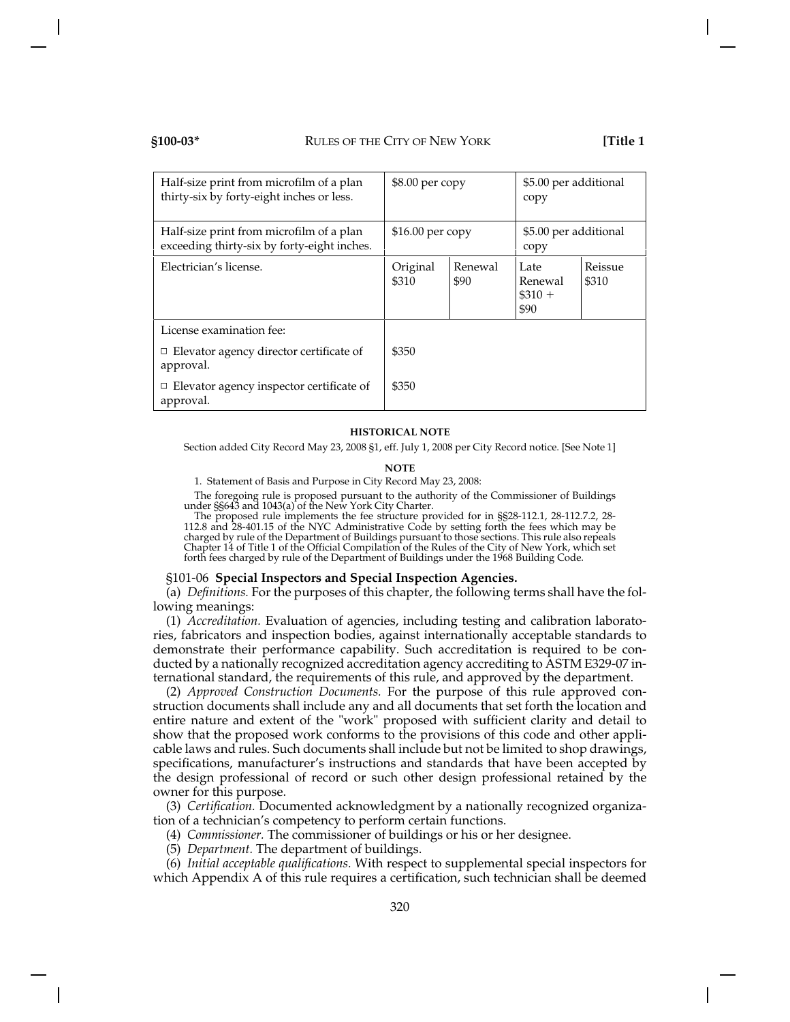| Half-size print from microfilm of a plan<br>thirty-six by forty-eight inches or less.   | $$8.00$ per copy                     |  | \$5.00 per additional<br>copy        |                  |
|-----------------------------------------------------------------------------------------|--------------------------------------|--|--------------------------------------|------------------|
| Half-size print from microfilm of a plan<br>exceeding thirty-six by forty-eight inches. | $$16.00$ per copy                    |  | \$5.00 per additional<br>copy        |                  |
| Electrician's license.                                                                  | Renewal<br>Original<br>\$310<br>\$90 |  | Late<br>Renewal<br>$\$310 +$<br>\$90 | Reissue<br>\$310 |
| License examination fee:                                                                |                                      |  |                                      |                  |
| $\Box$ Elevator agency director certificate of<br>approval.                             | \$350                                |  |                                      |                  |
| $\Box$ Elevator agency inspector certificate of<br>approval.                            | \$350                                |  |                                      |                  |

### **HISTORICAL NOTE**

Section added City Record May 23, 2008 §1, eff. July 1, 2008 per City Record notice. [See Note 1]

### **NOTE**

1. Statement of Basis and Purpose in City Record May 23, 2008:

The foregoing rule is proposed pursuant to the authority of the Commissioner of Buildings under §§643 and 1043(a) of the New York City Charter.

The proposed rule implements the fee structure provided for in §§28-112.1, 28-112.7.2, 28- 112.8 and 28-401.15 of the NYC Administrative Code by setting forth the fees which may be charged by rule of the Department of Buildings pursuant to those sections. This rule also repeals Chapter 14 of Title 1 of the Official Compilation of the Rules of the City of New York, which set forth fees charged by rule of the Department of Buildings under the 1968 Building Code.

### §101-06 **Special Inspectors and Special Inspection Agencies.**

(a) *Definitions.* For the purposes of this chapter, the following terms shall have the following meanings:

(1) *Accreditation.* Evaluation of agencies, including testing and calibration laboratories, fabricators and inspection bodies, against internationally acceptable standards to demonstrate their performance capability. Such accreditation is required to be conducted by a nationally recognized accreditation agency accrediting to ASTM E329-07 international standard, the requirements of this rule, and approved by the department.

(2) *Approved Construction Documents.* For the purpose of this rule approved construction documents shall include any and all documents that set forth the location and entire nature and extent of the "work" proposed with sufficient clarity and detail to show that the proposed work conforms to the provisions of this code and other applicable laws and rules. Such documents shall include but not be limited to shop drawings, specifications, manufacturer's instructions and standards that have been accepted by the design professional of record or such other design professional retained by the owner for this purpose.

(3) *Certification.* Documented acknowledgment by a nationally recognized organization of a technician's competency to perform certain functions.

(4) *Commissioner.* The commissioner of buildings or his or her designee.

(5) *Department.* The department of buildings.

(6) *Initial acceptable qualifications.* With respect to supplemental special inspectors for which Appendix A of this rule requires a certification, such technician shall be deemed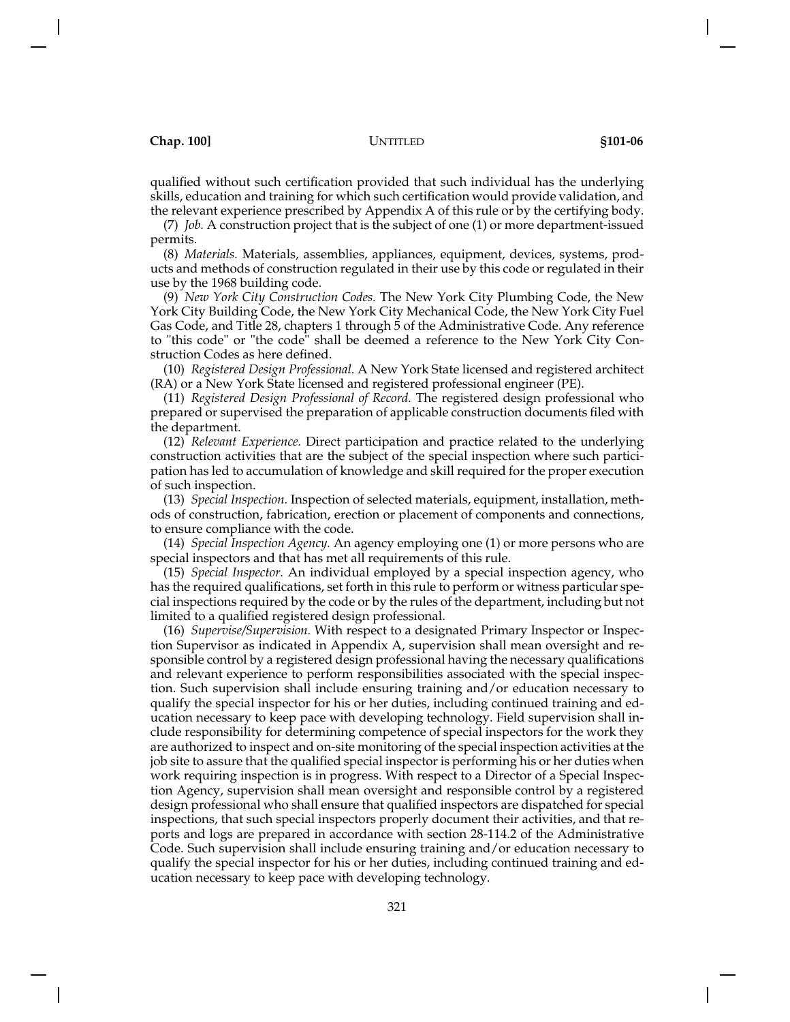qualified without such certification provided that such individual has the underlying skills, education and training for which such certification would provide validation, and the relevant experience prescribed by Appendix A of this rule or by the certifying body.

(7) *Job.* A construction project that is the subject of one (1) or more department-issued permits.

(8) *Materials.* Materials, assemblies, appliances, equipment, devices, systems, products and methods of construction regulated in their use by this code or regulated in their use by the 1968 building code.

(9) *New York City Construction Codes.* The New York City Plumbing Code, the New York City Building Code, the New York City Mechanical Code, the New York City Fuel Gas Code, and Title 28, chapters 1 through 5 of the Administrative Code. Any reference to "this code" or "the code" shall be deemed a reference to the New York City Construction Codes as here defined.

(10) *Registered Design Professional.* A New York State licensed and registered architect (RA) or a New York State licensed and registered professional engineer (PE).

(11) *Registered Design Professional of Record.* The registered design professional who prepared or supervised the preparation of applicable construction documents filed with the department.

(12) *Relevant Experience.* Direct participation and practice related to the underlying construction activities that are the subject of the special inspection where such participation has led to accumulation of knowledge and skill required for the proper execution of such inspection.

(13) *Special Inspection.* Inspection of selected materials, equipment, installation, methods of construction, fabrication, erection or placement of components and connections, to ensure compliance with the code.

(14) *Special Inspection Agency.* An agency employing one (1) or more persons who are special inspectors and that has met all requirements of this rule.

(15) *Special Inspector.* An individual employed by a special inspection agency, who has the required qualifications, set forth in this rule to perform or witness particular special inspections required by the code or by the rules of the department, including but not limited to a qualified registered design professional.

(16) *Supervise/Supervision.* With respect to a designated Primary Inspector or Inspection Supervisor as indicated in Appendix A, supervision shall mean oversight and responsible control by a registered design professional having the necessary qualifications and relevant experience to perform responsibilities associated with the special inspection. Such supervision shall include ensuring training and/or education necessary to qualify the special inspector for his or her duties, including continued training and education necessary to keep pace with developing technology. Field supervision shall include responsibility for determining competence of special inspectors for the work they are authorized to inspect and on-site monitoring of the special inspection activities at the job site to assure that the qualified special inspector is performing his or her duties when work requiring inspection is in progress. With respect to a Director of a Special Inspection Agency, supervision shall mean oversight and responsible control by a registered design professional who shall ensure that qualified inspectors are dispatched for special inspections, that such special inspectors properly document their activities, and that reports and logs are prepared in accordance with section 28-114.2 of the Administrative Code. Such supervision shall include ensuring training and/or education necessary to qualify the special inspector for his or her duties, including continued training and education necessary to keep pace with developing technology.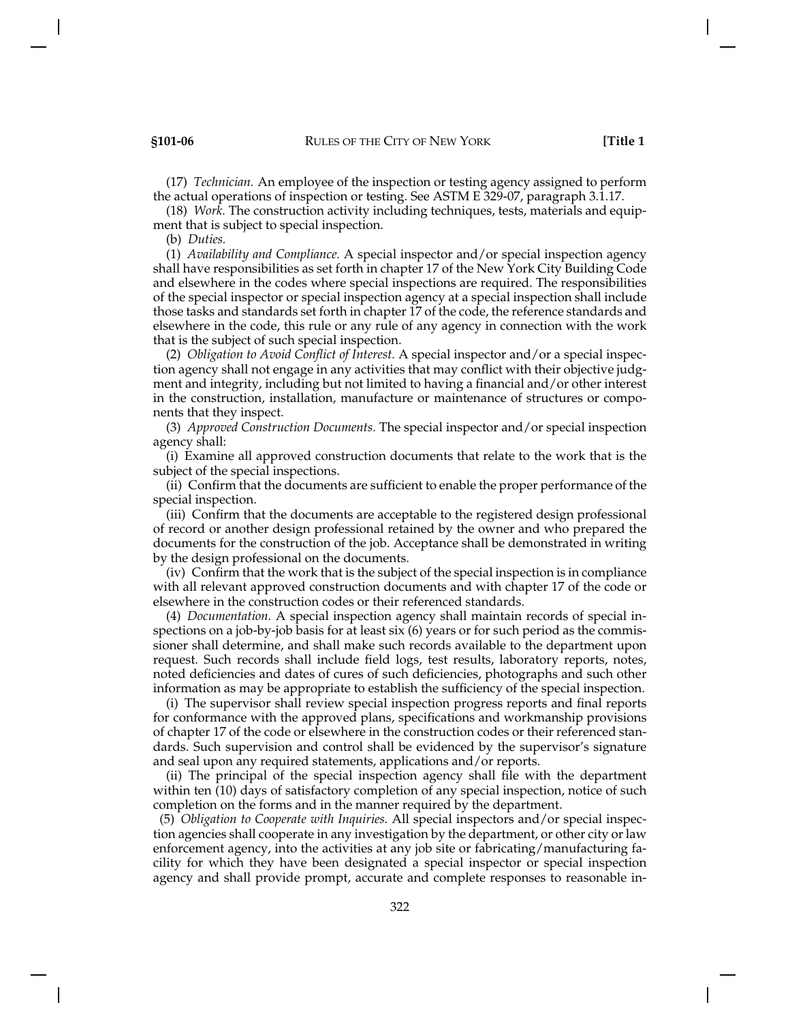(17) *Technician.* An employee of the inspection or testing agency assigned to perform the actual operations of inspection or testing. See ASTM E 329-07, paragraph 3.1.17.

(18) *Work.* The construction activity including techniques, tests, materials and equipment that is subject to special inspection.

(b) *Duties.*

(1) *Availability and Compliance.* A special inspector and/or special inspection agency shall have responsibilities as set forth in chapter 17 of the New York City Building Code and elsewhere in the codes where special inspections are required. The responsibilities of the special inspector or special inspection agency at a special inspection shall include those tasks and standards set forth in chapter 17 of the code, the reference standards and elsewhere in the code, this rule or any rule of any agency in connection with the work that is the subject of such special inspection.

(2) *Obligation to Avoid Conflict of Interest.* A special inspector and/or a special inspection agency shall not engage in any activities that may conflict with their objective judgment and integrity, including but not limited to having a financial and/or other interest in the construction, installation, manufacture or maintenance of structures or components that they inspect.

(3) *Approved Construction Documents.* The special inspector and/or special inspection agency shall:

(i) Examine all approved construction documents that relate to the work that is the subject of the special inspections.

(ii) Confirm that the documents are sufficient to enable the proper performance of the special inspection.

(iii) Confirm that the documents are acceptable to the registered design professional of record or another design professional retained by the owner and who prepared the documents for the construction of the job. Acceptance shall be demonstrated in writing by the design professional on the documents.

(iv) Confirm that the work that is the subject of the special inspection is in compliance with all relevant approved construction documents and with chapter 17 of the code or elsewhere in the construction codes or their referenced standards.

(4) *Documentation.* A special inspection agency shall maintain records of special inspections on a job-by-job basis for at least six (6) years or for such period as the commissioner shall determine, and shall make such records available to the department upon request. Such records shall include field logs, test results, laboratory reports, notes, noted deficiencies and dates of cures of such deficiencies, photographs and such other information as may be appropriate to establish the sufficiency of the special inspection.

(i) The supervisor shall review special inspection progress reports and final reports for conformance with the approved plans, specifications and workmanship provisions of chapter 17 of the code or elsewhere in the construction codes or their referenced standards. Such supervision and control shall be evidenced by the supervisor's signature and seal upon any required statements, applications and/or reports.

(ii) The principal of the special inspection agency shall file with the department within ten (10) days of satisfactory completion of any special inspection, notice of such completion on the forms and in the manner required by the department.

(5) *Obligation to Cooperate with Inquiries.* All special inspectors and/or special inspection agencies shall cooperate in any investigation by the department, or other city or law enforcement agency, into the activities at any job site or fabricating/manufacturing facility for which they have been designated a special inspector or special inspection agency and shall provide prompt, accurate and complete responses to reasonable in-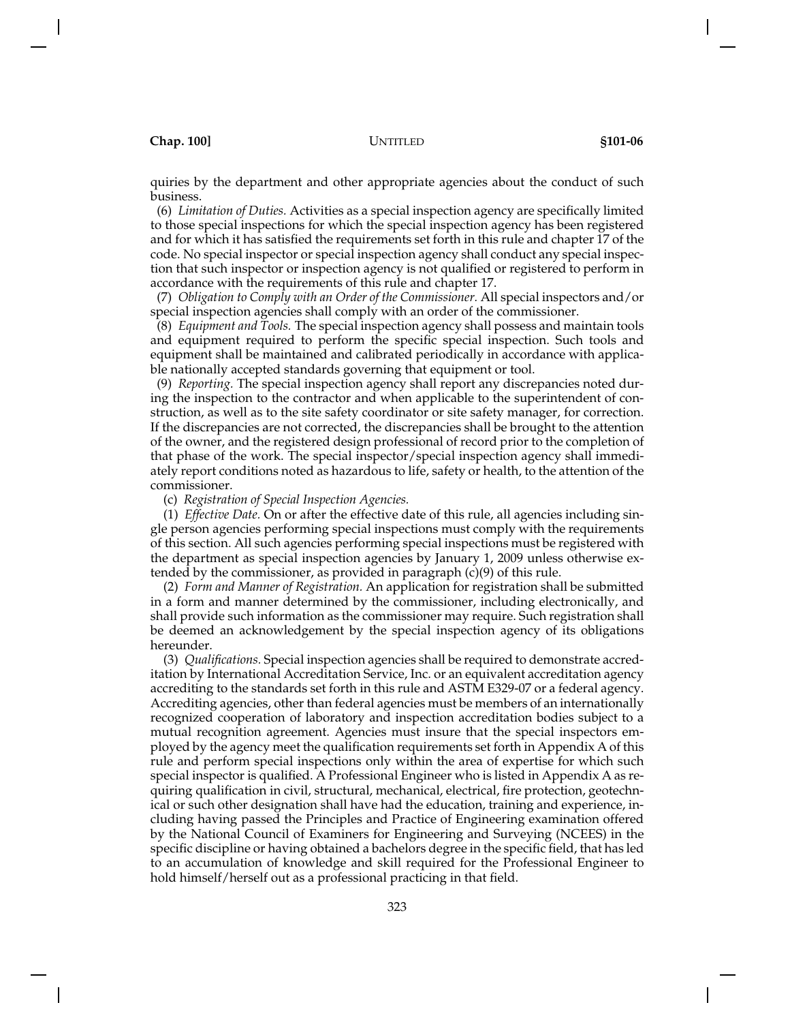quiries by the department and other appropriate agencies about the conduct of such business.

(6) *Limitation of Duties.* Activities as a special inspection agency are specifically limited to those special inspections for which the special inspection agency has been registered and for which it has satisfied the requirements set forth in this rule and chapter 17 of the code. No special inspector or special inspection agency shall conduct any special inspection that such inspector or inspection agency is not qualified or registered to perform in accordance with the requirements of this rule and chapter 17.

(7) *Obligation to Comply with an Order of the Commissioner.* All special inspectors and/or special inspection agencies shall comply with an order of the commissioner.

(8) *Equipment and Tools.* The special inspection agency shall possess and maintain tools and equipment required to perform the specific special inspection. Such tools and equipment shall be maintained and calibrated periodically in accordance with applicable nationally accepted standards governing that equipment or tool.

(9) *Reporting.* The special inspection agency shall report any discrepancies noted during the inspection to the contractor and when applicable to the superintendent of construction, as well as to the site safety coordinator or site safety manager, for correction. If the discrepancies are not corrected, the discrepancies shall be brought to the attention of the owner, and the registered design professional of record prior to the completion of that phase of the work. The special inspector/special inspection agency shall immediately report conditions noted as hazardous to life, safety or health, to the attention of the commissioner.

(c) *Registration of Special Inspection Agencies.*

(1) *Effective Date.* On or after the effective date of this rule, all agencies including single person agencies performing special inspections must comply with the requirements of this section. All such agencies performing special inspections must be registered with the department as special inspection agencies by January 1, 2009 unless otherwise extended by the commissioner, as provided in paragraph (c)(9) of this rule.

(2) *Form and Manner of Registration.* An application for registration shall be submitted in a form and manner determined by the commissioner, including electronically, and shall provide such information as the commissioner may require. Such registration shall be deemed an acknowledgement by the special inspection agency of its obligations hereunder.

(3) *Qualifications.* Special inspection agencies shall be required to demonstrate accreditation by International Accreditation Service, Inc. or an equivalent accreditation agency accrediting to the standards set forth in this rule and ASTM E329-07 or a federal agency. Accrediting agencies, other than federal agencies must be members of an internationally recognized cooperation of laboratory and inspection accreditation bodies subject to a mutual recognition agreement. Agencies must insure that the special inspectors employed by the agency meet the qualification requirements set forth in Appendix A of this rule and perform special inspections only within the area of expertise for which such special inspector is qualified. A Professional Engineer who is listed in Appendix A as requiring qualification in civil, structural, mechanical, electrical, fire protection, geotechnical or such other designation shall have had the education, training and experience, including having passed the Principles and Practice of Engineering examination offered by the National Council of Examiners for Engineering and Surveying (NCEES) in the specific discipline or having obtained a bachelors degree in the specific field, that has led to an accumulation of knowledge and skill required for the Professional Engineer to hold himself/herself out as a professional practicing in that field.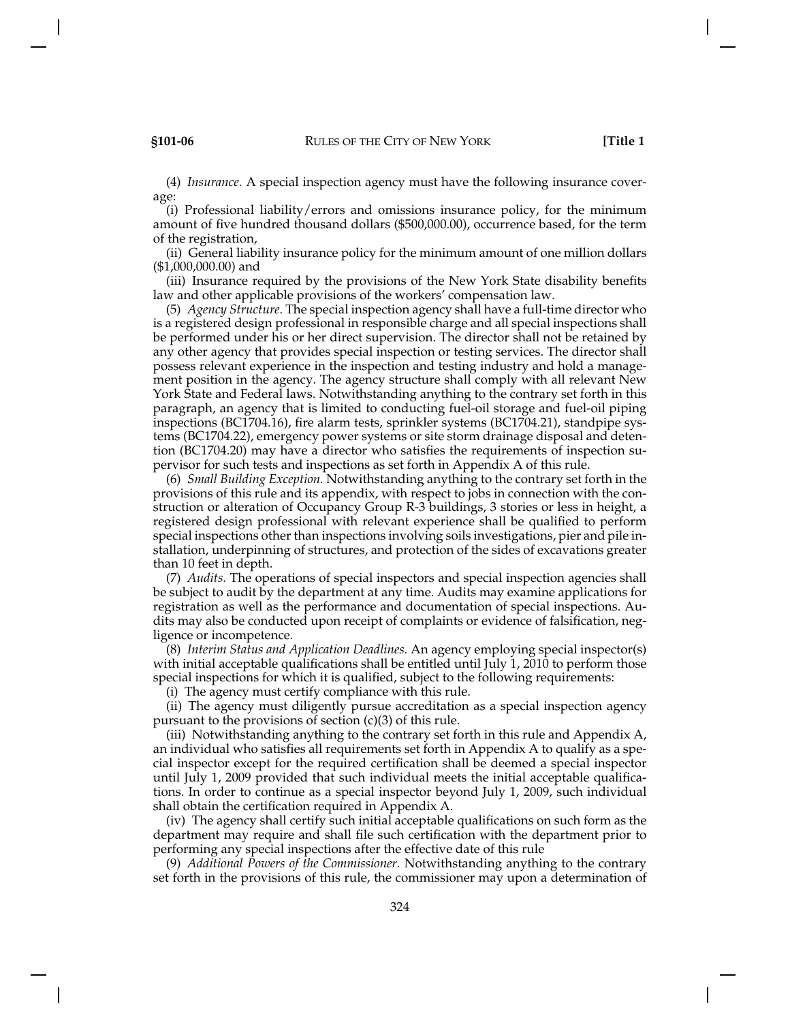(4) *Insurance.* A special inspection agency must have the following insurance coverage:

(i) Professional liability/errors and omissions insurance policy, for the minimum amount of five hundred thousand dollars (\$500,000.00), occurrence based, for the term of the registration,

(ii) General liability insurance policy for the minimum amount of one million dollars (\$1,000,000.00) and

(iii) Insurance required by the provisions of the New York State disability benefits law and other applicable provisions of the workers' compensation law.

(5) *Agency Structure.* The special inspection agency shall have a full-time director who is a registered design professional in responsible charge and all special inspections shall be performed under his or her direct supervision. The director shall not be retained by any other agency that provides special inspection or testing services. The director shall possess relevant experience in the inspection and testing industry and hold a management position in the agency. The agency structure shall comply with all relevant New York State and Federal laws. Notwithstanding anything to the contrary set forth in this paragraph, an agency that is limited to conducting fuel-oil storage and fuel-oil piping inspections (BC1704.16), fire alarm tests, sprinkler systems (BC1704.21), standpipe systems (BC1704.22), emergency power systems or site storm drainage disposal and detention (BC1704.20) may have a director who satisfies the requirements of inspection supervisor for such tests and inspections as set forth in Appendix A of this rule.

(6) *Small Building Exception.* Notwithstanding anything to the contrary set forth in the provisions of this rule and its appendix, with respect to jobs in connection with the construction or alteration of Occupancy Group R-3 buildings, 3 stories or less in height, a registered design professional with relevant experience shall be qualified to perform special inspections other than inspections involving soils investigations, pier and pile installation, underpinning of structures, and protection of the sides of excavations greater than 10 feet in depth.

(7) *Audits.* The operations of special inspectors and special inspection agencies shall be subject to audit by the department at any time. Audits may examine applications for registration as well as the performance and documentation of special inspections. Audits may also be conducted upon receipt of complaints or evidence of falsification, negligence or incompetence.

(8) *Interim Status and Application Deadlines.* An agency employing special inspector(s) with initial acceptable qualifications shall be entitled until July 1, 2010 to perform those special inspections for which it is qualified, subject to the following requirements:

(i) The agency must certify compliance with this rule.

(ii) The agency must diligently pursue accreditation as a special inspection agency pursuant to the provisions of section (c)(3) of this rule.

(iii) Notwithstanding anything to the contrary set forth in this rule and Appendix A, an individual who satisfies all requirements set forth in Appendix A to qualify as a special inspector except for the required certification shall be deemed a special inspector until July 1, 2009 provided that such individual meets the initial acceptable qualifications. In order to continue as a special inspector beyond July 1, 2009, such individual shall obtain the certification required in Appendix A.

(iv) The agency shall certify such initial acceptable qualifications on such form as the department may require and shall file such certification with the department prior to performing any special inspections after the effective date of this rule

(9) *Additional Powers of the Commissioner.* Notwithstanding anything to the contrary set forth in the provisions of this rule, the commissioner may upon a determination of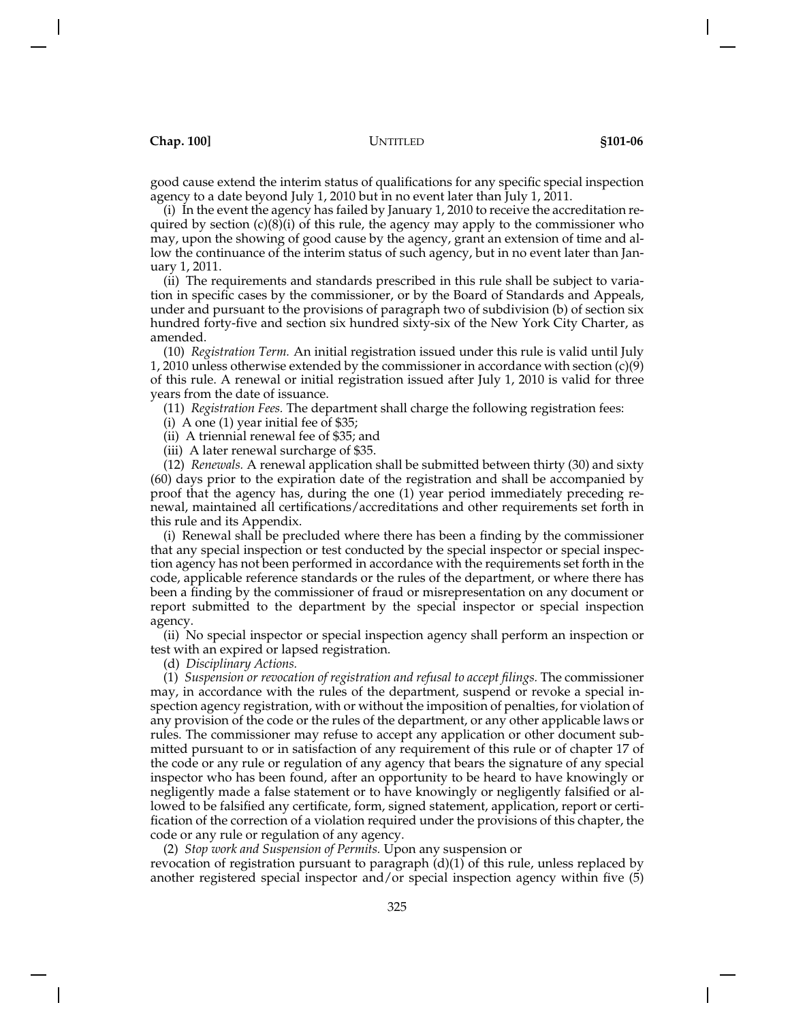good cause extend the interim status of qualifications for any specific special inspection agency to a date beyond July 1, 2010 but in no event later than July 1, 2011.

(i) In the event the agency has failed by January 1, 2010 to receive the accreditation required by section  $(c)(8)(i)$  of this rule, the agency may apply to the commissioner who may, upon the showing of good cause by the agency, grant an extension of time and allow the continuance of the interim status of such agency, but in no event later than January 1, 2011.

(ii) The requirements and standards prescribed in this rule shall be subject to variation in specific cases by the commissioner, or by the Board of Standards and Appeals, under and pursuant to the provisions of paragraph two of subdivision (b) of section six hundred forty-five and section six hundred sixty-six of the New York City Charter, as amended.

(10) *Registration Term.* An initial registration issued under this rule is valid until July 1, 2010 unless otherwise extended by the commissioner in accordance with section  $(c)(9)$ of this rule. A renewal or initial registration issued after July 1, 2010 is valid for three years from the date of issuance.

(11) *Registration Fees.* The department shall charge the following registration fees:

(i) A one (1) year initial fee of \$35;

(ii) A triennial renewal fee of \$35; and

(iii) A later renewal surcharge of \$35.

(12) *Renewals.* A renewal application shall be submitted between thirty (30) and sixty (60) days prior to the expiration date of the registration and shall be accompanied by proof that the agency has, during the one (1) year period immediately preceding renewal, maintained all certifications/accreditations and other requirements set forth in this rule and its Appendix.

(i) Renewal shall be precluded where there has been a finding by the commissioner that any special inspection or test conducted by the special inspector or special inspection agency has not been performed in accordance with the requirements set forth in the code, applicable reference standards or the rules of the department, or where there has been a finding by the commissioner of fraud or misrepresentation on any document or report submitted to the department by the special inspector or special inspection agency.

(ii) No special inspector or special inspection agency shall perform an inspection or test with an expired or lapsed registration.

(d) *Disciplinary Actions.*

(1) *Suspension or revocation of registration and refusal to accept filings.* The commissioner may, in accordance with the rules of the department, suspend or revoke a special inspection agency registration, with or without the imposition of penalties, for violation of any provision of the code or the rules of the department, or any other applicable laws or rules. The commissioner may refuse to accept any application or other document submitted pursuant to or in satisfaction of any requirement of this rule or of chapter 17 of the code or any rule or regulation of any agency that bears the signature of any special inspector who has been found, after an opportunity to be heard to have knowingly or negligently made a false statement or to have knowingly or negligently falsified or allowed to be falsified any certificate, form, signed statement, application, report or certification of the correction of a violation required under the provisions of this chapter, the code or any rule or regulation of any agency.

(2) *Stop work and Suspension of Permits.* Upon any suspension or

revocation of registration pursuant to paragraph (d)(1) of this rule, unless replaced by another registered special inspector and/or special inspection agency within five (5)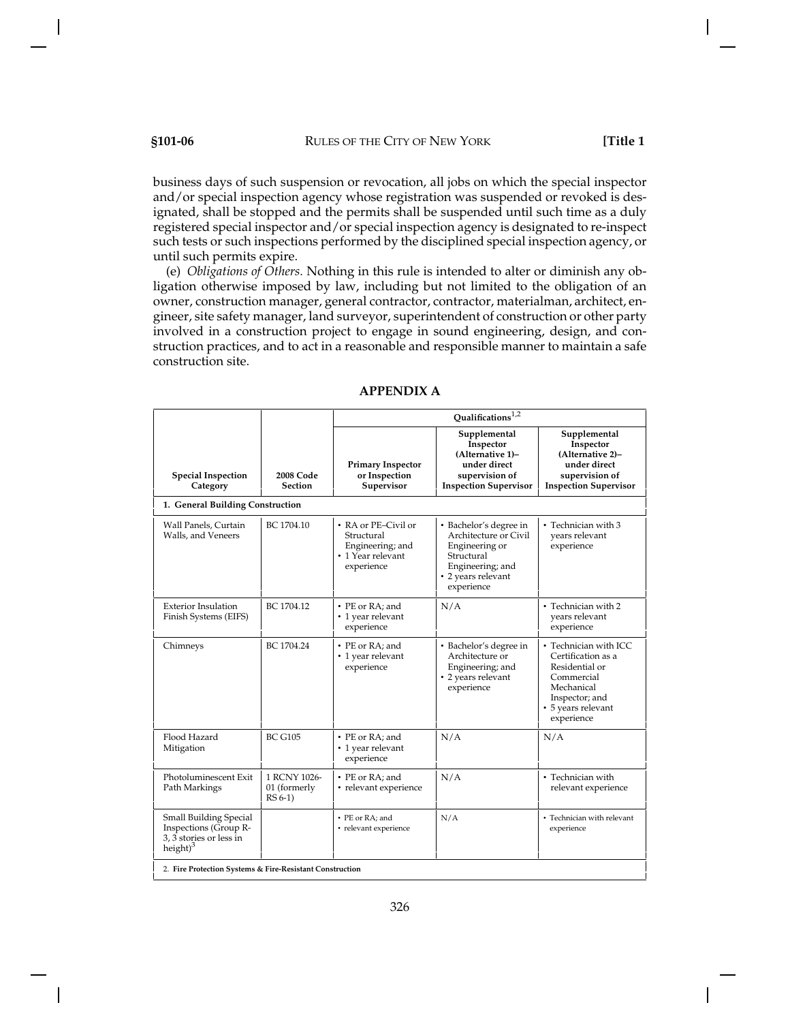business days of such suspension or revocation, all jobs on which the special inspector and/or special inspection agency whose registration was suspended or revoked is designated, shall be stopped and the permits shall be suspended until such time as a duly registered special inspector and/or special inspection agency is designated to re-inspect such tests or such inspections performed by the disciplined special inspection agency, or until such permits expire.

(e) *Obligations of Others.* Nothing in this rule is intended to alter or diminish any obligation otherwise imposed by law, including but not limited to the obligation of an owner, construction manager, general contractor, contractor, materialman, architect, engineer, site safety manager, land surveyor, superintendent of construction or other party involved in a construction project to engage in sound engineering, design, and construction practices, and to act in a reasonable and responsible manner to maintain a safe construction site.

|                                                                                            |                                           | Qualifications <sup>1,2</sup>                                                            |                                                                                                                                         |                                                                                                                                                 |
|--------------------------------------------------------------------------------------------|-------------------------------------------|------------------------------------------------------------------------------------------|-----------------------------------------------------------------------------------------------------------------------------------------|-------------------------------------------------------------------------------------------------------------------------------------------------|
| <b>Special Inspection</b><br>Category                                                      | 2008 Code<br><b>Section</b>               | <b>Primary Inspector</b><br>or Inspection<br>Supervisor                                  | Supplemental<br>Inspector<br>(Alternative 1)-<br>under direct<br>supervision of<br><b>Inspection Supervisor</b>                         | Supplemental<br>Inspector<br>(Alternative 2)–<br>under direct<br>supervision of<br><b>Inspection Supervisor</b>                                 |
| 1. General Building Construction                                                           |                                           |                                                                                          |                                                                                                                                         |                                                                                                                                                 |
| Wall Panels, Curtain<br>Walls, and Veneers                                                 | BC 1704.10                                | • RA or PE-Civil or<br>Structural<br>Engineering; and<br>• 1 Year relevant<br>experience | • Bachelor's degree in<br>Architecture or Civil<br>Engineering or<br>Structural<br>Engineering; and<br>• 2 years relevant<br>experience | • Technician with 3<br>years relevant<br>experience                                                                                             |
| <b>Exterior Insulation</b><br>Finish Systems (EIFS)                                        | BC 1704.12                                | • PE or RA; and<br>• 1 year relevant<br>experience                                       | N/A                                                                                                                                     | • Technician with 2<br>years relevant<br>experience                                                                                             |
| Chimneys                                                                                   | BC 1704.24                                | • PE or RA; and<br>• 1 year relevant<br>experience                                       | • Bachelor's degree in<br>Architecture or<br>Engineering; and<br>• 2 years relevant<br>experience                                       | • Technician with ICC<br>Certification as a<br>Residential or<br>Commercial<br>Mechanical<br>Inspector; and<br>• 5 years relevant<br>experience |
| Flood Hazard<br>Mitigation                                                                 | <b>BC G105</b>                            | • PE or RA; and<br>• 1 year relevant<br>experience                                       | N/A                                                                                                                                     | N/A                                                                                                                                             |
| Photoluminescent Exit<br>Path Markings                                                     | 1 RCNY 1026-<br>01 (formerly<br>$RS 6-1)$ | • PE or RA; and<br>• relevant experience                                                 | N/A                                                                                                                                     | • Technician with<br>relevant experience                                                                                                        |
| Small Building Special<br>Inspections (Group R-<br>3, 3 stories or less in<br>height $)^3$ |                                           | • PE or RA; and<br>• relevant experience                                                 | N/A                                                                                                                                     | • Technician with relevant<br>experience                                                                                                        |
| 2. Fire Protection Systems & Fire-Resistant Construction                                   |                                           |                                                                                          |                                                                                                                                         |                                                                                                                                                 |

# **APPENDIX A**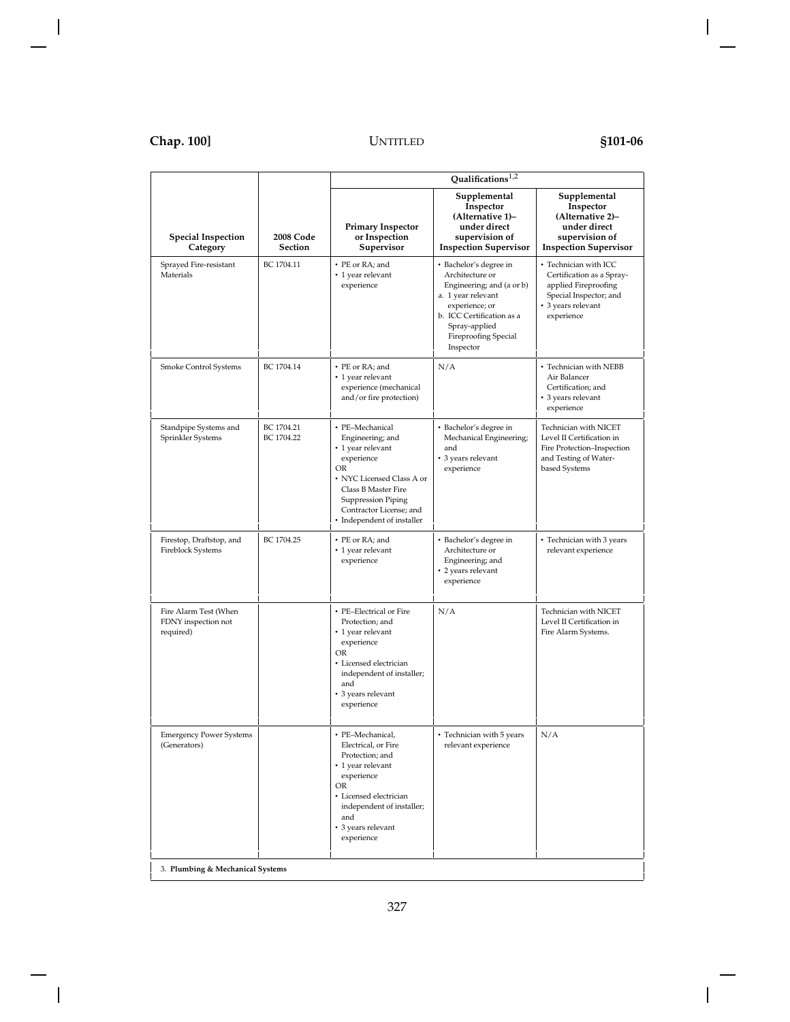|                                                           |                                    | Qualifications <sup>1,2</sup>                                                                                                                                                                                   |                                                                                                                                                                                                          |                                                                                                                                          |
|-----------------------------------------------------------|------------------------------------|-----------------------------------------------------------------------------------------------------------------------------------------------------------------------------------------------------------------|----------------------------------------------------------------------------------------------------------------------------------------------------------------------------------------------------------|------------------------------------------------------------------------------------------------------------------------------------------|
| <b>Special Inspection</b><br>Category                     | <b>2008 Code</b><br><b>Section</b> | <b>Primary Inspector</b><br>or Inspection<br>Supervisor                                                                                                                                                         | Supplemental<br>Inspector<br>(Alternative 1)-<br>under direct<br>supervision of<br><b>Inspection Supervisor</b>                                                                                          | Supplemental<br>Inspector<br>(Alternative 2)–<br>under direct<br>supervision of<br><b>Inspection Supervisor</b>                          |
| Sprayed Fire-resistant<br>Materials                       | BC 1704.11                         | • PE or RA; and<br>• 1 year relevant<br>experience                                                                                                                                                              | • Bachelor's degree in<br>Architecture or<br>Engineering; and (a or b)<br>a. 1 year relevant<br>experience; or<br>b. ICC Certification as a<br>Spray-applied<br><b>Fireproofing Special</b><br>Inspector | • Technician with ICC<br>Certification as a Spray-<br>applied Fireproofing<br>Special Inspector; and<br>• 3 years relevant<br>experience |
| Smoke Control Systems                                     | BC 1704.14                         | • PE or RA; and<br>• 1 year relevant<br>experience (mechanical<br>and/or fire protection)                                                                                                                       | N/A                                                                                                                                                                                                      | • Technician with NEBB<br>Air Balancer<br>Certification; and<br>• 3 years relevant<br>experience                                         |
| Standpipe Systems and<br>Sprinkler Systems                | BC 1704.21<br>BC 1704.22           | • PE-Mechanical<br>Engineering; and<br>• 1 year relevant<br>experience<br>OR<br>• NYC Licensed Class A or<br>Class B Master Fire<br>Suppression Piping<br>Contractor License; and<br>• Independent of installer | • Bachelor's degree in<br>Mechanical Engineering;<br>and<br>• 3 years relevant<br>experience                                                                                                             | Technician with NICET<br>Level II Certification in<br>Fire Protection-Inspection<br>and Testing of Water-<br>based Systems               |
| Firestop, Draftstop, and<br>Fireblock Systems             | BC 1704.25                         | • PE or RA: and<br>• 1 year relevant<br>experience                                                                                                                                                              | • Bachelor's degree in<br>Architecture or<br>Engineering; and<br>• 2 years relevant<br>experience                                                                                                        | • Technician with 3 years<br>relevant experience                                                                                         |
| Fire Alarm Test (When<br>FDNY inspection not<br>required) |                                    | • PE-Electrical or Fire<br>Protection; and<br>• 1 year relevant<br>experience<br>OR<br>• Licensed electrician<br>independent of installer;<br>and<br>• 3 years relevant<br>experience                           | N/A                                                                                                                                                                                                      | Technician with NICET<br>Level II Certification in<br>Fire Alarm Systems.                                                                |
| <b>Emergency Power Systems</b><br>(Generators)            |                                    | • PE-Mechanical,<br>Electrical, or Fire<br>Protection; and<br>• 1 year relevant<br>experience<br>OR<br>• Licensed electrician<br>independent of installer;<br>and<br>• 3 years relevant<br>experience           | • Technician with 5 years<br>relevant experience                                                                                                                                                         | N/A                                                                                                                                      |
| 3. Plumbing & Mechanical Systems                          |                                    |                                                                                                                                                                                                                 |                                                                                                                                                                                                          |                                                                                                                                          |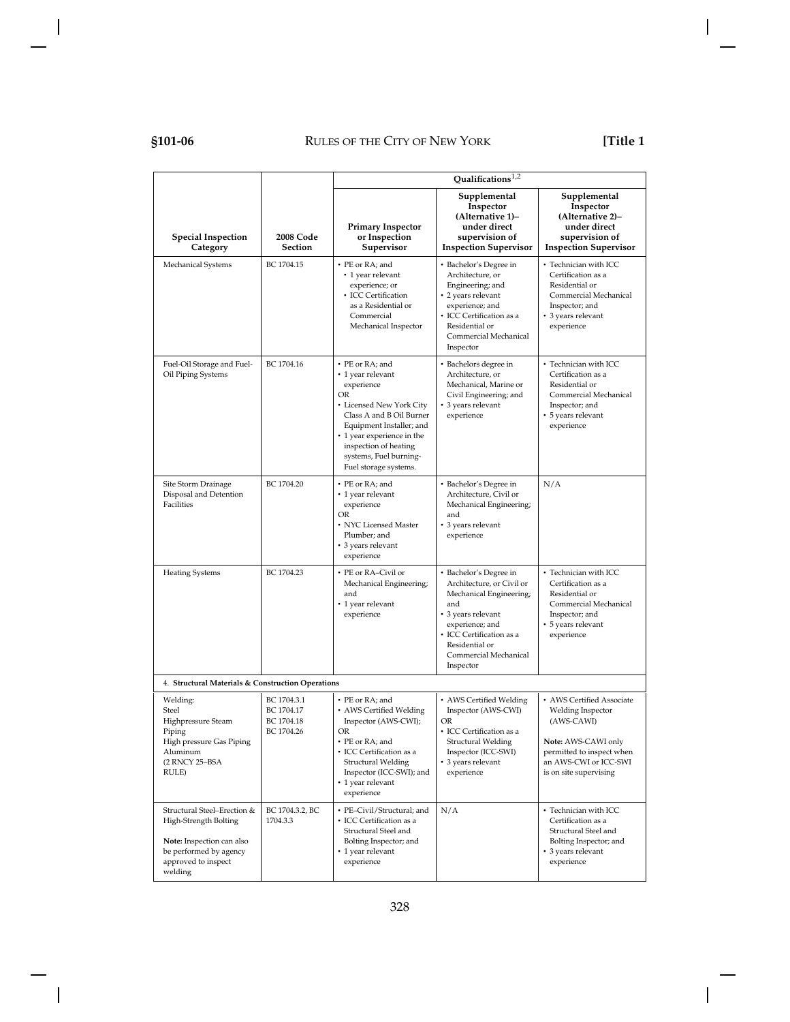# **§101-06** RULES OF THE CITY OF NEW YORK **[Title 1**

|                                                                                                                                               |                                                       |                                                                                                                                                                                                                                                        | Qualifications <sup>1,2</sup>                                                                                                                                                                                      |                                                                                                                                                                     |
|-----------------------------------------------------------------------------------------------------------------------------------------------|-------------------------------------------------------|--------------------------------------------------------------------------------------------------------------------------------------------------------------------------------------------------------------------------------------------------------|--------------------------------------------------------------------------------------------------------------------------------------------------------------------------------------------------------------------|---------------------------------------------------------------------------------------------------------------------------------------------------------------------|
| <b>Special Inspection</b><br>Category                                                                                                         | 2008 Code<br>Section                                  | <b>Primary Inspector</b><br>or Inspection<br>Supervisor                                                                                                                                                                                                | Supplemental<br>Inspector<br>(Alternative 1)–<br>under direct<br>supervision of<br><b>Inspection Supervisor</b>                                                                                                    | Supplemental<br>Inspector<br>(Alternative 2)-<br>under direct<br>supervision of<br><b>Inspection Supervisor</b>                                                     |
| Mechanical Systems                                                                                                                            | BC 1704.15                                            | • PE or RA; and<br>• 1 year relevant<br>experience; or<br>• ICC Certification<br>as a Residential or<br>Commercial<br>Mechanical Inspector                                                                                                             | • Bachelor's Degree in<br>Architecture, or<br>Engineering; and<br>• 2 years relevant<br>experience; and<br>· ICC Certification as a<br>Residential or<br>Commercial Mechanical<br>Inspector                        | • Technician with ICC<br>Certification as a<br>Residential or<br>Commercial Mechanical<br>Inspector; and<br>• 3 years relevant<br>experience                        |
| Fuel-Oil Storage and Fuel-<br>Oil Piping Systems                                                                                              | BC 1704.16                                            | • PE or RA; and<br>• 1 year relevant<br>experience<br>OR<br>• Licensed New York City<br>Class A and B Oil Burner<br>Equipment Installer; and<br>• 1 year experience in the<br>inspection of heating<br>systems, Fuel burning-<br>Fuel storage systems. | • Bachelors degree in<br>Architecture, or<br>Mechanical, Marine or<br>Civil Engineering; and<br>3 years relevant<br>experience                                                                                     | • Technician with ICC<br>Certification as a<br>Residential or<br>Commercial Mechanical<br>Inspector; and<br>• 5 years relevant<br>experience                        |
| Site Storm Drainage<br>Disposal and Detention<br><b>Facilities</b>                                                                            | BC 1704.20                                            | • PE or RA; and<br>• 1 year relevant<br>experience<br>OR<br>• NYC Licensed Master<br>Plumber; and<br>• 3 years relevant<br>experience                                                                                                                  | • Bachelor's Degree in<br>Architecture, Civil or<br>Mechanical Engineering;<br>and<br>• 3 years relevant<br>experience                                                                                             | N/A                                                                                                                                                                 |
| <b>Heating Systems</b>                                                                                                                        | BC 1704.23                                            | • PE or RA-Civil or<br>Mechanical Engineering;<br>and<br>• 1 year relevant<br>experience                                                                                                                                                               | • Bachelor's Degree in<br>Architecture, or Civil or<br>Mechanical Engineering;<br>and<br>• 3 years relevant<br>experience; and<br>• ICC Certification as a<br>Residential or<br>Commercial Mechanical<br>Inspector | • Technician with ICC<br>Certification as a<br>Residential or<br>Commercial Mechanical<br>Inspector; and<br>• 5 years relevant<br>experience                        |
| 4. Structural Materials & Construction Operations                                                                                             |                                                       |                                                                                                                                                                                                                                                        |                                                                                                                                                                                                                    |                                                                                                                                                                     |
| Welding:<br>Steel<br>Highpressure Steam<br>Piping<br>High pressure Gas Piping<br>Aluminum<br>(2 RNCY 25-BSA<br>RULE)                          | BC 1704.3.1<br>BC 1704.17<br>BC 1704.18<br>BC 1704.26 | • PE or RA; and<br>• AWS Certified Welding<br>Inspector (AWS-CWI);<br>OR<br>• PE or RA; and<br>• ICC Certification as a<br><b>Structural Welding</b><br>Inspector (ICC-SWI); and<br>• 1 year relevant<br>experience                                    | • AWS Certified Welding<br>Inspector (AWS-CWI)<br>OR<br>• ICC Certification as a<br>Structural Welding<br>Inspector (ICC-SWI)<br>3 years relevant<br>experience                                                    | • AWS Certified Associate<br>Welding Inspector<br>(AWS-CAWI)<br>Note: AWS-CAWI only<br>permitted to inspect when<br>an AWS-CWI or ICC-SWI<br>is on site supervising |
| Structural Steel-Erection &<br>High-Strength Bolting<br>Note: Inspection can also<br>be performed by agency<br>approved to inspect<br>welding | BC 1704.3.2, BC<br>1704.3.3                           | · PE-Civil/Structural; and<br>• ICC Certification as a<br>Structural Steel and<br>Bolting Inspector; and<br>• 1 year relevant<br>experience                                                                                                            | N/A                                                                                                                                                                                                                | • Technician with ICC<br>Certification as a<br>Structural Steel and<br>Bolting Inspector; and<br>• 3 years relevant<br>experience                                   |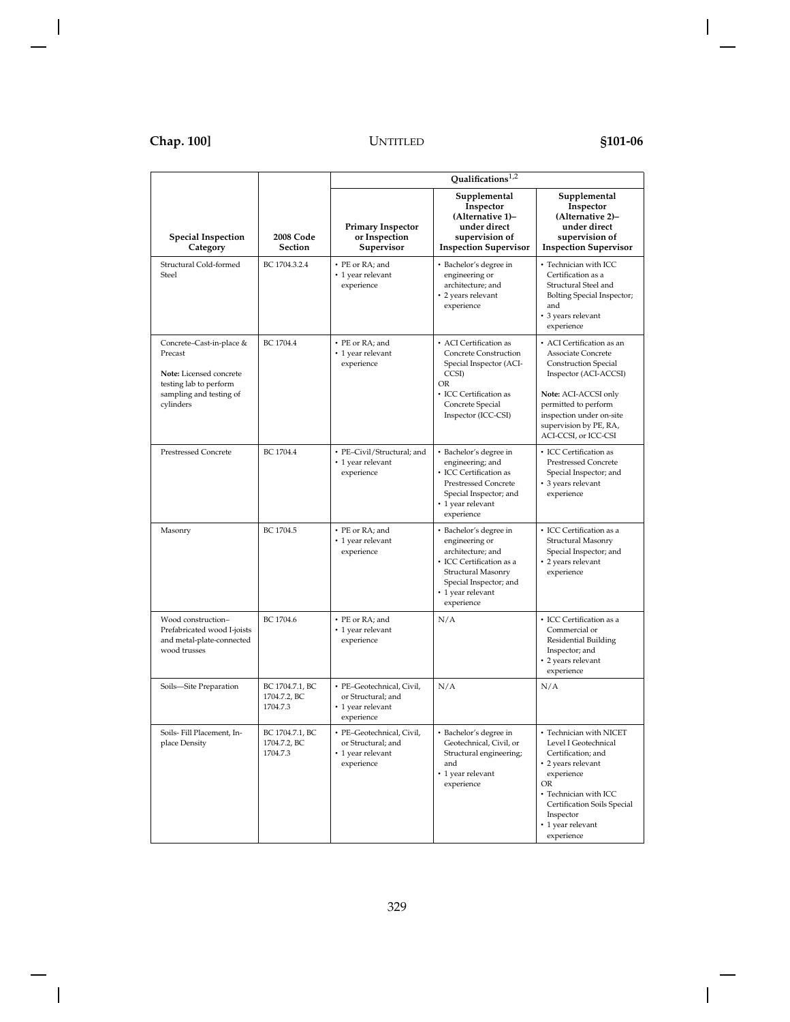|                                                                                                                                  |                                             | Qualifications $1,2$                                                               |                                                                                                                                                                              |                                                                                                                                                                                                                                       |
|----------------------------------------------------------------------------------------------------------------------------------|---------------------------------------------|------------------------------------------------------------------------------------|------------------------------------------------------------------------------------------------------------------------------------------------------------------------------|---------------------------------------------------------------------------------------------------------------------------------------------------------------------------------------------------------------------------------------|
| <b>Special Inspection</b><br>Category                                                                                            | <b>2008 Code</b><br><b>Section</b>          | <b>Primary Inspector</b><br>or Inspection<br>Supervisor                            | Supplemental<br>Inspector<br>(Alternative 1)-<br>under direct<br>supervision of<br><b>Inspection Supervisor</b>                                                              | Supplemental<br>Inspector<br>(Alternative 2)-<br>under direct<br>supervision of<br><b>Inspection Supervisor</b>                                                                                                                       |
| Structural Cold-formed<br>Steel                                                                                                  | BC 1704.3.2.4                               | • PE or RA: and<br>• 1 year relevant<br>experience                                 | • Bachelor's degree in<br>engineering or<br>architecture; and<br>• 2 years relevant<br>experience                                                                            | • Technician with ICC<br>Certification as a<br>Structural Steel and<br>Bolting Special Inspector;<br>and<br>• 3 years relevant<br>experience                                                                                          |
| Concrete-Cast-in-place &<br>Precast<br>Note: Licensed concrete<br>testing lab to perform<br>sampling and testing of<br>cylinders | BC 1704.4                                   | • PE or RA; and<br>• 1 year relevant<br>experience                                 | • ACI Certification as<br>Concrete Construction<br>Special Inspector (ACI-<br>CCSI)<br>OR<br>• ICC Certification as<br>Concrete Special<br>Inspector (ICC-CSI)               | • ACI Certification as an<br>Associate Concrete<br><b>Construction Special</b><br>Inspector (ACI-ACCSI)<br>Note: ACI-ACCSI only<br>permitted to perform<br>inspection under on-site<br>supervision by PE, RA,<br>ACI-CCSI, or ICC-CSI |
| <b>Prestressed Concrete</b>                                                                                                      | BC 1704.4                                   | • PE-Civil/Structural; and<br>• 1 year relevant<br>experience                      | • Bachelor's degree in<br>engineering; and<br>• ICC Certification as<br><b>Prestressed Concrete</b><br>Special Inspector; and<br>• 1 year relevant<br>experience             | • ICC Certification as<br><b>Prestressed Concrete</b><br>Special Inspector; and<br>• 3 years relevant<br>experience                                                                                                                   |
| Masonry                                                                                                                          | BC 1704.5                                   | • PE or RA; and<br>• 1 year relevant<br>experience                                 | • Bachelor's degree in<br>engineering or<br>architecture; and<br>• ICC Certification as a<br>Structural Masonry<br>Special Inspector; and<br>• 1 year relevant<br>experience | • ICC Certification as a<br>Structural Masonry<br>Special Inspector; and<br>• 2 years relevant<br>experience                                                                                                                          |
| Wood construction-<br>Prefabricated wood I-joists<br>and metal-plate-connected<br>wood trusses                                   | BC 1704.6                                   | • PE or RA; and<br>• 1 year relevant<br>experience                                 | N/A                                                                                                                                                                          | • ICC Certification as a<br>Commercial or<br>Residential Building<br>Inspector; and<br>• 2 years relevant<br>experience                                                                                                               |
| Soils-Site Preparation                                                                                                           | BC 1704.7.1, BC<br>1704.7.2, BC<br>1704.7.3 | · PE-Geotechnical, Civil,<br>or Structural; and<br>• 1 year relevant<br>experience | N/A                                                                                                                                                                          | N/A                                                                                                                                                                                                                                   |
| Soils- Fill Placement, In-<br>place Density                                                                                      | BC 1704.7.1, BC<br>1704.7.2, BC<br>1704.7.3 | • PE-Geotechnical, Civil,<br>or Structural; and<br>• 1 year relevant<br>experience | • Bachelor's degree in<br>Geotechnical, Civil, or<br>Structural engineering;<br>and<br>• 1 year relevant<br>experience                                                       | • Technician with NICET<br>Level I Geotechnical<br>Certification; and<br>• 2 years relevant<br>experience<br>OR<br>• Technician with ICC<br>Certification Soils Special<br>Inspector<br>• 1 year relevant<br>experience               |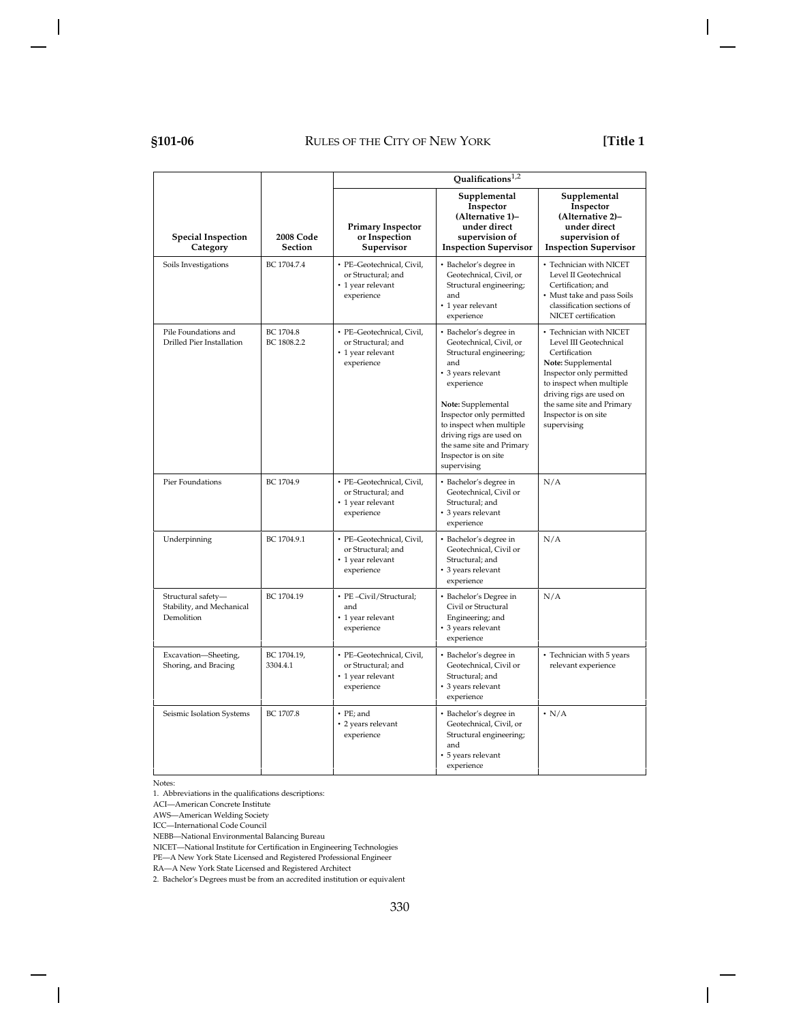# **§101-06** RULES OF THE CITY OF NEW YORK **[Title 1**

|                                                               |                                    | Qualifications <sup>1,2</sup>                                                      |                                                                                                                                                                                                                                                                                                       |                                                                                                                                                                                                                                                  |
|---------------------------------------------------------------|------------------------------------|------------------------------------------------------------------------------------|-------------------------------------------------------------------------------------------------------------------------------------------------------------------------------------------------------------------------------------------------------------------------------------------------------|--------------------------------------------------------------------------------------------------------------------------------------------------------------------------------------------------------------------------------------------------|
| <b>Special Inspection</b><br>Category                         | <b>2008 Code</b><br><b>Section</b> | <b>Primary Inspector</b><br>or Inspection<br>Supervisor                            | Supplemental<br>Inspector<br>(Alternative 1)-<br>under direct<br>supervision of<br><b>Inspection Supervisor</b>                                                                                                                                                                                       | Supplemental<br>Inspector<br>(Alternative 2)-<br>under direct<br>supervision of<br><b>Inspection Supervisor</b>                                                                                                                                  |
| Soils Investigations                                          | BC 1704.7.4                        | · PE-Geotechnical, Civil,<br>or Structural; and<br>• 1 year relevant<br>experience | · Bachelor's degree in<br>Geotechnical, Civil, or<br>Structural engineering;<br>and<br>• 1 year relevant<br>experience                                                                                                                                                                                | • Technician with NICET<br>Level II Geotechnical<br>Certification; and<br>• Must take and pass Soils<br>classification sections of<br>NICET certification                                                                                        |
| Pile Foundations and<br>Drilled Pier Installation             | BC 1704.8<br>BC 1808.2.2           | · PE-Geotechnical, Civil,<br>or Structural; and<br>• 1 year relevant<br>experience | • Bachelor's degree in<br>Geotechnical, Civil, or<br>Structural engineering;<br>and<br>• 3 years relevant<br>experience<br>Note: Supplemental<br>Inspector only permitted<br>to inspect when multiple<br>driving rigs are used on<br>the same site and Primary<br>Inspector is on site<br>supervising | • Technician with NICET<br>Level III Geotechnical<br>Certification<br>Note: Supplemental<br>Inspector only permitted<br>to inspect when multiple<br>driving rigs are used on<br>the same site and Primary<br>Inspector is on site<br>supervising |
| Pier Foundations                                              | BC 1704.9                          | · PE-Geotechnical, Civil,<br>or Structural; and<br>• 1 year relevant<br>experience | • Bachelor's degree in<br>Geotechnical, Civil or<br>Structural; and<br>• 3 years relevant<br>experience                                                                                                                                                                                               | N/A                                                                                                                                                                                                                                              |
| Underpinning                                                  | BC 1704.9.1                        | · PE-Geotechnical, Civil,<br>or Structural; and<br>• 1 year relevant<br>experience | • Bachelor's degree in<br>Geotechnical. Civil or<br>Structural; and<br>• 3 years relevant<br>experience                                                                                                                                                                                               | N/A                                                                                                                                                                                                                                              |
| Structural safety-<br>Stability, and Mechanical<br>Demolition | BC 1704.19                         | • PE-Civil/Structural;<br>and<br>• 1 year relevant<br>experience                   | • Bachelor's Degree in<br>Civil or Structural<br>Engineering; and<br>• 3 years relevant<br>experience                                                                                                                                                                                                 | N/A                                                                                                                                                                                                                                              |
| Excavation-Sheeting,<br>Shoring, and Bracing                  | BC 1704.19,<br>3304.4.1            | · PE-Geotechnical, Civil,<br>or Structural; and<br>• 1 year relevant<br>experience | • Bachelor's degree in<br>Geotechnical, Civil or<br>Structural; and<br>• 3 years relevant<br>experience                                                                                                                                                                                               | • Technician with 5 years<br>relevant experience                                                                                                                                                                                                 |
| Seismic Isolation Systems                                     | BC 1707.8                          | • PE; and<br>• 2 years relevant<br>experience                                      | • Bachelor's degree in<br>Geotechnical, Civil, or<br>Structural engineering;<br>and<br>• 5 years relevant<br>experience                                                                                                                                                                               | $\cdot$ N/A                                                                                                                                                                                                                                      |

Notes:

1. Abbreviations in the qualifications descriptions:

ACI—American Concrete Institute

AWS—American Welding Society

ICC—International Code Council

NEBB—National Environmental Balancing Bureau

NICET—National Institute for Certification in Engineering Technologies

PE—A New York State Licensed and Registered Professional Engineer

RA—A New York State Licensed and Registered Architect

2. Bachelor's Degrees must be from an accredited institution or equivalent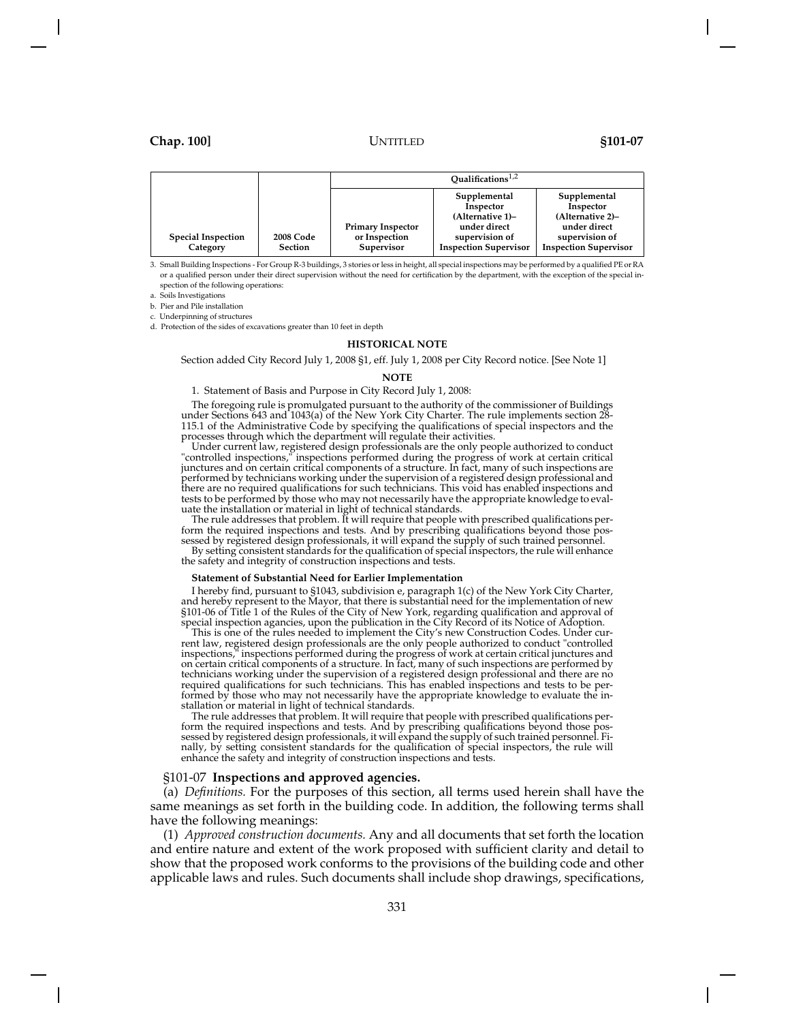|                                       |                                    | Qualifications $^{1,2}$                                 |                                                                                                                 |                                                                                                                 |
|---------------------------------------|------------------------------------|---------------------------------------------------------|-----------------------------------------------------------------------------------------------------------------|-----------------------------------------------------------------------------------------------------------------|
| <b>Special Inspection</b><br>Category | <b>2008 Code</b><br><b>Section</b> | <b>Primary Inspector</b><br>or Inspection<br>Supervisor | Supplemental<br>Inspector<br>(Alternative 1)-<br>under direct<br>supervision of<br><b>Inspection Supervisor</b> | Supplemental<br>Inspector<br>(Alternative 2)-<br>under direct<br>supervision of<br><b>Inspection Supervisor</b> |

3. Small Building Inspections - For Group R-3 buildings, 3 stories or less in height, all special inspections may be performed by a qualified PE or RA or a qualified person under their direct supervision without the need for certification by the department, with the exception of the special inspection of the following operations:

a. Soils Investigations

b. Pier and Pile installation

c. Underpinning of structures

d. Protection of the sides of excavations greater than 10 feet in depth

### **HISTORICAL NOTE**

Section added City Record July 1, 2008 §1, eff. July 1, 2008 per City Record notice. [See Note 1]

#### **NOTE**

### 1. Statement of Basis and Purpose in City Record July 1, 2008:

The foregoing rule is promulgated pursuant to the authority of the commissioner of Buildings under Sections 643 and 1043(a) of the New York City Charter. The rule implements section 28- 115.1 of the Administrative Code by specifying the qualifications of special inspectors and the processes through which the department will regulate their activities.

Under current law, registered design professionals are the only people authorized to conduct "controlled inspections," inspections performed during the progress of work at certain critical junctures and on certain critical components of a structure. In fact, many of such inspections are performed by technicians working under the supervision of a registered design professional and there are no required qualifications for such technicians. This void has enabled inspections and tests to be performed by those who may not necessarily have the appropriate knowledge to evaluate the installation or material in light of technical standards.

The rule addresses that problem. It will require that people with prescribed qualifications perform the required inspections and tests. And by prescribing qualifications beyond those possessed by registered design professionals, it will expand the supply of such trained personnel.

By setting consistent standards for the qualification of special inspectors, the rule will enhance the safety and integrity of construction inspections and tests.

### **Statement of Substantial Need for Earlier Implementation**

I hereby find, pursuant to §1043, subdivision e, paragraph 1(c) of the New York City Charter, and hereby represent to the Mayor, that there is substantial need for the implementation of new §101-06 of Title 1 of the Rules of the City of New York, regarding qualification and approval of special inspection agancies, upon the publication in the City Record of its Notice of Adoption.

This is one of the rules needed to implement the City's new Construction Codes. Under current law, registered design professionals are the only people authorized to conduct "controlled inspections," inspections performed during the progress of work at certain critical junctures and on certain critical components of a structure. In fact, many of such inspections are performed by technicians working under the supervision of a registered design professional and there are no required qualifications for such technicians. This has enabled inspections and tests to be performed by those who may not necessarily have the appropriate knowledge to evaluate the installation or material in light of technical standards.

The rule addresses that problem. It will require that people with prescribed qualifications perform the required inspections and tests. And by prescribing qualifications beyond those possessed by registered design professionals, it will expand the supply of such trained personnel. Finally, by setting consistent standards for the qualification of special inspectors, the rule will enhance the safety and integrity of construction inspections and tests.

### §101-07 **Inspections and approved agencies.**

(a) *Definitions.* For the purposes of this section, all terms used herein shall have the same meanings as set forth in the building code. In addition, the following terms shall have the following meanings:

(1) *Approved construction documents.* Any and all documents that set forth the location and entire nature and extent of the work proposed with sufficient clarity and detail to show that the proposed work conforms to the provisions of the building code and other applicable laws and rules. Such documents shall include shop drawings, specifications,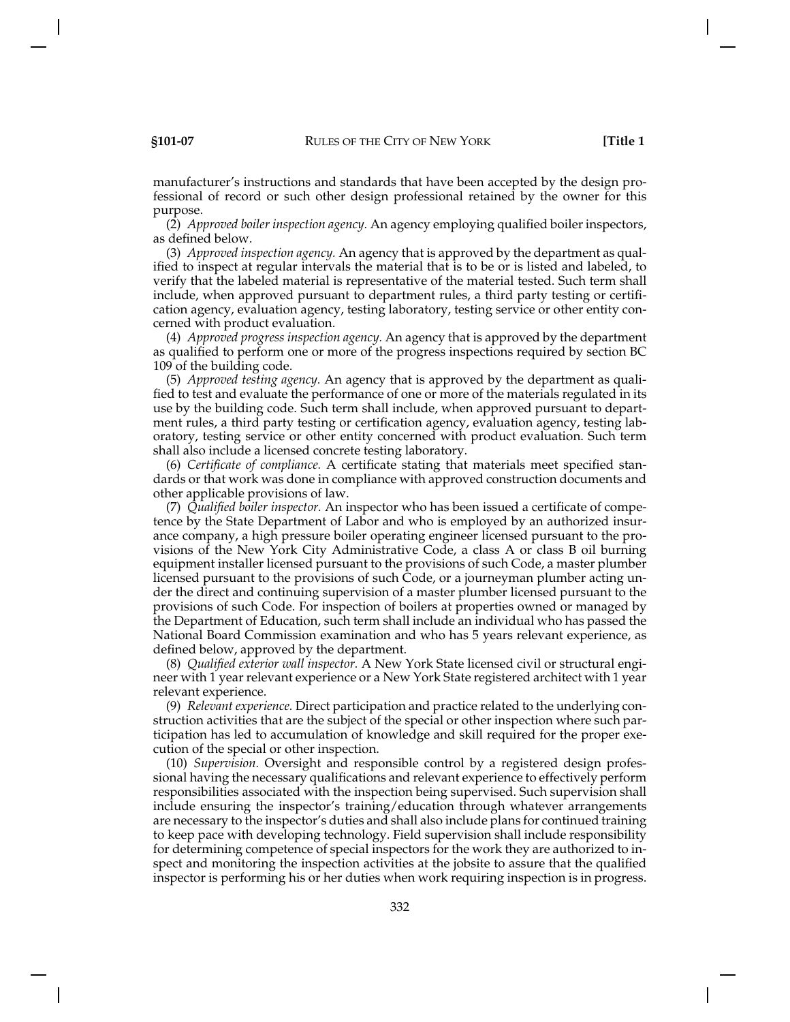manufacturer's instructions and standards that have been accepted by the design professional of record or such other design professional retained by the owner for this purpose.

(2) *Approved boiler inspection agency.* An agency employing qualified boiler inspectors, as defined below.

(3) *Approved inspection agency.* An agency that is approved by the department as qualified to inspect at regular intervals the material that is to be or is listed and labeled, to verify that the labeled material is representative of the material tested. Such term shall include, when approved pursuant to department rules, a third party testing or certification agency, evaluation agency, testing laboratory, testing service or other entity concerned with product evaluation.

(4) *Approved progress inspection agency.* An agency that is approved by the department as qualified to perform one or more of the progress inspections required by section BC 109 of the building code.

(5) *Approved testing agency.* An agency that is approved by the department as qualified to test and evaluate the performance of one or more of the materials regulated in its use by the building code. Such term shall include, when approved pursuant to department rules, a third party testing or certification agency, evaluation agency, testing laboratory, testing service or other entity concerned with product evaluation. Such term shall also include a licensed concrete testing laboratory.

(6) *Certificate of compliance.* A certificate stating that materials meet specified standards or that work was done in compliance with approved construction documents and other applicable provisions of law.

(7) *Qualified boiler inspector.* An inspector who has been issued a certificate of competence by the State Department of Labor and who is employed by an authorized insurance company, a high pressure boiler operating engineer licensed pursuant to the provisions of the New York City Administrative Code, a class A or class B oil burning equipment installer licensed pursuant to the provisions of such Code, a master plumber licensed pursuant to the provisions of such Code, or a journeyman plumber acting under the direct and continuing supervision of a master plumber licensed pursuant to the provisions of such Code. For inspection of boilers at properties owned or managed by the Department of Education, such term shall include an individual who has passed the National Board Commission examination and who has 5 years relevant experience, as defined below, approved by the department.

(8) *Qualified exterior wall inspector.* A New York State licensed civil or structural engineer with 1 year relevant experience or a New York State registered architect with 1 year relevant experience.

(9) *Relevant experience.* Direct participation and practice related to the underlying construction activities that are the subject of the special or other inspection where such participation has led to accumulation of knowledge and skill required for the proper execution of the special or other inspection.

(10) *Supervision.* Oversight and responsible control by a registered design professional having the necessary qualifications and relevant experience to effectively perform responsibilities associated with the inspection being supervised. Such supervision shall include ensuring the inspector's training/education through whatever arrangements are necessary to the inspector's duties and shall also include plans for continued training to keep pace with developing technology. Field supervision shall include responsibility for determining competence of special inspectors for the work they are authorized to inspect and monitoring the inspection activities at the jobsite to assure that the qualified inspector is performing his or her duties when work requiring inspection is in progress.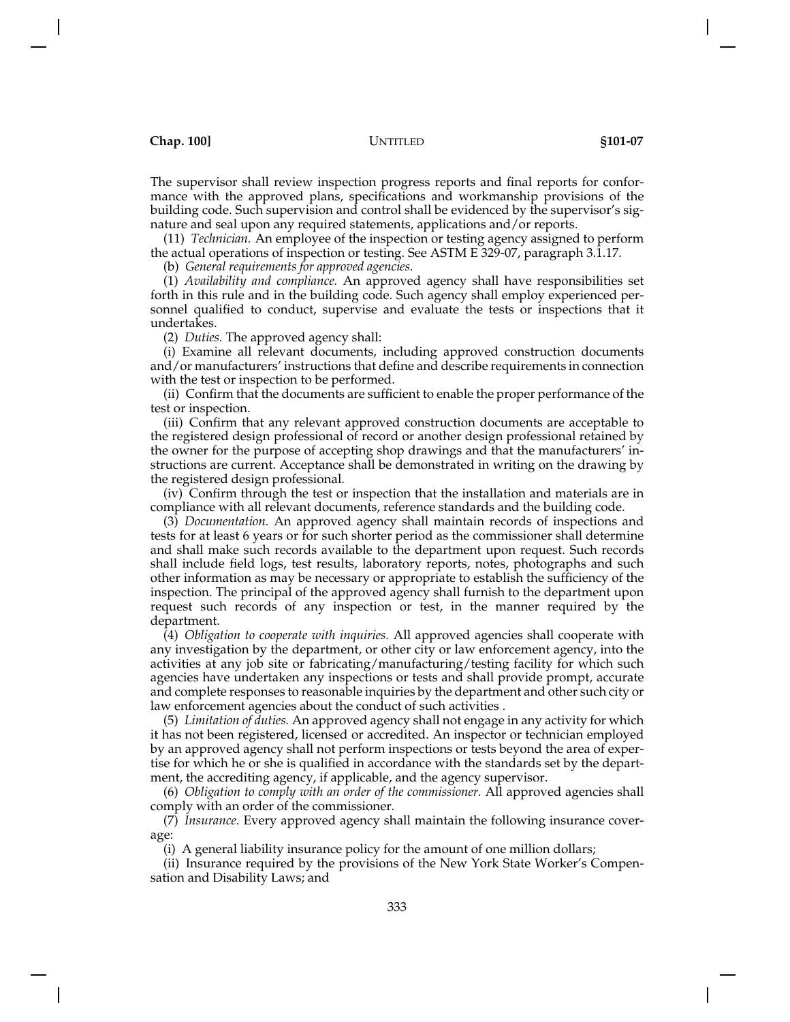The supervisor shall review inspection progress reports and final reports for conformance with the approved plans, specifications and workmanship provisions of the building code. Such supervision and control shall be evidenced by the supervisor's signature and seal upon any required statements, applications and/or reports.

(11) *Technician.* An employee of the inspection or testing agency assigned to perform the actual operations of inspection or testing. See ASTM E 329-07, paragraph 3.1.17.

(b) *General requirements for approved agencies.*

(1) *Availability and compliance.* An approved agency shall have responsibilities set forth in this rule and in the building code. Such agency shall employ experienced personnel qualified to conduct, supervise and evaluate the tests or inspections that it undertakes.

(2) *Duties.* The approved agency shall:

(i) Examine all relevant documents, including approved construction documents and/or manufacturers' instructions that define and describe requirements in connection with the test or inspection to be performed.

(ii) Confirm that the documents are sufficient to enable the proper performance of the test or inspection.

(iii) Confirm that any relevant approved construction documents are acceptable to the registered design professional of record or another design professional retained by the owner for the purpose of accepting shop drawings and that the manufacturers' instructions are current. Acceptance shall be demonstrated in writing on the drawing by the registered design professional.

(iv) Confirm through the test or inspection that the installation and materials are in compliance with all relevant documents, reference standards and the building code.

(3) *Documentation.* An approved agency shall maintain records of inspections and tests for at least 6 years or for such shorter period as the commissioner shall determine and shall make such records available to the department upon request. Such records shall include field logs, test results, laboratory reports, notes, photographs and such other information as may be necessary or appropriate to establish the sufficiency of the inspection. The principal of the approved agency shall furnish to the department upon request such records of any inspection or test, in the manner required by the department.

(4) *Obligation to cooperate with inquiries.* All approved agencies shall cooperate with any investigation by the department, or other city or law enforcement agency, into the activities at any job site or fabricating/manufacturing/testing facility for which such agencies have undertaken any inspections or tests and shall provide prompt, accurate and complete responses to reasonable inquiries by the department and other such city or law enforcement agencies about the conduct of such activities .

(5) *Limitation of duties.* An approved agency shall not engage in any activity for which it has not been registered, licensed or accredited. An inspector or technician employed by an approved agency shall not perform inspections or tests beyond the area of expertise for which he or she is qualified in accordance with the standards set by the department, the accrediting agency, if applicable, and the agency supervisor.

(6) *Obligation to comply with an order of the commissioner.* All approved agencies shall comply with an order of the commissioner.

(7) *Insurance.* Every approved agency shall maintain the following insurance coverage:

(i) A general liability insurance policy for the amount of one million dollars;

(ii) Insurance required by the provisions of the New York State Worker's Compensation and Disability Laws; and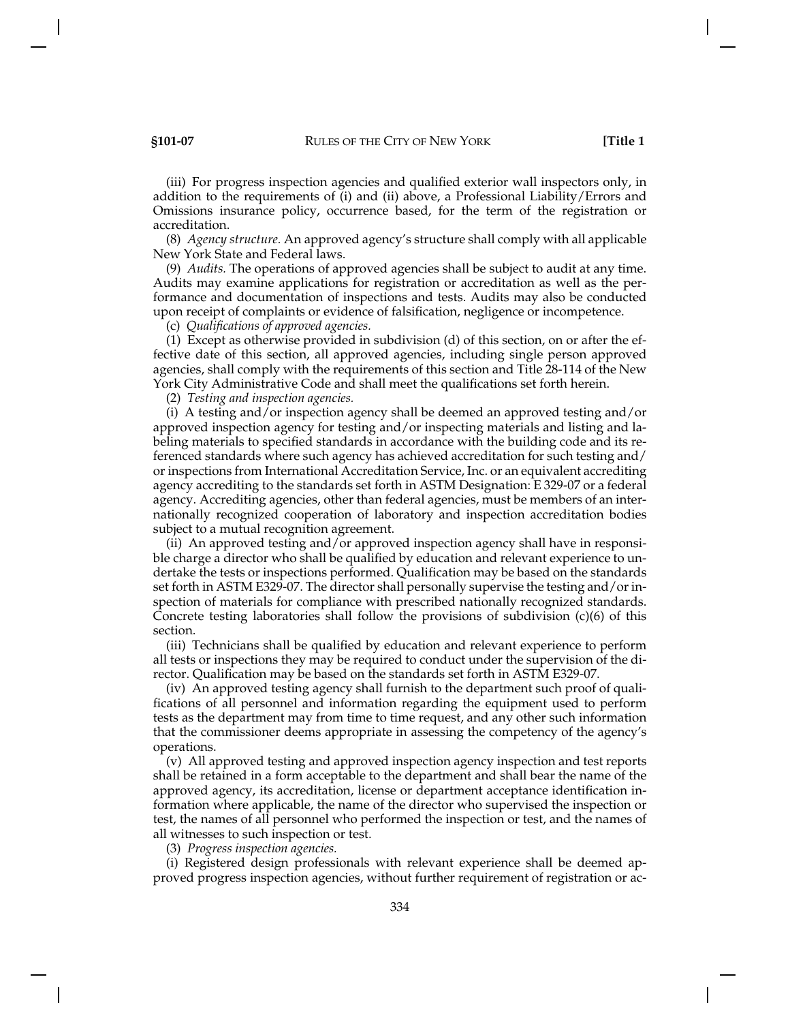(iii) For progress inspection agencies and qualified exterior wall inspectors only, in addition to the requirements of (i) and (ii) above, a Professional Liability/Errors and Omissions insurance policy, occurrence based, for the term of the registration or accreditation.

(8) *Agency structure.* An approved agency's structure shall comply with all applicable New York State and Federal laws.

(9) *Audits.* The operations of approved agencies shall be subject to audit at any time. Audits may examine applications for registration or accreditation as well as the performance and documentation of inspections and tests. Audits may also be conducted upon receipt of complaints or evidence of falsification, negligence or incompetence.

(c) *Qualifications of approved agencies.*

(1) Except as otherwise provided in subdivision (d) of this section, on or after the effective date of this section, all approved agencies, including single person approved agencies, shall comply with the requirements of this section and Title 28-114 of the New York City Administrative Code and shall meet the qualifications set forth herein.

(2) *Testing and inspection agencies.*

(i) A testing and/or inspection agency shall be deemed an approved testing and/or approved inspection agency for testing and/or inspecting materials and listing and labeling materials to specified standards in accordance with the building code and its referenced standards where such agency has achieved accreditation for such testing and/ or inspections from International Accreditation Service, Inc. or an equivalent accrediting agency accrediting to the standards set forth in ASTM Designation: E 329-07 or a federal agency. Accrediting agencies, other than federal agencies, must be members of an internationally recognized cooperation of laboratory and inspection accreditation bodies subject to a mutual recognition agreement.

(ii) An approved testing and/or approved inspection agency shall have in responsible charge a director who shall be qualified by education and relevant experience to undertake the tests or inspections performed. Qualification may be based on the standards set forth in ASTM E329-07. The director shall personally supervise the testing and/or inspection of materials for compliance with prescribed nationally recognized standards. Concrete testing laboratories shall follow the provisions of subdivision  $(c)(6)$  of this section.

(iii) Technicians shall be qualified by education and relevant experience to perform all tests or inspections they may be required to conduct under the supervision of the director. Qualification may be based on the standards set forth in ASTM E329-07.

(iv) An approved testing agency shall furnish to the department such proof of qualifications of all personnel and information regarding the equipment used to perform tests as the department may from time to time request, and any other such information that the commissioner deems appropriate in assessing the competency of the agency's operations.

(v) All approved testing and approved inspection agency inspection and test reports shall be retained in a form acceptable to the department and shall bear the name of the approved agency, its accreditation, license or department acceptance identification information where applicable, the name of the director who supervised the inspection or test, the names of all personnel who performed the inspection or test, and the names of all witnesses to such inspection or test.

(3) *Progress inspection agencies.*

(i) Registered design professionals with relevant experience shall be deemed approved progress inspection agencies, without further requirement of registration or ac-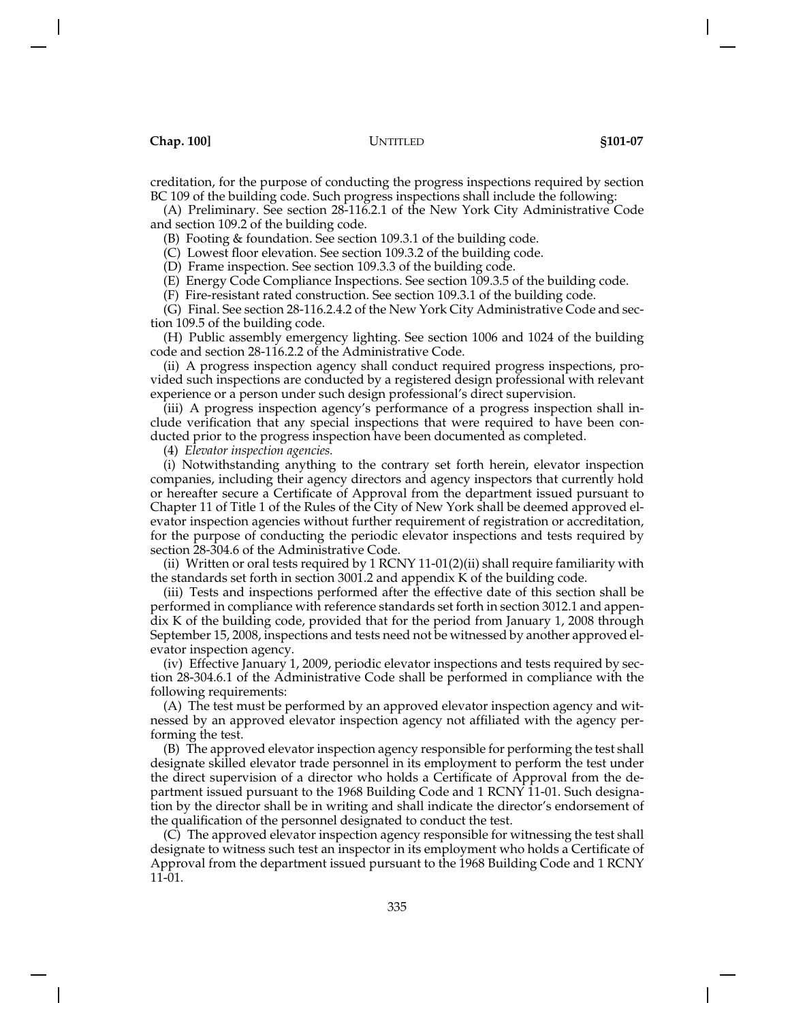creditation, for the purpose of conducting the progress inspections required by section BC 109 of the building code. Such progress inspections shall include the following:

(A) Preliminary. See section 28-116.2.1 of the New York City Administrative Code and section 109.2 of the building code.

(B) Footing & foundation. See section 109.3.1 of the building code.

(C) Lowest floor elevation. See section 109.3.2 of the building code.

(D) Frame inspection. See section 109.3.3 of the building code.

(E) Energy Code Compliance Inspections. See section 109.3.5 of the building code.

(F) Fire-resistant rated construction. See section 109.3.1 of the building code.

(G) Final. See section 28-116.2.4.2 of the New York City Administrative Code and section 109.5 of the building code.

(H) Public assembly emergency lighting. See section 1006 and 1024 of the building code and section 28-116.2.2 of the Administrative Code.

(ii) A progress inspection agency shall conduct required progress inspections, provided such inspections are conducted by a registered design professional with relevant experience or a person under such design professional's direct supervision.

(iii) A progress inspection agency's performance of a progress inspection shall include verification that any special inspections that were required to have been conducted prior to the progress inspection have been documented as completed.

(4) *Elevator inspection agencies.*

(i) Notwithstanding anything to the contrary set forth herein, elevator inspection companies, including their agency directors and agency inspectors that currently hold or hereafter secure a Certificate of Approval from the department issued pursuant to Chapter 11 of Title 1 of the Rules of the City of New York shall be deemed approved elevator inspection agencies without further requirement of registration or accreditation, for the purpose of conducting the periodic elevator inspections and tests required by section 28-304.6 of the Administrative Code.

(ii) Written or oral tests required by 1 RCNY 11-01(2)(ii) shall require familiarity with the standards set forth in section 3001.2 and appendix K of the building code.

(iii) Tests and inspections performed after the effective date of this section shall be performed in compliance with reference standards set forth in section 3012.1 and appendix K of the building code, provided that for the period from January 1, 2008 through September 15, 2008, inspections and tests need not be witnessed by another approved elevator inspection agency.

(iv) Effective January 1, 2009, periodic elevator inspections and tests required by section 28-304.6.1 of the Administrative Code shall be performed in compliance with the following requirements:

(A) The test must be performed by an approved elevator inspection agency and witnessed by an approved elevator inspection agency not affiliated with the agency performing the test.

(B) The approved elevator inspection agency responsible for performing the test shall designate skilled elevator trade personnel in its employment to perform the test under the direct supervision of a director who holds a Certificate of Approval from the department issued pursuant to the 1968 Building Code and 1 RCNY 11-01. Such designation by the director shall be in writing and shall indicate the director's endorsement of the qualification of the personnel designated to conduct the test.

(C) The approved elevator inspection agency responsible for witnessing the test shall designate to witness such test an inspector in its employment who holds a Certificate of Approval from the department issued pursuant to the 1968 Building Code and 1 RCNY  $11 - 01$ .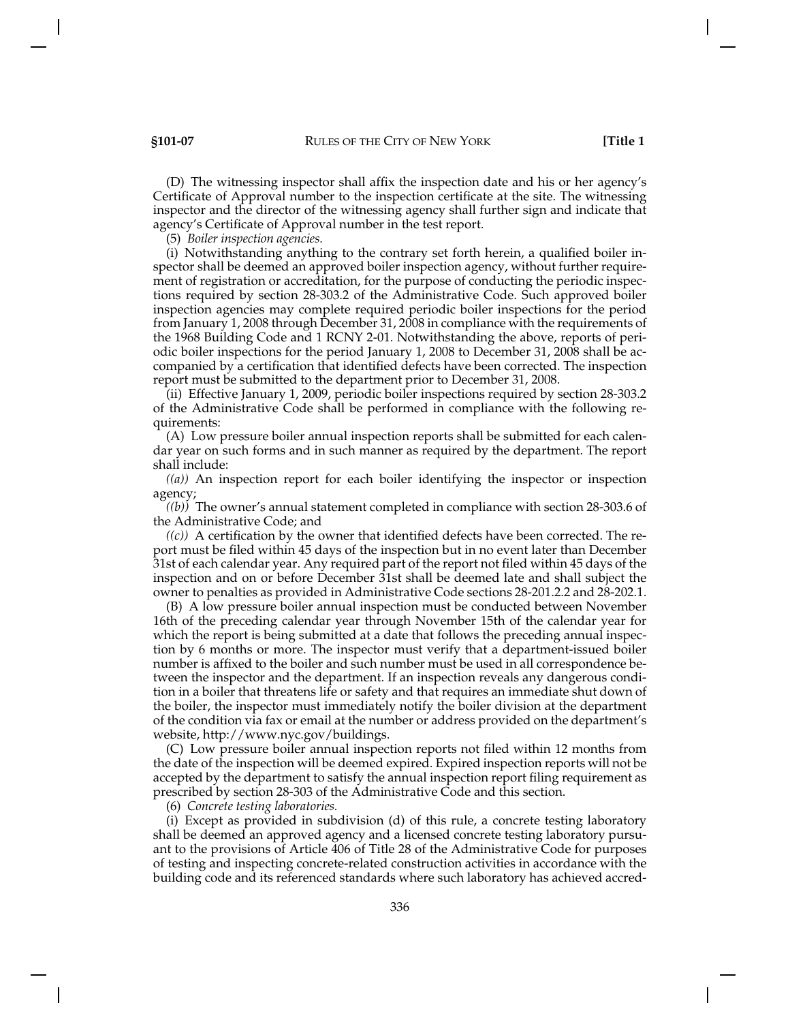(D) The witnessing inspector shall affix the inspection date and his or her agency's Certificate of Approval number to the inspection certificate at the site. The witnessing inspector and the director of the witnessing agency shall further sign and indicate that agency's Certificate of Approval number in the test report.

(5) *Boiler inspection agencies.*

(i) Notwithstanding anything to the contrary set forth herein, a qualified boiler inspector shall be deemed an approved boiler inspection agency, without further requirement of registration or accreditation, for the purpose of conducting the periodic inspections required by section 28-303.2 of the Administrative Code. Such approved boiler inspection agencies may complete required periodic boiler inspections for the period from January 1, 2008 through December 31, 2008 in compliance with the requirements of the 1968 Building Code and 1 RCNY 2-01. Notwithstanding the above, reports of periodic boiler inspections for the period January 1, 2008 to December 31, 2008 shall be accompanied by a certification that identified defects have been corrected. The inspection report must be submitted to the department prior to December 31, 2008.

(ii) Effective January 1, 2009, periodic boiler inspections required by section 28-303.2 of the Administrative Code shall be performed in compliance with the following requirements:

(A) Low pressure boiler annual inspection reports shall be submitted for each calendar year on such forms and in such manner as required by the department. The report shall include:

*((a))* An inspection report for each boiler identifying the inspector or inspection agency;

*((b))* The owner's annual statement completed in compliance with section 28-303.6 of the Administrative Code; and

*((c))* A certification by the owner that identified defects have been corrected. The report must be filed within 45 days of the inspection but in no event later than December 31st of each calendar year. Any required part of the report not filed within 45 days of the inspection and on or before December 31st shall be deemed late and shall subject the owner to penalties as provided in Administrative Code sections 28-201.2.2 and 28-202.1.

(B) A low pressure boiler annual inspection must be conducted between November 16th of the preceding calendar year through November 15th of the calendar year for which the report is being submitted at a date that follows the preceding annual inspection by 6 months or more. The inspector must verify that a department-issued boiler number is affixed to the boiler and such number must be used in all correspondence between the inspector and the department. If an inspection reveals any dangerous condition in a boiler that threatens life or safety and that requires an immediate shut down of the boiler, the inspector must immediately notify the boiler division at the department of the condition via fax or email at the number or address provided on the department's website, http://www.nyc.gov/buildings.

(C) Low pressure boiler annual inspection reports not filed within 12 months from the date of the inspection will be deemed expired. Expired inspection reports will not be accepted by the department to satisfy the annual inspection report filing requirement as prescribed by section 28-303 of the Administrative Code and this section.

(6) *Concrete testing laboratories.*

(i) Except as provided in subdivision (d) of this rule, a concrete testing laboratory shall be deemed an approved agency and a licensed concrete testing laboratory pursuant to the provisions of Article 406 of Title 28 of the Administrative Code for purposes of testing and inspecting concrete-related construction activities in accordance with the building code and its referenced standards where such laboratory has achieved accred-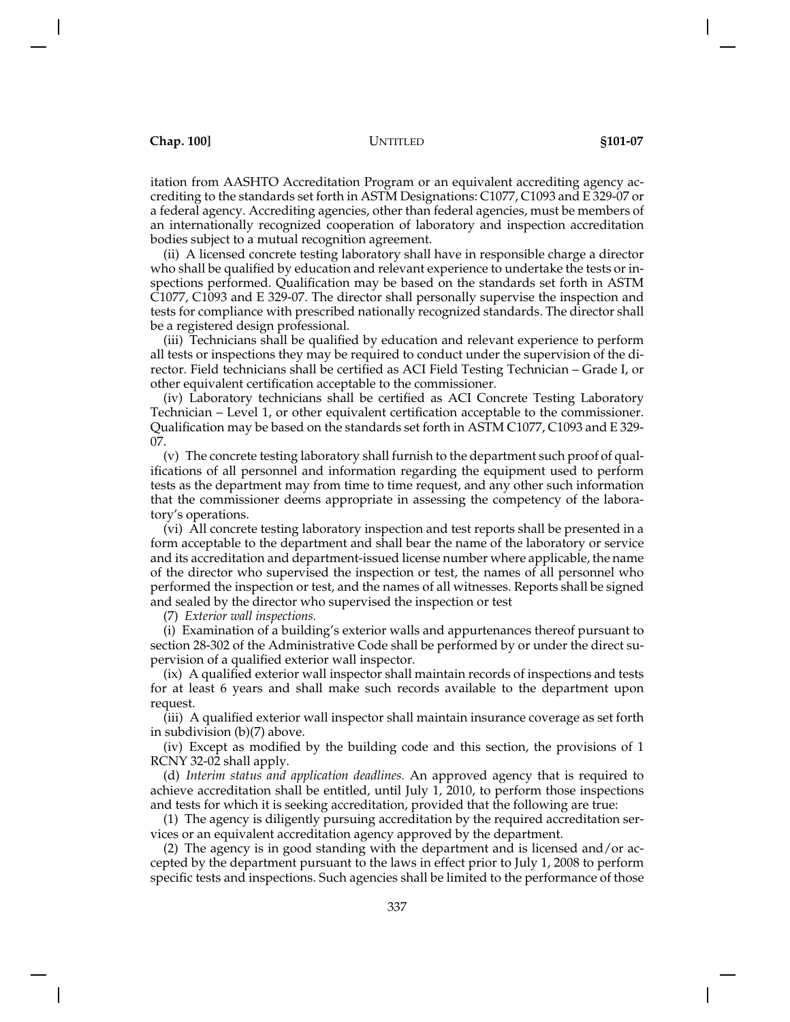itation from AASHTO Accreditation Program or an equivalent accrediting agency accrediting to the standards set forth in ASTM Designations: C1077, C1093 and E 329-07 or a federal agency. Accrediting agencies, other than federal agencies, must be members of an internationally recognized cooperation of laboratory and inspection accreditation bodies subject to a mutual recognition agreement.

(ii) A licensed concrete testing laboratory shall have in responsible charge a director who shall be qualified by education and relevant experience to undertake the tests or inspections performed. Qualification may be based on the standards set forth in ASTM C1077, C1093 and E 329-07. The director shall personally supervise the inspection and tests for compliance with prescribed nationally recognized standards. The director shall be a registered design professional.

(iii) Technicians shall be qualified by education and relevant experience to perform all tests or inspections they may be required to conduct under the supervision of the director. Field technicians shall be certified as ACI Field Testing Technician – Grade I, or other equivalent certification acceptable to the commissioner.

(iv) Laboratory technicians shall be certified as ACI Concrete Testing Laboratory Technician – Level 1, or other equivalent certification acceptable to the commissioner. Qualification may be based on the standards set forth in ASTM C1077, C1093 and E 329- 07.

(v) The concrete testing laboratory shall furnish to the department such proof of qualifications of all personnel and information regarding the equipment used to perform tests as the department may from time to time request, and any other such information that the commissioner deems appropriate in assessing the competency of the laboratory's operations.

(vi) All concrete testing laboratory inspection and test reports shall be presented in a form acceptable to the department and shall bear the name of the laboratory or service and its accreditation and department-issued license number where applicable, the name of the director who supervised the inspection or test, the names of all personnel who performed the inspection or test, and the names of all witnesses. Reports shall be signed and sealed by the director who supervised the inspection or test

(7) *Exterior wall inspections.*

(i) Examination of a building's exterior walls and appurtenances thereof pursuant to section 28-302 of the Administrative Code shall be performed by or under the direct supervision of a qualified exterior wall inspector.

(ix) A qualified exterior wall inspector shall maintain records of inspections and tests for at least 6 years and shall make such records available to the department upon request.

(iii) A qualified exterior wall inspector shall maintain insurance coverage as set forth in subdivision (b)(7) above.

(iv) Except as modified by the building code and this section, the provisions of 1 RCNY 32-02 shall apply.

(d) *Interim status and application deadlines.* An approved agency that is required to achieve accreditation shall be entitled, until July 1, 2010, to perform those inspections and tests for which it is seeking accreditation, provided that the following are true:

(1) The agency is diligently pursuing accreditation by the required accreditation services or an equivalent accreditation agency approved by the department.

(2) The agency is in good standing with the department and is licensed and/or accepted by the department pursuant to the laws in effect prior to July 1, 2008 to perform specific tests and inspections. Such agencies shall be limited to the performance of those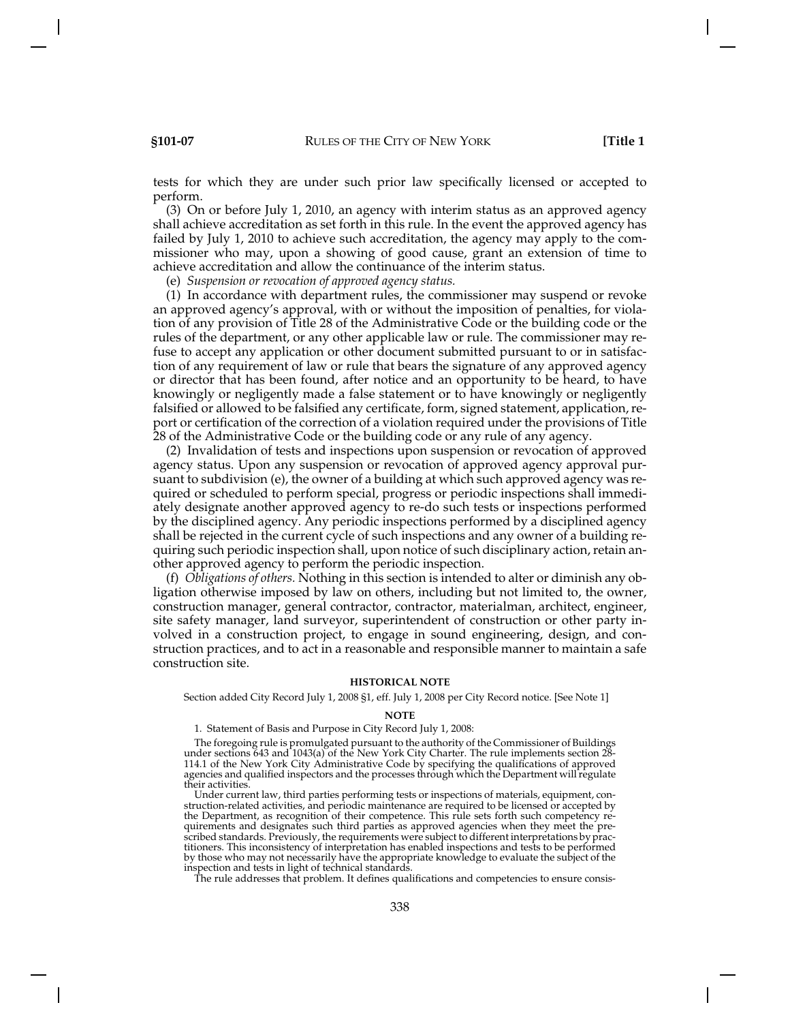tests for which they are under such prior law specifically licensed or accepted to perform.

(3) On or before July 1, 2010, an agency with interim status as an approved agency shall achieve accreditation as set forth in this rule. In the event the approved agency has failed by July 1, 2010 to achieve such accreditation, the agency may apply to the commissioner who may, upon a showing of good cause, grant an extension of time to achieve accreditation and allow the continuance of the interim status.

(e) *Suspension or revocation of approved agency status.*

(1) In accordance with department rules, the commissioner may suspend or revoke an approved agency's approval, with or without the imposition of penalties, for violation of any provision of Title 28 of the Administrative Code or the building code or the rules of the department, or any other applicable law or rule. The commissioner may refuse to accept any application or other document submitted pursuant to or in satisfaction of any requirement of law or rule that bears the signature of any approved agency or director that has been found, after notice and an opportunity to be heard, to have knowingly or negligently made a false statement or to have knowingly or negligently falsified or allowed to be falsified any certificate, form, signed statement, application, report or certification of the correction of a violation required under the provisions of Title 28 of the Administrative Code or the building code or any rule of any agency.

(2) Invalidation of tests and inspections upon suspension or revocation of approved agency status. Upon any suspension or revocation of approved agency approval pursuant to subdivision (e), the owner of a building at which such approved agency was required or scheduled to perform special, progress or periodic inspections shall immediately designate another approved agency to re-do such tests or inspections performed by the disciplined agency. Any periodic inspections performed by a disciplined agency shall be rejected in the current cycle of such inspections and any owner of a building requiring such periodic inspection shall, upon notice of such disciplinary action, retain another approved agency to perform the periodic inspection.

(f) *Obligations of others.* Nothing in this section is intended to alter or diminish any obligation otherwise imposed by law on others, including but not limited to, the owner, construction manager, general contractor, contractor, materialman, architect, engineer, site safety manager, land surveyor, superintendent of construction or other party involved in a construction project, to engage in sound engineering, design, and construction practices, and to act in a reasonable and responsible manner to maintain a safe construction site.

### **HISTORICAL NOTE**

Section added City Record July 1, 2008 §1, eff. July 1, 2008 per City Record notice. [See Note 1]

### **NOTE**

1. Statement of Basis and Purpose in City Record July 1, 2008:

The foregoing rule is promulgated pursuant to the authority of the Commissioner of Buildings under sections 643 and 1043(a) of the New York City Charter. The rule implements section 28- 114.1 of the New York City Administrative Code by specifying the qualifications of approved agencies and qualified inspectors and the processes through which the Department will regulate their activities.

Under current law, third parties performing tests or inspections of materials, equipment, construction-related activities, and periodic maintenance are required to be licensed or accepted by the Department, as recognition of their competence. This rule sets forth such competency requirements and designates such third parties as approved agencies when they meet the prescribed standards. Previously, the requirements were subject to different interpretations by practitioners. This inconsistency of interpretation has enabled inspections and tests to be performed by those who may not necessarily have the appropriate knowledge to evaluate the subject of the inspection and tests in light of technical standards.

The rule addresses that problem. It defines qualifications and competencies to ensure consis-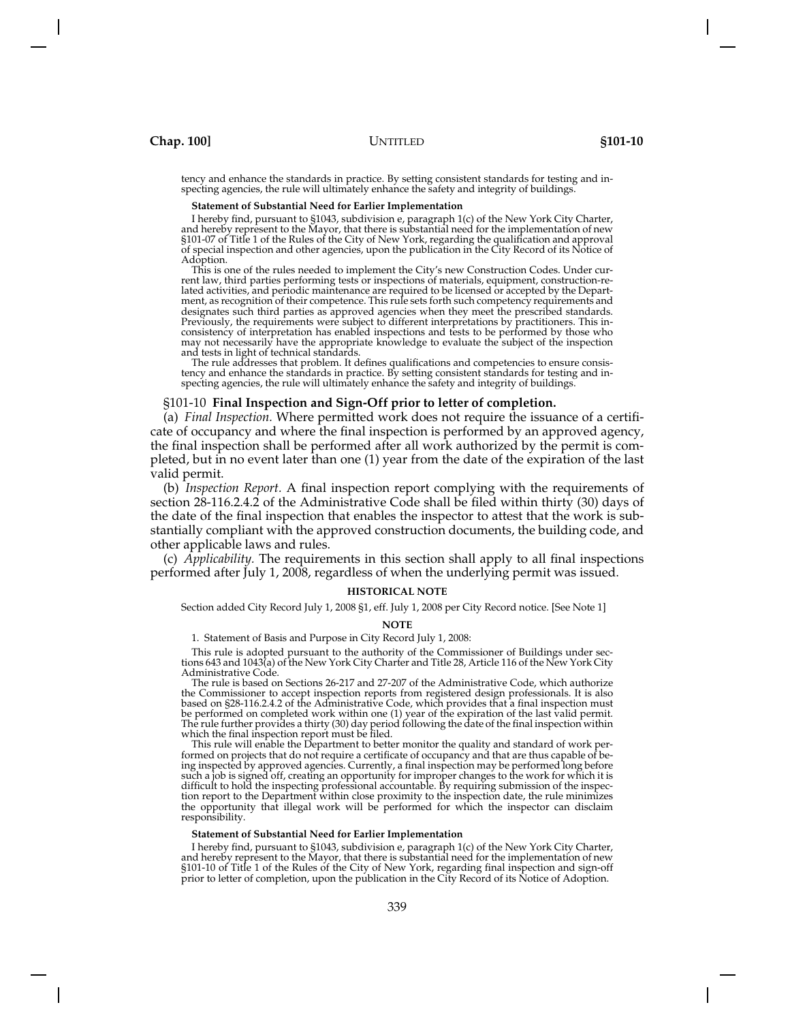tency and enhance the standards in practice. By setting consistent standards for testing and inspecting agencies, the rule will ultimately enhance the safety and integrity of buildings.

### **Statement of Substantial Need for Earlier Implementation**

I hereby find, pursuant to §1043, subdivision e, paragraph 1(c) of the New York City Charter, and hereby represent to the Mayor, that there is substantial need for the implementation of new §101-07 of Title 1 of the Rules of the City of New York, regarding the qualification and approval of special inspection and other agencies, upon the publication in the City Record of its Notice of Adoption.

This is one of the rules needed to implement the City's new Construction Codes. Under current law, third parties performing tests or inspections of materials, equipment, construction-related activities, and periodic maintenance are required to be licensed or accepted by the Department, as recognition of their competence. This rule sets forth such competency requirements and designates such third parties as approved agencies when they meet the prescribed standards. Previously, the requirements were subject to different interpretations by practitioners. This inconsistency of interpretation has enabled inspections and tests to be performed by those who may not necessarily have the appropriate knowledge to evaluate the subject of the inspection and tests in light of technical standards.

The rule addresses that problem. It defines qualifications and competencies to ensure consistency and enhance the standards in practice. By setting consistent standards for testing and inspecting agencies, the rule will ultimately enhance the safety and integrity of buildings.

## §101-10 **Final Inspection and Sign-Off prior to letter of completion.**

(a) *Final Inspection.* Where permitted work does not require the issuance of a certificate of occupancy and where the final inspection is performed by an approved agency, the final inspection shall be performed after all work authorized by the permit is completed, but in no event later than one (1) year from the date of the expiration of the last valid permit.

(b) *Inspection Report.* A final inspection report complying with the requirements of section 28-116.2.4.2 of the Administrative Code shall be filed within thirty (30) days of the date of the final inspection that enables the inspector to attest that the work is substantially compliant with the approved construction documents, the building code, and other applicable laws and rules.

(c) *Applicability.* The requirements in this section shall apply to all final inspections performed after July 1, 2008, regardless of when the underlying permit was issued.

### **HISTORICAL NOTE**

Section added City Record July 1, 2008 §1, eff. July 1, 2008 per City Record notice. [See Note 1]

#### **NOTE**

1. Statement of Basis and Purpose in City Record July 1, 2008:

This rule is adopted pursuant to the authority of the Commissioner of Buildings under sections 643 and 1043(a) of the New York City Charter and Title 28, Article 116 of the New York City Administrative Code.

The rule is based on Sections 26-217 and 27-207 of the Administrative Code, which authorize the Commissioner to accept inspection reports from registered design professionals. It is also based on §28-116.2.4.2 of the Administrative Code, which provides that a final inspection must be performed on completed work within one (1) year of the expiration of the last valid permit. The rule further provides a thirty (30) day period following the date of the final inspection within which the final inspection report must be filed.

This rule will enable the Department to better monitor the quality and standard of work performed on projects that do not require a certificate of occupancy and that are thus capable of being inspected by approved agencies. Currently, a final inspection may be performed long before such a job is signed off, creating an opportunity for improper changes to the work for which it is difficult to hold the inspecting professional accountable. By requiring submission of the inspection report to the Department within close proximity to the inspection date, the rule minimizes the opportunity that illegal work will be performed for which the inspector can disclaim responsibility.

### **Statement of Substantial Need for Earlier Implementation**

I hereby find, pursuant to §1043, subdivision e, paragraph 1(c) of the New York City Charter, and hereby represent to the Mayor, that there is substantial need for the implementation of new §101-10 of Title 1 of the Rules of the City of New York, regarding final inspection and sign-off prior to letter of completion, upon the publication in the City Record of its Notice of Adoption.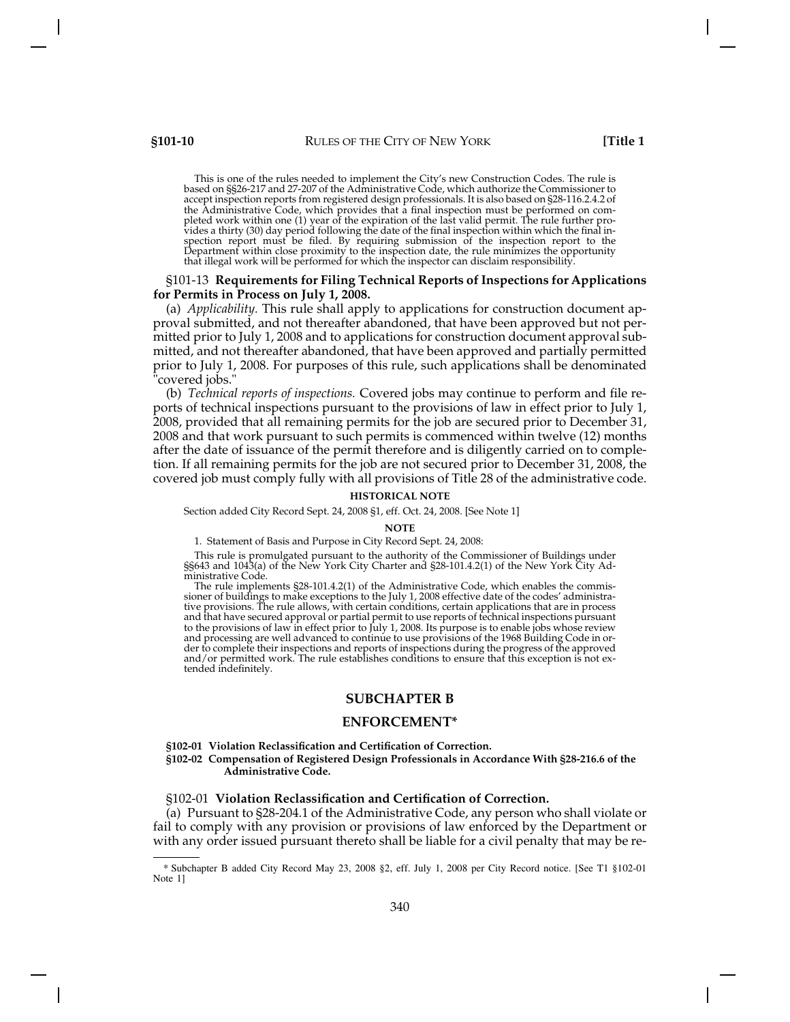This is one of the rules needed to implement the City's new Construction Codes. The rule is based on §§26-217 and 27-207 of the Administrative Code, which authorize the Commissioner to accept inspection reports from registered design professionals. It is also based on §28-116.2.4.2 of the Administrative Code, which provides that a final inspection must be performed on completed work within one (1) year of the expiration of the last valid permit. The rule further provides a thirty (30) day period following the date of the final inspection within which the final inspection report must be filed. By requiring submission of the inspection report to the Department within close proximity to the inspection date, the rule minimizes the opportunity that illegal work will be performed for which the inspector can disclaim responsibility.

# §101-13 **Requirements for Filing Technical Reports of Inspections for Applications for Permits in Process on July 1, 2008.**

(a) *Applicability.* This rule shall apply to applications for construction document approval submitted, and not thereafter abandoned, that have been approved but not permitted prior to July 1, 2008 and to applications for construction document approval submitted, and not thereafter abandoned, that have been approved and partially permitted prior to July 1, 2008. For purposes of this rule, such applications shall be denominated "covered jobs."

(b) *Technical reports of inspections.* Covered jobs may continue to perform and file reports of technical inspections pursuant to the provisions of law in effect prior to July 1, 2008, provided that all remaining permits for the job are secured prior to December 31, 2008 and that work pursuant to such permits is commenced within twelve (12) months after the date of issuance of the permit therefore and is diligently carried on to completion. If all remaining permits for the job are not secured prior to December 31, 2008, the covered job must comply fully with all provisions of Title 28 of the administrative code.

### **HISTORICAL NOTE**

Section added City Record Sept. 24, 2008 §1, eff. Oct. 24, 2008. [See Note 1]

**NOTE**

1. Statement of Basis and Purpose in City Record Sept. 24, 2008:

This rule is promulgated pursuant to the authority of the Commissioner of Buildings under §§643 and 1043(a) of the New York City Charter and §28-101.4.2(1) of the New York City Administrative Code.

The rule implements §28-101.4.2(1) of the Administrative Code, which enables the commissioner of buildings to make exceptions to the July 1, 2008 effective date of the codes' administrative provisions. The rule allows, with certain conditions, certain applications that are in process and that have secured approval or partial permit to use reports of technical inspections pursuant to the provisions of law in effect prior to July 1, 2008. Its purpose is to enable jobs whose review and processing are well advanced to continue to use provisions of the 1968 Building Code in order to complete their inspections and reports of inspections during the progress of the approved and/or permitted work. The rule establishes conditions to ensure that this exception is not extended indefinitely.

# **SUBCHAPTER B**

# **ENFORCEMENT\***

### **§102-01 Violation Reclassification and Certification of Correction.**

**§102-02 Compensation of Registered Design Professionals in Accordance With §28-216.6 of the Administrative Code.**

## §102-01 **Violation Reclassification and Certification of Correction.**

(a) Pursuant to §28-204.1 of the Administrative Code, any person who shall violate or fail to comply with any provision or provisions of law enforced by the Department or with any order issued pursuant thereto shall be liable for a civil penalty that may be re-

<sup>\*</sup> Subchapter B added City Record May 23, 2008 §2, eff. July 1, 2008 per City Record notice. [See T1 §102-01 Note 1]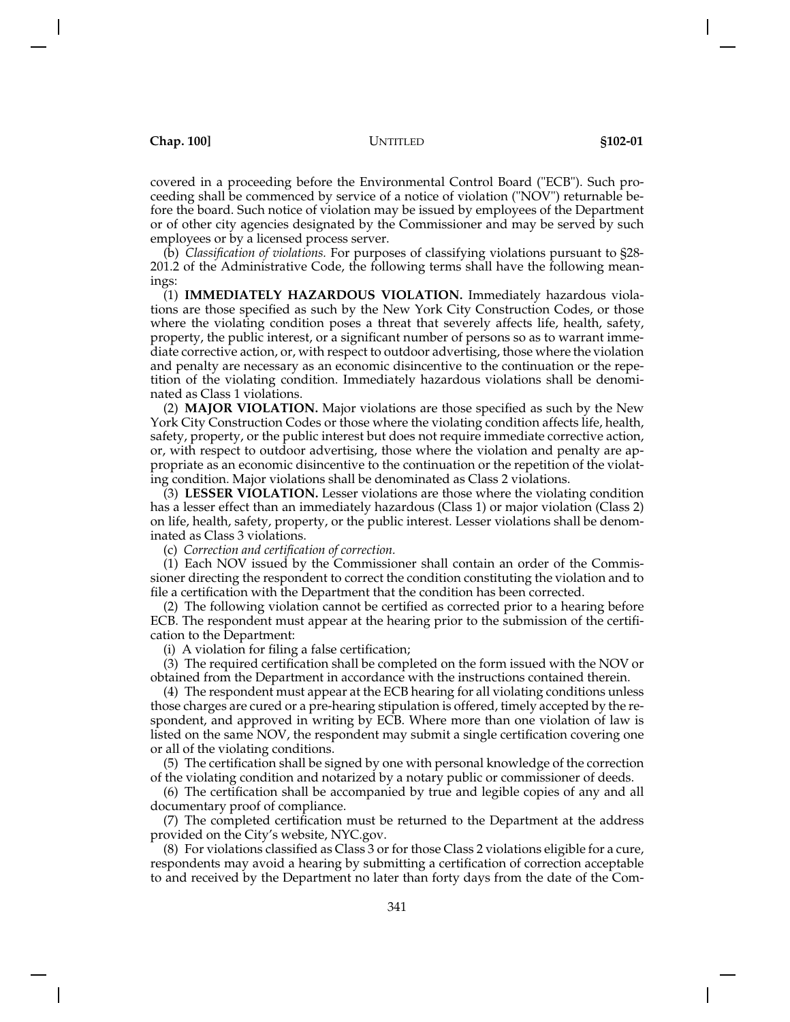covered in a proceeding before the Environmental Control Board ("ECB"). Such proceeding shall be commenced by service of a notice of violation ("NOV") returnable before the board. Such notice of violation may be issued by employees of the Department or of other city agencies designated by the Commissioner and may be served by such employees or by a licensed process server.

(b) *Classification of violations.* For purposes of classifying violations pursuant to §28- 201.2 of the Administrative Code, the following terms shall have the following meanings:

(1) **IMMEDIATELY HAZARDOUS VIOLATION.** Immediately hazardous violations are those specified as such by the New York City Construction Codes, or those where the violating condition poses a threat that severely affects life, health, safety, property, the public interest, or a significant number of persons so as to warrant immediate corrective action, or, with respect to outdoor advertising, those where the violation and penalty are necessary as an economic disincentive to the continuation or the repetition of the violating condition. Immediately hazardous violations shall be denominated as Class 1 violations.

(2) **MAJOR VIOLATION.** Major violations are those specified as such by the New York City Construction Codes or those where the violating condition affects life, health, safety, property, or the public interest but does not require immediate corrective action, or, with respect to outdoor advertising, those where the violation and penalty are appropriate as an economic disincentive to the continuation or the repetition of the violating condition. Major violations shall be denominated as Class 2 violations.

(3) **LESSER VIOLATION.** Lesser violations are those where the violating condition has a lesser effect than an immediately hazardous (Class 1) or major violation (Class 2) on life, health, safety, property, or the public interest. Lesser violations shall be denominated as Class 3 violations.

(c) *Correction and certification of correction.*

(1) Each NOV issued by the Commissioner shall contain an order of the Commissioner directing the respondent to correct the condition constituting the violation and to file a certification with the Department that the condition has been corrected.

(2) The following violation cannot be certified as corrected prior to a hearing before ECB. The respondent must appear at the hearing prior to the submission of the certification to the Department:

(i) A violation for filing a false certification;

(3) The required certification shall be completed on the form issued with the NOV or obtained from the Department in accordance with the instructions contained therein.

(4) The respondent must appear at the ECB hearing for all violating conditions unless those charges are cured or a pre-hearing stipulation is offered, timely accepted by the respondent, and approved in writing by ECB. Where more than one violation of law is listed on the same NOV, the respondent may submit a single certification covering one or all of the violating conditions.

(5) The certification shall be signed by one with personal knowledge of the correction of the violating condition and notarized by a notary public or commissioner of deeds.

(6) The certification shall be accompanied by true and legible copies of any and all documentary proof of compliance.

(7) The completed certification must be returned to the Department at the address provided on the City's website, NYC.gov.

(8) For violations classified as Class 3 or for those Class 2 violations eligible for a cure, respondents may avoid a hearing by submitting a certification of correction acceptable to and received by the Department no later than forty days from the date of the Com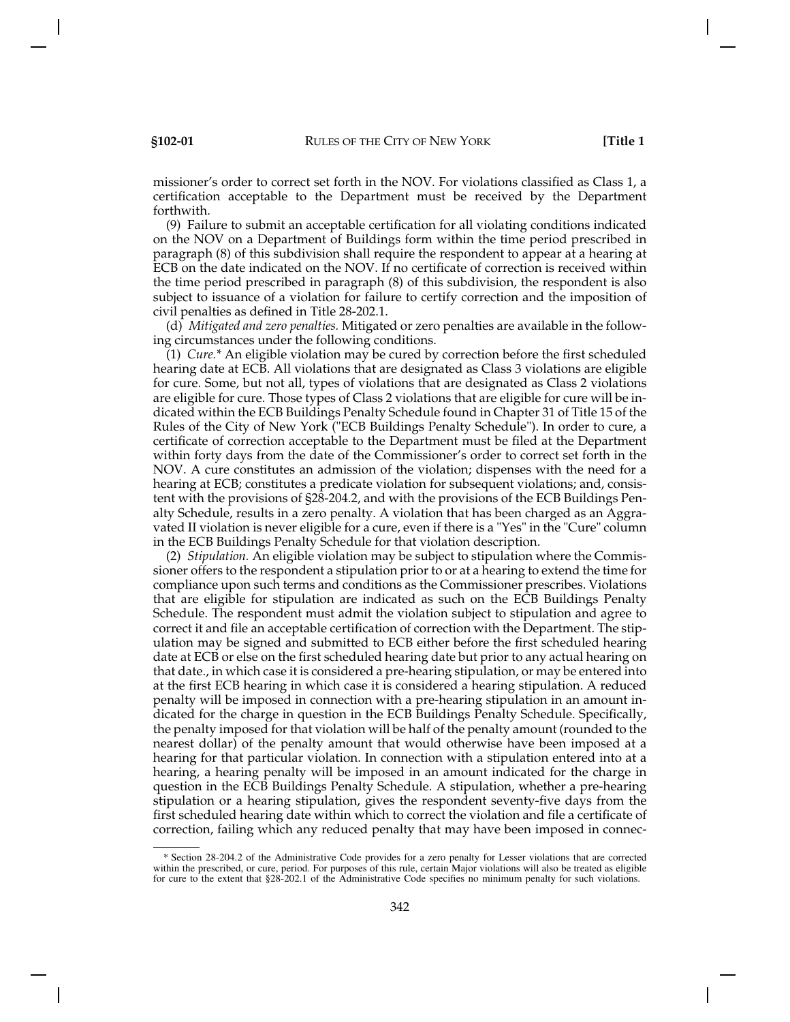missioner's order to correct set forth in the NOV. For violations classified as Class 1, a certification acceptable to the Department must be received by the Department forthwith.

(9) Failure to submit an acceptable certification for all violating conditions indicated on the NOV on a Department of Buildings form within the time period prescribed in paragraph (8) of this subdivision shall require the respondent to appear at a hearing at ECB on the date indicated on the NOV. If no certificate of correction is received within the time period prescribed in paragraph (8) of this subdivision, the respondent is also subject to issuance of a violation for failure to certify correction and the imposition of civil penalties as defined in Title 28-202.1.

(d) *Mitigated and zero penalties.* Mitigated or zero penalties are available in the following circumstances under the following conditions.

(1) *Cure.\** An eligible violation may be cured by correction before the first scheduled hearing date at ECB. All violations that are designated as Class 3 violations are eligible for cure. Some, but not all, types of violations that are designated as Class 2 violations are eligible for cure. Those types of Class 2 violations that are eligible for cure will be indicated within the ECB Buildings Penalty Schedule found in Chapter 31 of Title 15 of the Rules of the City of New York ("ECB Buildings Penalty Schedule"). In order to cure, a certificate of correction acceptable to the Department must be filed at the Department within forty days from the date of the Commissioner's order to correct set forth in the NOV. A cure constitutes an admission of the violation; dispenses with the need for a hearing at ECB; constitutes a predicate violation for subsequent violations; and, consistent with the provisions of §28-204.2, and with the provisions of the ECB Buildings Penalty Schedule, results in a zero penalty. A violation that has been charged as an Aggravated II violation is never eligible for a cure, even if there is a "Yes" in the "Cure" column in the ECB Buildings Penalty Schedule for that violation description.

(2) *Stipulation.* An eligible violation may be subject to stipulation where the Commissioner offers to the respondent a stipulation prior to or at a hearing to extend the time for compliance upon such terms and conditions as the Commissioner prescribes. Violations that are eligible for stipulation are indicated as such on the ECB Buildings Penalty Schedule. The respondent must admit the violation subject to stipulation and agree to correct it and file an acceptable certification of correction with the Department. The stipulation may be signed and submitted to ECB either before the first scheduled hearing date at ECB or else on the first scheduled hearing date but prior to any actual hearing on that date., in which case it is considered a pre-hearing stipulation, or may be entered into at the first ECB hearing in which case it is considered a hearing stipulation. A reduced penalty will be imposed in connection with a pre-hearing stipulation in an amount indicated for the charge in question in the ECB Buildings Penalty Schedule. Specifically, the penalty imposed for that violation will be half of the penalty amount (rounded to the nearest dollar) of the penalty amount that would otherwise have been imposed at a hearing for that particular violation. In connection with a stipulation entered into at a hearing, a hearing penalty will be imposed in an amount indicated for the charge in question in the ECB Buildings Penalty Schedule. A stipulation, whether a pre-hearing stipulation or a hearing stipulation, gives the respondent seventy-five days from the first scheduled hearing date within which to correct the violation and file a certificate of correction, failing which any reduced penalty that may have been imposed in connec-

<sup>\*</sup> Section 28-204.2 of the Administrative Code provides for a zero penalty for Lesser violations that are corrected<br>within the prescribed, or cure, period. For purposes of this rule, certain Major violations will also be tr for cure to the extent that §28-202.1 of the Administrative Code specifies no minimum penalty for such violations.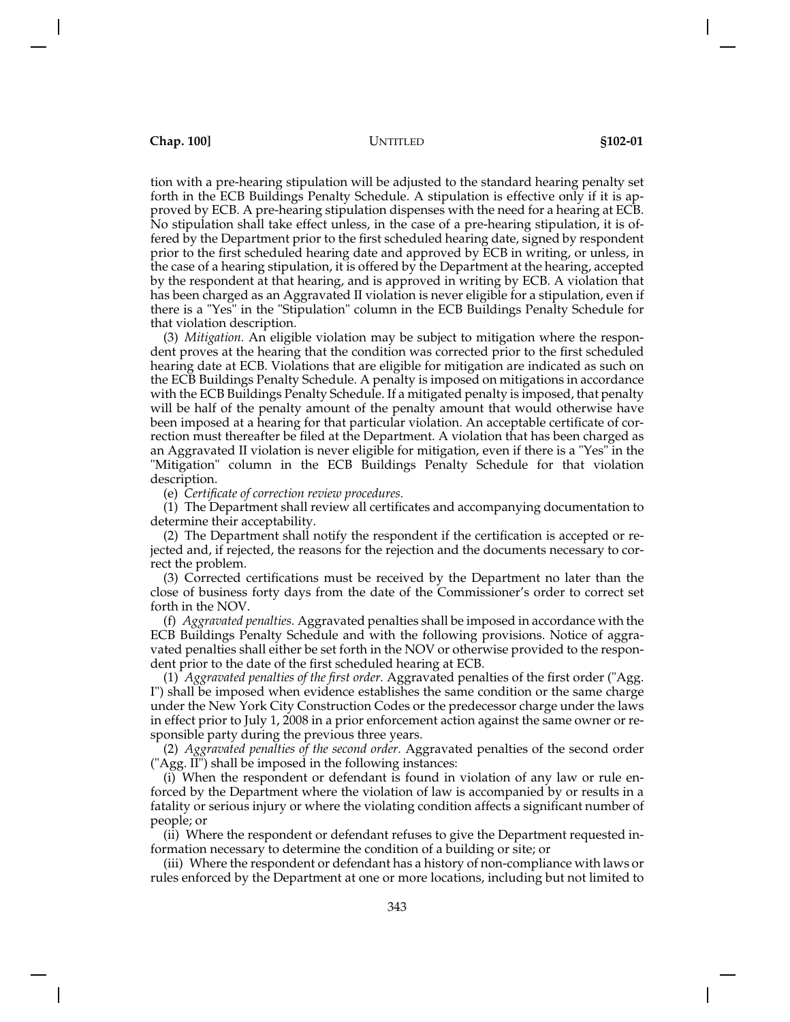tion with a pre-hearing stipulation will be adjusted to the standard hearing penalty set forth in the ECB Buildings Penalty Schedule. A stipulation is effective only if it is approved by ECB. A pre-hearing stipulation dispenses with the need for a hearing at ECB. No stipulation shall take effect unless, in the case of a pre-hearing stipulation, it is offered by the Department prior to the first scheduled hearing date, signed by respondent prior to the first scheduled hearing date and approved by ECB in writing, or unless, in the case of a hearing stipulation, it is offered by the Department at the hearing, accepted by the respondent at that hearing, and is approved in writing by ECB. A violation that has been charged as an Aggravated II violation is never eligible for a stipulation, even if there is a "Yes" in the "Stipulation" column in the ECB Buildings Penalty Schedule for that violation description.

(3) *Mitigation.* An eligible violation may be subject to mitigation where the respondent proves at the hearing that the condition was corrected prior to the first scheduled hearing date at ECB. Violations that are eligible for mitigation are indicated as such on the ECB Buildings Penalty Schedule. A penalty is imposed on mitigations in accordance with the ECB Buildings Penalty Schedule. If a mitigated penalty is imposed, that penalty will be half of the penalty amount of the penalty amount that would otherwise have been imposed at a hearing for that particular violation. An acceptable certificate of correction must thereafter be filed at the Department. A violation that has been charged as an Aggravated II violation is never eligible for mitigation, even if there is a "Yes" in the "Mitigation" column in the ECB Buildings Penalty Schedule for that violation description.

(e) *Certificate of correction review procedures.*

(1) The Department shall review all certificates and accompanying documentation to determine their acceptability.

(2) The Department shall notify the respondent if the certification is accepted or rejected and, if rejected, the reasons for the rejection and the documents necessary to correct the problem.

(3) Corrected certifications must be received by the Department no later than the close of business forty days from the date of the Commissioner's order to correct set forth in the NOV.

(f) *Aggravated penalties.* Aggravated penalties shall be imposed in accordance with the ECB Buildings Penalty Schedule and with the following provisions. Notice of aggravated penalties shall either be set forth in the NOV or otherwise provided to the respondent prior to the date of the first scheduled hearing at ECB.

(1) *Aggravated penalties of the first order.* Aggravated penalties of the first order ("Agg. I") shall be imposed when evidence establishes the same condition or the same charge under the New York City Construction Codes or the predecessor charge under the laws in effect prior to July 1, 2008 in a prior enforcement action against the same owner or responsible party during the previous three years.

(2) *Aggravated penalties of the second order.* Aggravated penalties of the second order ("Agg. II") shall be imposed in the following instances:

(i) When the respondent or defendant is found in violation of any law or rule enforced by the Department where the violation of law is accompanied by or results in a fatality or serious injury or where the violating condition affects a significant number of people; or

(ii) Where the respondent or defendant refuses to give the Department requested information necessary to determine the condition of a building or site; or

(iii) Where the respondent or defendant has a history of non-compliance with laws or rules enforced by the Department at one or more locations, including but not limited to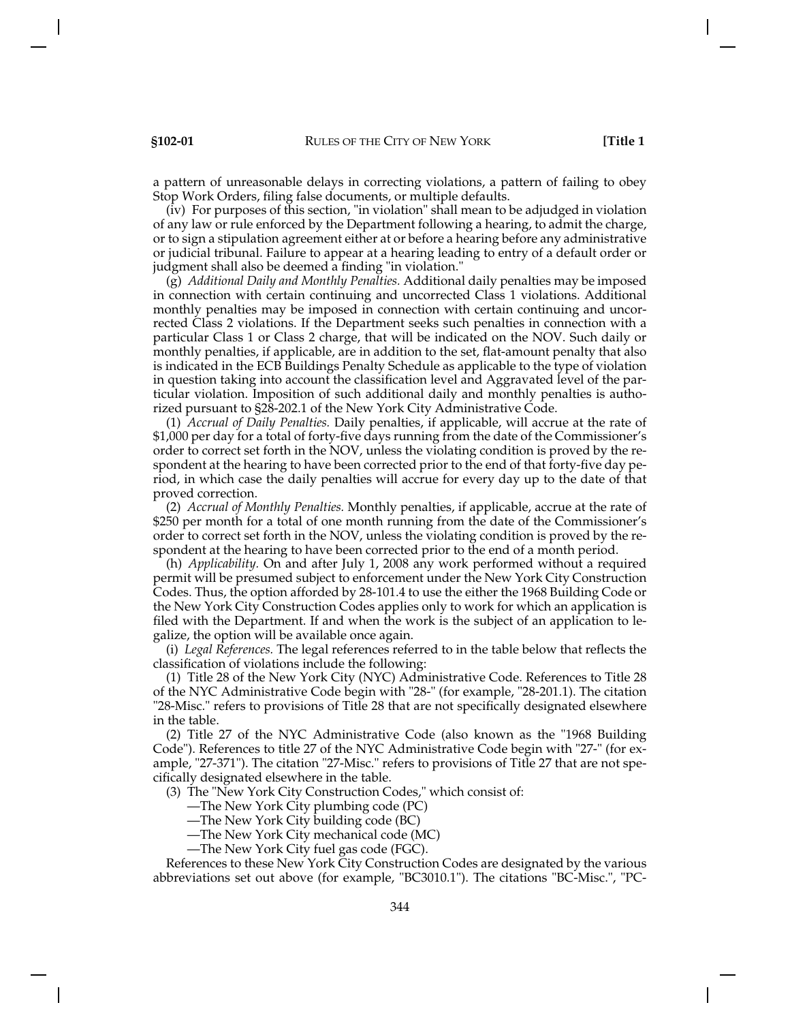a pattern of unreasonable delays in correcting violations, a pattern of failing to obey Stop Work Orders, filing false documents, or multiple defaults.

(iv) For purposes of this section, "in violation" shall mean to be adjudged in violation of any law or rule enforced by the Department following a hearing, to admit the charge, or to sign a stipulation agreement either at or before a hearing before any administrative or judicial tribunal. Failure to appear at a hearing leading to entry of a default order or judgment shall also be deemed a finding "in violation."

(g) *Additional Daily and Monthly Penalties.* Additional daily penalties may be imposed in connection with certain continuing and uncorrected Class 1 violations. Additional monthly penalties may be imposed in connection with certain continuing and uncorrected Class 2 violations. If the Department seeks such penalties in connection with a particular Class 1 or Class 2 charge, that will be indicated on the NOV. Such daily or monthly penalties, if applicable, are in addition to the set, flat-amount penalty that also is indicated in the ECB Buildings Penalty Schedule as applicable to the type of violation in question taking into account the classification level and Aggravated level of the particular violation. Imposition of such additional daily and monthly penalties is authorized pursuant to §28-202.1 of the New York City Administrative Code.

(1) *Accrual of Daily Penalties.* Daily penalties, if applicable, will accrue at the rate of \$1,000 per day for a total of forty-five days running from the date of the Commissioner's order to correct set forth in the NOV, unless the violating condition is proved by the respondent at the hearing to have been corrected prior to the end of that forty-five day period, in which case the daily penalties will accrue for every day up to the date of that proved correction.

(2) *Accrual of Monthly Penalties.* Monthly penalties, if applicable, accrue at the rate of \$250 per month for a total of one month running from the date of the Commissioner's order to correct set forth in the NOV, unless the violating condition is proved by the respondent at the hearing to have been corrected prior to the end of a month period.

(h) *Applicability.* On and after July 1, 2008 any work performed without a required permit will be presumed subject to enforcement under the New York City Construction Codes. Thus, the option afforded by 28-101.4 to use the either the 1968 Building Code or the New York City Construction Codes applies only to work for which an application is filed with the Department. If and when the work is the subject of an application to legalize, the option will be available once again.

(i) *Legal References.* The legal references referred to in the table below that reflects the classification of violations include the following:

(1) Title 28 of the New York City (NYC) Administrative Code. References to Title 28 of the NYC Administrative Code begin with "28-" (for example, "28-201.1). The citation "28-Misc." refers to provisions of Title 28 that are not specifically designated elsewhere in the table.

(2) Title 27 of the NYC Administrative Code (also known as the "1968 Building Code"). References to title 27 of the NYC Administrative Code begin with "27-" (for example, "27-371"). The citation "27-Misc." refers to provisions of Title 27 that are not specifically designated elsewhere in the table.

(3) The "New York City Construction Codes," which consist of:

—The New York City plumbing code (PC)

—The New York City building code (BC)

—The New York City mechanical code (MC)

—The New York City fuel gas code (FGC).

References to these New York City Construction Codes are designated by the various abbreviations set out above (for example, "BC3010.1"). The citations "BC-Misc.", "PC-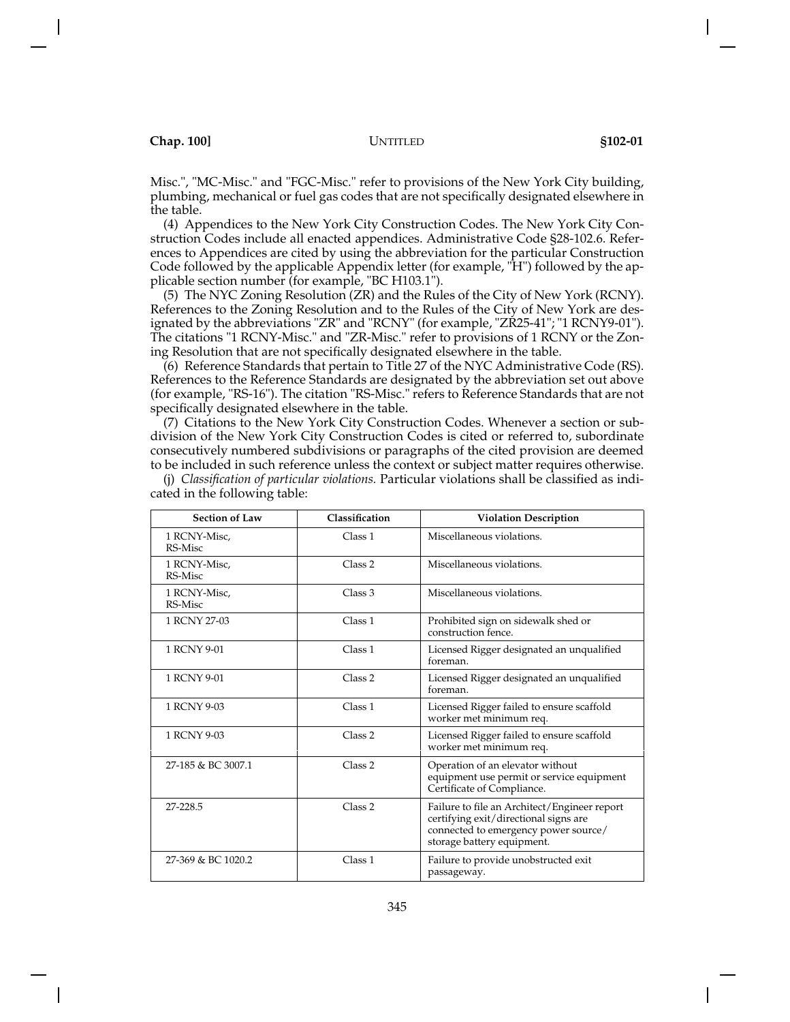Misc.", "MC-Misc." and "FGC-Misc." refer to provisions of the New York City building, plumbing, mechanical or fuel gas codes that are not specifically designated elsewhere in the table.

(4) Appendices to the New York City Construction Codes. The New York City Construction Codes include all enacted appendices. Administrative Code §28-102.6. References to Appendices are cited by using the abbreviation for the particular Construction Code followed by the applicable Appendix letter (for example, "H") followed by the applicable section number (for example, "BC H103.1").

(5) The NYC Zoning Resolution (ZR) and the Rules of the City of New York (RCNY). References to the Zoning Resolution and to the Rules of the City of New York are designated by the abbreviations "ZR" and "RCNY" (for example, "ZR25-41"; "1 RCNY9-01"). The citations "1 RCNY-Misc." and "ZR-Misc." refer to provisions of 1 RCNY or the Zoning Resolution that are not specifically designated elsewhere in the table.

(6) Reference Standards that pertain to Title 27 of the NYC Administrative Code (RS). References to the Reference Standards are designated by the abbreviation set out above (for example, "RS-16"). The citation "RS-Misc." refers to Reference Standards that are not specifically designated elsewhere in the table.

(7) Citations to the New York City Construction Codes. Whenever a section or subdivision of the New York City Construction Codes is cited or referred to, subordinate consecutively numbered subdivisions or paragraphs of the cited provision are deemed to be included in such reference unless the context or subject matter requires otherwise.

(j) *Classification of particular violations.* Particular violations shall be classified as indi-

| <b>Section of Law</b>   | Classification     | <b>Violation Description</b>                                                                                                                                |
|-------------------------|--------------------|-------------------------------------------------------------------------------------------------------------------------------------------------------------|
| 1 RCNY-Misc,<br>RS-Misc | Class 1            | Miscellaneous violations.                                                                                                                                   |
| 1 RCNY-Misc.<br>RS-Misc | Class 2            | Miscellaneous violations.                                                                                                                                   |
| 1 RCNY-Misc.<br>RS-Misc | Class 3            | Miscellaneous violations.                                                                                                                                   |
| 1 RCNY 27-03            | Class 1            | Prohibited sign on sidewalk shed or<br>construction fence.                                                                                                  |
| 1 RCNY 9-01             | Class 1            | Licensed Rigger designated an unqualified<br>foreman.                                                                                                       |
| 1 RCNY 9-01             | Class 2            | Licensed Rigger designated an unqualified<br>foreman.                                                                                                       |
| 1 RCNY 9-03             | Class 1            | Licensed Rigger failed to ensure scaffold<br>worker met minimum req.                                                                                        |
| 1 RCNY 9-03             | Class 2            | Licensed Rigger failed to ensure scaffold<br>worker met minimum req.                                                                                        |
| 27-185 & BC 3007.1      | Class 2            | Operation of an elevator without<br>equipment use permit or service equipment<br>Certificate of Compliance.                                                 |
| 27-228.5                | Class <sub>2</sub> | Failure to file an Architect/Engineer report<br>certifying exit/directional signs are<br>connected to emergency power source/<br>storage battery equipment. |
| 27-369 & BC 1020.2      | Class 1            | Failure to provide unobstructed exit<br>passageway.                                                                                                         |

cated in the following table: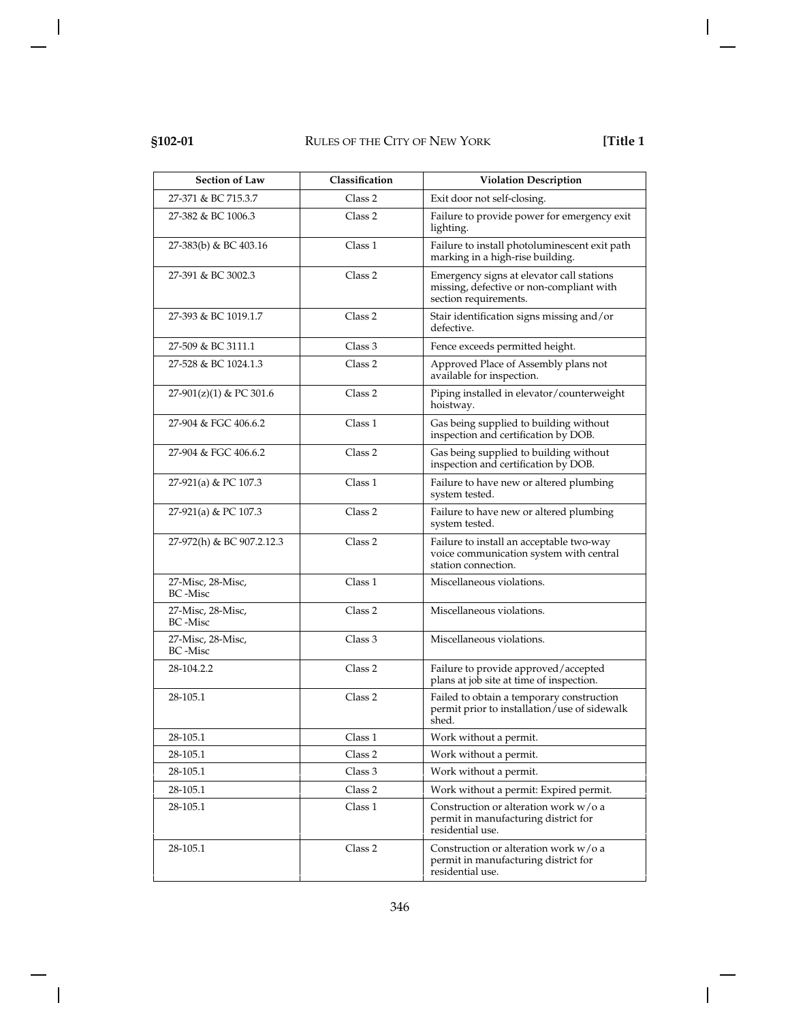| <b>Section of Law</b>         | Classification | <b>Violation Description</b>                                                                                   |
|-------------------------------|----------------|----------------------------------------------------------------------------------------------------------------|
| 27-371 & BC 715.3.7           | Class 2        | Exit door not self-closing.                                                                                    |
| 27-382 & BC 1006.3            | Class 2        | Failure to provide power for emergency exit<br>lighting.                                                       |
| 27-383(b) & BC 403.16         | Class 1        | Failure to install photoluminescent exit path<br>marking in a high-rise building.                              |
| 27-391 & BC 3002.3            | Class 2        | Emergency signs at elevator call stations<br>missing, defective or non-compliant with<br>section requirements. |
| 27-393 & BC 1019.1.7          | Class 2        | Stair identification signs missing and/or<br>defective.                                                        |
| 27-509 & BC 3111.1            | Class 3        | Fence exceeds permitted height.                                                                                |
| 27-528 & BC 1024.1.3          | Class 2        | Approved Place of Assembly plans not<br>available for inspection.                                              |
| 27-901(z)(1) & PC 301.6       | Class 2        | Piping installed in elevator/counterweight<br>hoistway.                                                        |
| 27-904 & FGC 406.6.2          | Class 1        | Gas being supplied to building without<br>inspection and certification by DOB.                                 |
| 27-904 & FGC 406.6.2          | Class 2        | Gas being supplied to building without<br>inspection and certification by DOB.                                 |
| 27-921(a) & PC 107.3          | Class 1        | Failure to have new or altered plumbing<br>system tested.                                                      |
| 27-921(a) & PC 107.3          | Class 2        | Failure to have new or altered plumbing<br>system tested.                                                      |
| 27-972(h) & BC 907.2.12.3     | Class 2        | Failure to install an acceptable two-way<br>voice communication system with central<br>station connection.     |
| 27-Misc, 28-Misc,<br>BC -Misc | Class 1        | Miscellaneous violations.                                                                                      |
| 27-Misc, 28-Misc,<br>BC -Misc | Class 2        | Miscellaneous violations.                                                                                      |
| 27-Misc, 28-Misc,<br>BC -Misc | Class 3        | Miscellaneous violations.                                                                                      |
| 28-104.2.2                    | Class 2        | Failure to provide approved/accepted<br>plans at job site at time of inspection.                               |
| 28-105.1                      | Class 2        | Failed to obtain a temporary construction<br>permit prior to installation/use of sidewalk<br>shed.             |
| 28-105.1                      | Class 1        | Work without a permit.                                                                                         |
| 28-105.1                      | Class 2        | Work without a permit.                                                                                         |
| 28-105.1                      | Class 3        | Work without a permit.                                                                                         |
| 28-105.1                      | Class 2        | Work without a permit: Expired permit.                                                                         |
| 28-105.1                      | Class 1        | Construction or alteration work w/o a<br>permit in manufacturing district for<br>residential use.              |
| 28-105.1                      | Class 2        | Construction or alteration work w/o a<br>permit in manufacturing district for<br>residential use.              |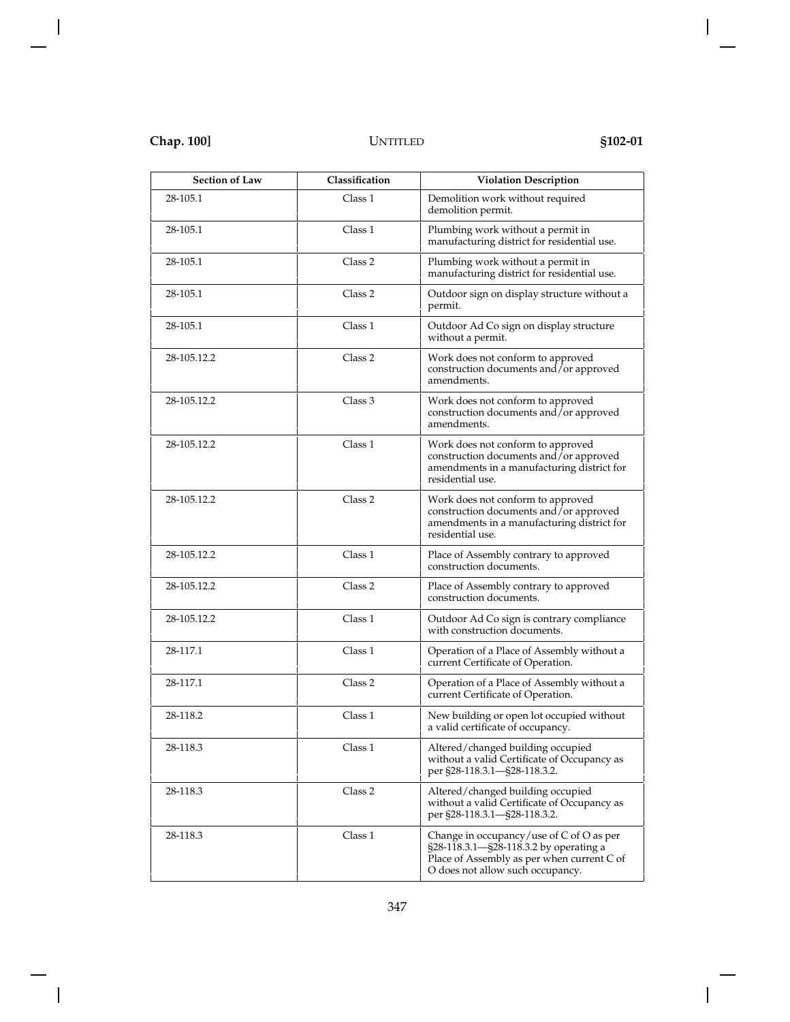| <b>Section of Law</b> | Classification | <b>Violation Description</b>                                                                                                                                         |
|-----------------------|----------------|----------------------------------------------------------------------------------------------------------------------------------------------------------------------|
| 28-105.1              | Class 1        | Demolition work without required<br>demolition permit.                                                                                                               |
| 28-105.1              | Class 1        | Plumbing work without a permit in<br>manufacturing district for residential use.                                                                                     |
| 28-105.1              | Class 2        | Plumbing work without a permit in<br>manufacturing district for residential use.                                                                                     |
| 28-105.1              | Class 2        | Outdoor sign on display structure without a<br>permit.                                                                                                               |
| 28-105.1              | Class 1        | Outdoor Ad Co sign on display structure<br>without a permit.                                                                                                         |
| 28-105.12.2           | Class 2        | Work does not conform to approved<br>construction documents and/or approved<br>amendments.                                                                           |
| 28-105.12.2           | Class 3        | Work does not conform to approved<br>construction documents and/or approved<br>amendments.                                                                           |
| 28-105.12.2           | Class 1        | Work does not conform to approved<br>construction documents and/or approved<br>amendments in a manufacturing district for<br>residential use.                        |
| 28-105.12.2           | Class 2        | Work does not conform to approved<br>construction documents and $\bar{j}$ or approved<br>amendments in a manufacturing district for<br>residential use.              |
| 28-105.12.2           | Class 1        | Place of Assembly contrary to approved<br>construction documents.                                                                                                    |
| 28-105.12.2           | Class 2        | Place of Assembly contrary to approved<br>construction documents.                                                                                                    |
| 28-105.12.2           | Class 1        | Outdoor Ad Co sign is contrary compliance<br>with construction documents.                                                                                            |
| 28-117.1              | Class 1        | Operation of a Place of Assembly without a<br>current Certificate of Operation.                                                                                      |
| 28-117.1              | Class 2        | Operation of a Place of Assembly without a<br>current Certificate of Operation.                                                                                      |
| 28-118.2              | Class 1        | New building or open lot occupied without<br>a valid certificate of occupancy.                                                                                       |
| 28-118.3              | Class 1        | Altered/changed building occupied<br>without a valid Certificate of Occupancy as<br>per §28-118.3.1-§28-118.3.2.                                                     |
| 28-118.3              | Class 2        | Altered/changed building occupied<br>without a valid Certificate of Occupancy as<br>per §28-118.3.1-§28-118.3.2.                                                     |
| 28-118.3              | Class 1        | Change in occupancy/use of C of O as per<br>§28-118.3.1-§28-118.3.2 by operating a<br>Place of Assembly as per when current C of<br>O does not allow such occupancy. |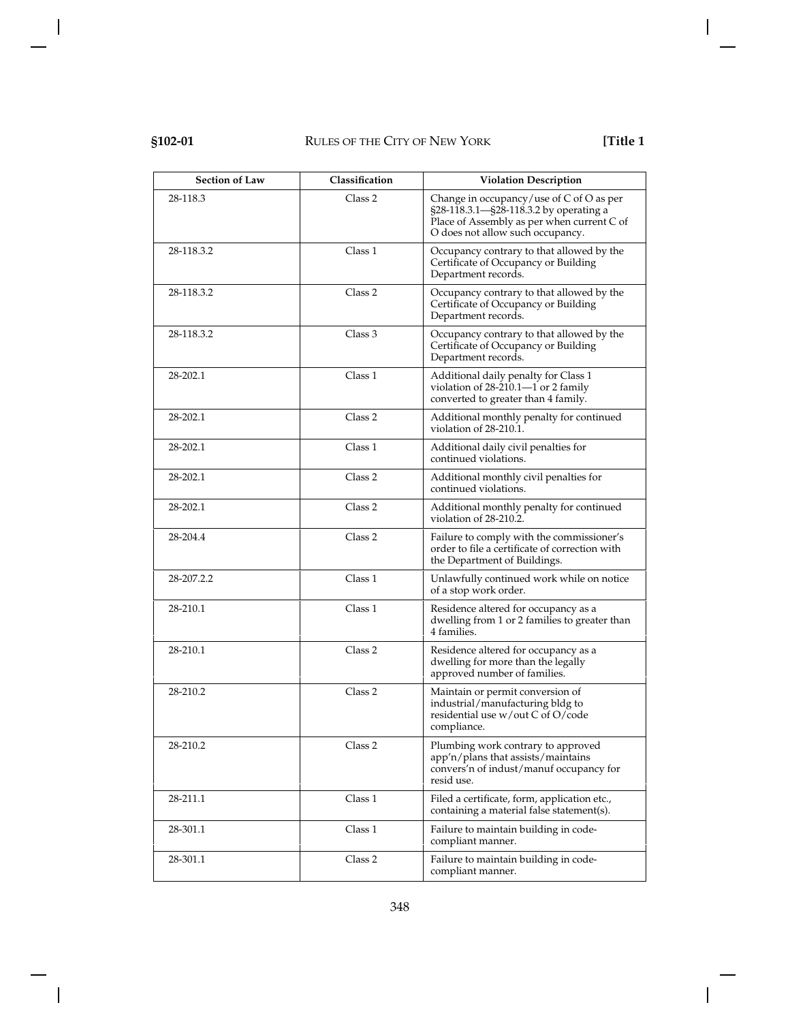| <b>Section of Law</b> | Classification | <b>Violation Description</b>                                                                                                                                         |
|-----------------------|----------------|----------------------------------------------------------------------------------------------------------------------------------------------------------------------|
| 28-118.3              | Class 2        | Change in occupancy/use of C of O as per<br>§28-118.3.1-§28-118.3.2 by operating a<br>Place of Assembly as per when current C of<br>O does not allow such occupancy. |
| 28-118.3.2            | Class 1        | Occupancy contrary to that allowed by the<br>Certificate of Occupancy or Building<br>Department records.                                                             |
| 28-118.3.2            | Class 2        | Occupancy contrary to that allowed by the<br>Certificate of Occupancy or Building<br>Department records.                                                             |
| 28-118.3.2            | Class 3        | Occupancy contrary to that allowed by the<br>Certificate of Occupancy or Building<br>Department records.                                                             |
| 28-202.1              | Class 1        | Additional daily penalty for Class 1<br>violation of $28-210.1-1$ or 2 family<br>converted to greater than 4 family.                                                 |
| 28-202.1              | Class 2        | Additional monthly penalty for continued<br>violation of 28-210.1.                                                                                                   |
| 28-202.1              | Class 1        | Additional daily civil penalties for<br>continued violations.                                                                                                        |
| 28-202.1              | Class 2        | Additional monthly civil penalties for<br>continued violations.                                                                                                      |
| 28-202.1              | Class 2        | Additional monthly penalty for continued<br>violation of 28-210.2.                                                                                                   |
| 28-204.4              | Class 2        | Failure to comply with the commissioner's<br>order to file a certificate of correction with<br>the Department of Buildings.                                          |
| 28-207.2.2            | Class 1        | Unlawfully continued work while on notice<br>of a stop work order.                                                                                                   |
| 28-210.1              | Class 1        | Residence altered for occupancy as a<br>dwelling from 1 or 2 families to greater than<br>4 families.                                                                 |
| 28-210.1              | Class 2        | Residence altered for occupancy as a<br>dwelling for more than the legally<br>approved number of families.                                                           |
| 28-210.2              | Class 2        | Maintain or permit conversion of<br>industrial/manufacturing bldg to<br>residential use w/out C of O/code<br>compliance.                                             |
| 28-210.2              | Class 2        | Plumbing work contrary to approved<br>app'n/plans that assists/maintains<br>convers'n of indust/manuf occupancy for<br>resid use.                                    |
| 28-211.1              | Class 1        | Filed a certificate, form, application etc.,<br>containing a material false statement(s).                                                                            |
| 28-301.1              | Class 1        | Failure to maintain building in code-<br>compliant manner.                                                                                                           |
| 28-301.1              | Class 2        | Failure to maintain building in code-<br>compliant manner.                                                                                                           |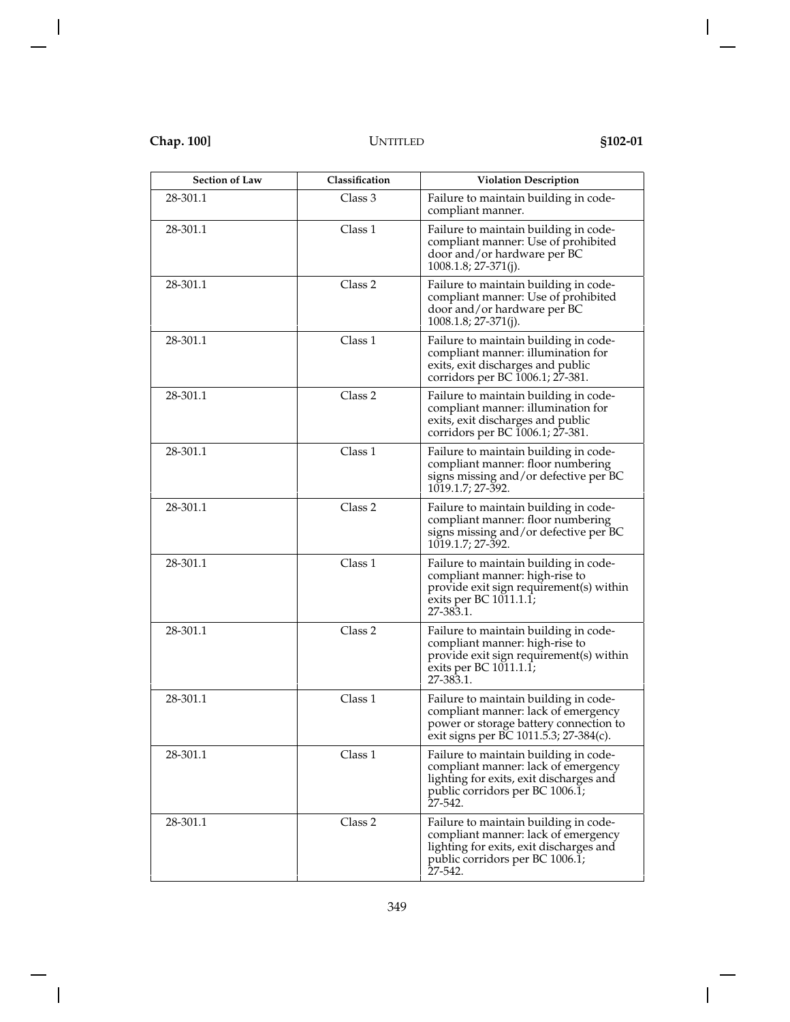| <b>Section of Law</b> | Classification | <b>Violation Description</b>                                                                                                                                          |
|-----------------------|----------------|-----------------------------------------------------------------------------------------------------------------------------------------------------------------------|
| 28-301.1              | Class 3        | Failure to maintain building in code-<br>compliant manner.                                                                                                            |
| 28-301.1              | Class 1        | Failure to maintain building in code-<br>compliant manner: Use of prohibited<br>door and/or hardware per BC<br>$1008.1.8$ ; 27-371(j).                                |
| 28-301.1              | Class 2        | Failure to maintain building in code-<br>compliant manner: Use of prohibited<br>door and/or hardware per BC<br>$1008.1.8$ ; 27-371(j).                                |
| 28-301.1              | Class 1        | Failure to maintain building in code-<br>compliant manner: illumination for<br>exits, exit discharges and public<br>corridors per BC 1006.1; 27-381.                  |
| 28-301.1              | Class 2        | Failure to maintain building in code-<br>compliant manner: illumination for<br>exits, exit discharges and public<br>corridors per BC 1006.1; 27-381.                  |
| 28-301.1              | Class 1        | Failure to maintain building in code-<br>compliant manner: floor numbering<br>signs missing and/or defective per BC<br>1019.1.7; 27-392.                              |
| 28-301.1              | Class 2        | Failure to maintain building in code-<br>compliant manner: floor numbering<br>signs missing and/or defective per BC<br>1019.1.7; 27-392.                              |
| 28-301.1              | Class 1        | Failure to maintain building in code-<br>compliant manner: high-rise to<br>provide exit sign requirement(s) within<br>exits per BC 1011.1.1;<br>27-383.1.             |
| 28-301.1              | Class 2        | Failure to maintain building in code-<br>compliant manner: high-rise to<br>provide exit sign requirement(s) within<br>exits per BC 1011.1.1;<br>27-383.1.             |
| 28-301.1              | Class 1        | Failure to maintain building in code-<br>compliant manner: lack of emergency<br>power or storage battery connection to<br>exit signs per BC 1011.5.3; 27-384(c).      |
| 28-301.1              | Class 1        | Failure to maintain building in code-<br>compliant manner: lack of emergency<br>lighting for exits, exit discharges and<br>public corridors per BC 1006.1;<br>27-542. |
| 28-301.1              | Class 2        | Failure to maintain building in code-<br>compliant manner: lack of emergency<br>lighting for exits, exit discharges and<br>public corridors per BC 1006.1;<br>27-542. |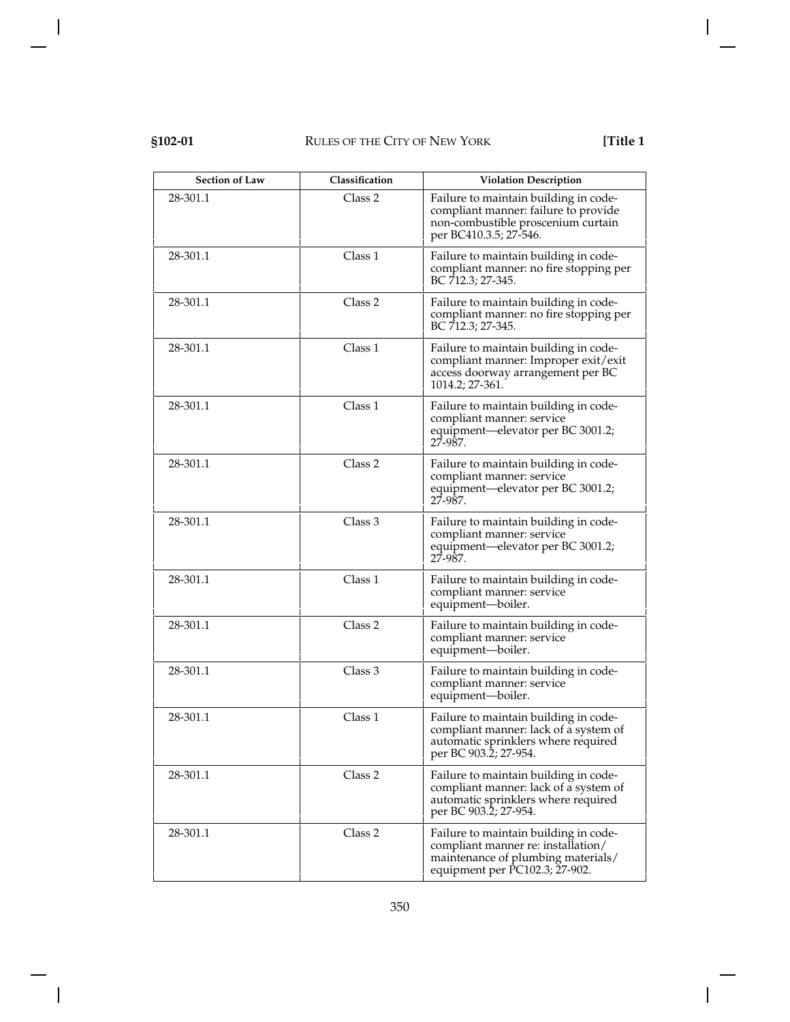| <b>Section of Law</b> | Classification | <b>Violation Description</b>                                                                                                                        |
|-----------------------|----------------|-----------------------------------------------------------------------------------------------------------------------------------------------------|
| 28-301.1              | Class 2        | Failure to maintain building in code-<br>compliant manner: failure to provide<br>non-combustible proscenium curtain<br>per BC410.3.5; 27-546.       |
| 28-301.1              | Class 1        | Failure to maintain building in code-<br>compliant manner: no fire stopping per<br>BC 712.3; 27-345.                                                |
| 28-301.1              | Class 2        | Failure to maintain building in code-<br>compliant manner: no fire stopping per<br>BC 712.3; 27-345.                                                |
| 28-301.1              | Class 1        | Failure to maintain building in code-<br>compliant manner: Improper exit/exit<br>access doorway arrangement per BC<br>1014.2; 27-361.               |
| 28-301.1              | Class 1        | Failure to maintain building in code-<br>compliant manner: service<br>equipment—elevator per BC 3001.2;<br>27-987.                                  |
| 28-301.1              | Class 2        | Failure to maintain building in code-<br>compliant manner: service<br>equipment-elevator per BC 3001.2;<br>27-987.                                  |
| 28-301.1              | Class 3        | Failure to maintain building in code-<br>compliant manner: service<br>equipment—elevator per BC 3001.2;<br>27-987.                                  |
| 28-301.1              | Class 1        | Failure to maintain building in code-<br>compliant manner: service<br>equipment-boiler.                                                             |
| 28-301.1              | Class 2        | Failure to maintain building in code-<br>compliant manner: service<br>equipment-boiler.                                                             |
| 28-301.1              | Class 3        | Failure to maintain building in code-<br>compliant manner: service<br>equipment-boiler.                                                             |
| 28-301.1              | Class 1        | Failure to maintain building in code-<br>compliant manner: lack of a system of<br>automatic sprinklers where required<br>per BC 903.2; 27-954.      |
| 28-301.1              | Class 2        | Failure to maintain building in code-<br>compliant manner: lack of a system of<br>automatic sprinklers where required<br>per BC 903.2; 27-954.      |
| 28-301.1              | Class 2        | Failure to maintain building in code-<br>compliant manner re: installation/<br>maintenance of plumbing materials/<br>equipment per PC102.3; 27-902. |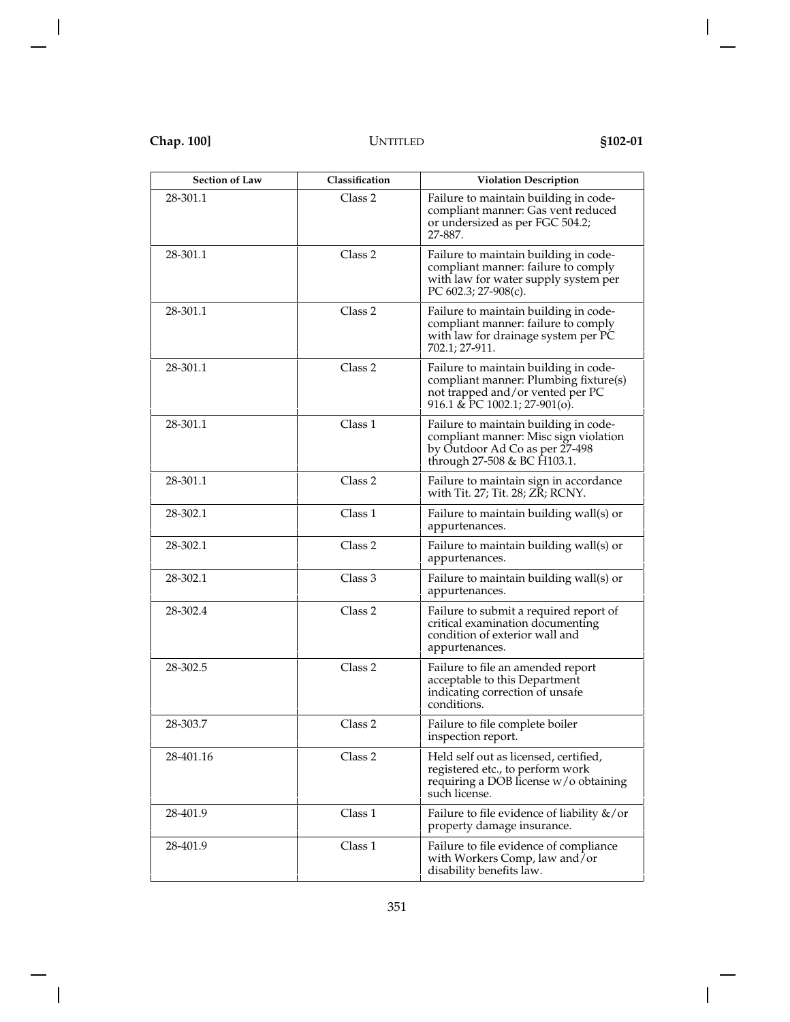| <b>Section of Law</b> | Classification     | <b>Violation Description</b>                                                                                                                        |
|-----------------------|--------------------|-----------------------------------------------------------------------------------------------------------------------------------------------------|
| 28-301.1              | Class 2            | Failure to maintain building in code-<br>compliant manner: Gas vent reduced<br>or undersized as per FGC 504.2;<br>27-887.                           |
| 28-301.1              | Class <sub>2</sub> | Failure to maintain building in code-<br>compliant manner: failure to comply<br>with law for water supply system per<br>PC 602.3; 27-908(c).        |
| 28-301.1              | Class <sub>2</sub> | Failure to maintain building in code-<br>compliant manner: failure to comply<br>with law for drainage system per PC<br>702.1; 27-911.               |
| 28-301.1              | Class <sub>2</sub> | Failure to maintain building in code-<br>compliant manner: Plumbing fixture(s)<br>not trapped and/or vented per PC<br>916.1 & PC 1002.1; 27-901(o). |
| 28-301.1              | Class 1            | Failure to maintain building in code-<br>compliant manner: Misc sign violation<br>by Outdoor Ad Co as per 27-498<br>through 27-508 & BC H103.1.     |
| 28-301.1              | Class 2            | Failure to maintain sign in accordance<br>with Tit. 27; Tit. 28; ZR; RCNY.                                                                          |
| 28-302.1              | Class 1            | Failure to maintain building wall(s) or<br>appurtenances.                                                                                           |
| 28-302.1              | Class 2            | Failure to maintain building wall(s) or<br>appurtenances.                                                                                           |
| 28-302.1              | Class 3            | Failure to maintain building wall(s) or<br>appurtenances.                                                                                           |
| 28-302.4              | Class <sub>2</sub> | Failure to submit a required report of<br>critical examination documenting<br>condition of exterior wall and<br>appurtenances.                      |
| 28-302.5              | Class 2            | Failure to file an amended report<br>acceptable to this Department<br>indicating correction of unsafe<br>conditions.                                |
| 28-303.7              | Class 2            | Failure to file complete boiler<br>inspection report.                                                                                               |
| 28-401.16             | Class 2            | Held self out as licensed, certified,<br>registered etc., to perform work<br>requiring a DOB license w/o obtaining<br>such license.                 |
| 28-401.9              | Class 1            | Failure to file evidence of liability &/or<br>property damage insurance.                                                                            |
| 28-401.9              | Class 1            | Failure to file evidence of compliance<br>with Workers Comp, law and/or<br>disability benefits law.                                                 |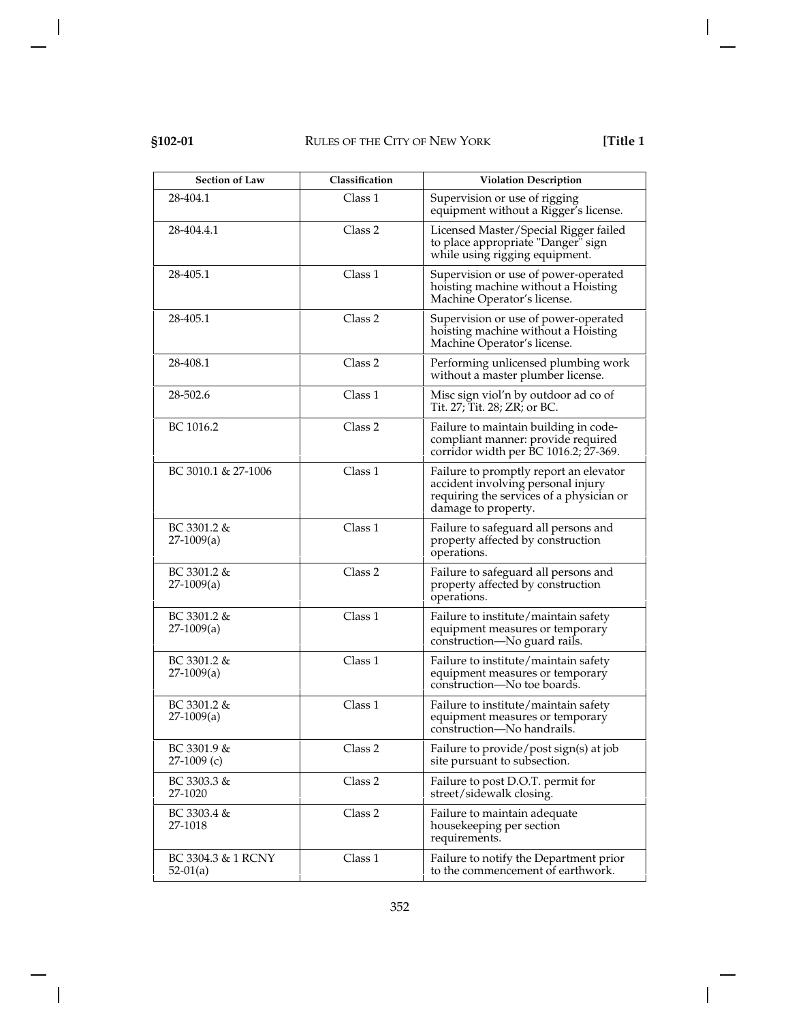| <b>Section of Law</b>            | Classification | <b>Violation Description</b>                                                                                                                    |
|----------------------------------|----------------|-------------------------------------------------------------------------------------------------------------------------------------------------|
| 28-404.1                         | Class 1        | Supervision or use of rigging<br>equipment without a Rigger's license.                                                                          |
| 28-404.4.1                       | Class 2        | Licensed Master/Special Rigger failed<br>to place appropriate "Danger" sign<br>while using rigging equipment.                                   |
| 28-405.1                         | Class 1        | Supervision or use of power-operated<br>hoisting machine without a Hoisting<br>Machine Operator's license.                                      |
| 28-405.1                         | Class 2        | Supervision or use of power-operated<br>hoisting machine without a Hoisting<br>Machine Operator's license.                                      |
| 28-408.1                         | Class 2        | Performing unlicensed plumbing work<br>without a master plumber license.                                                                        |
| 28-502.6                         | Class 1        | Misc sign viol'n by outdoor ad co of<br>Tit. 27; Tit. 28; ZR; or BC.                                                                            |
| BC 1016.2                        | Class 2        | Failure to maintain building in code-<br>compliant manner: provide required<br>corridor width per BC 1016.2; 27-369.                            |
| BC 3010.1 & 27-1006              | Class 1        | Failure to promptly report an elevator<br>accident involving personal injury<br>requiring the services of a physician or<br>damage to property. |
| $BC 3301.2 \&$<br>$27-1009(a)$   | Class 1        | Failure to safeguard all persons and<br>property affected by construction<br>operations.                                                        |
| BC 3301.2 &<br>$27-1009(a)$      | Class 2        | Failure to safeguard all persons and<br>property affected by construction<br>operations.                                                        |
| $BC 3301.2 \&$<br>$27-1009(a)$   | Class 1        | Failure to institute/maintain safety<br>equipment measures or temporary<br>construction-No guard rails.                                         |
| $BC 3301.2 \&$<br>$27-1009(a)$   | Class 1        | Failure to institute/maintain safety<br>equipment measures or temporary<br>construction-No toe boards.                                          |
| BC 3301.2 &<br>$27-1009(a)$      | Class 1        | Failure to institute/maintain safety<br>equipment measures or temporary<br>construction-No handrails.                                           |
| BC 3301.9 &<br>$27-1009$ (c)     | Class 2        | Failure to provide/post sign(s) at job<br>site pursuant to subsection.                                                                          |
| BC 3303.3 &<br>27-1020           | Class 2        | Failure to post D.O.T. permit for<br>street/sidewalk closing.                                                                                   |
| BC 3303.4 &<br>27-1018           | Class 2        | Failure to maintain adequate<br>housekeeping per section<br>requirements.                                                                       |
| BC 3304.3 & 1 RCNY<br>$52-01(a)$ | Class 1        | Failure to notify the Department prior<br>to the commencement of earthwork.                                                                     |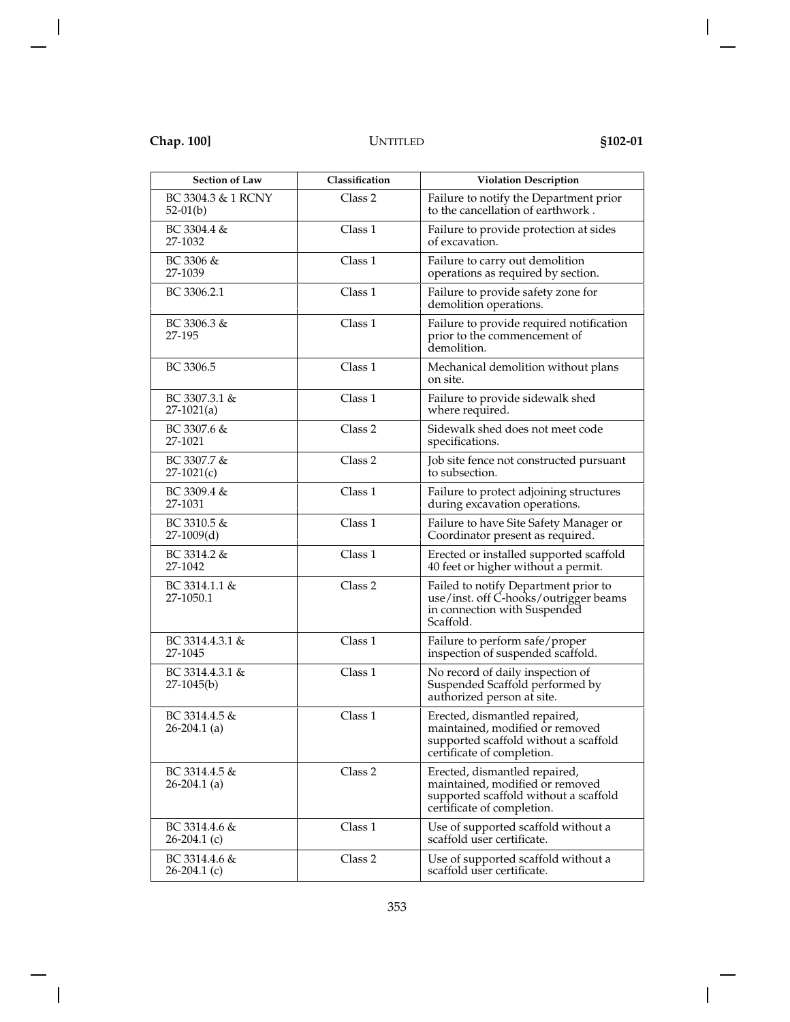| <b>Section of Law</b>             | Classification | <b>Violation Description</b>                                                                                                            |
|-----------------------------------|----------------|-----------------------------------------------------------------------------------------------------------------------------------------|
| BC 3304.3 & 1 RCNY<br>$52-01(b)$  | Class 2        | Failure to notify the Department prior<br>to the cancellation of earthwork.                                                             |
| BC 3304.4 &<br>27-1032            | Class 1        | Failure to provide protection at sides<br>of excavation.                                                                                |
| BC 3306 &<br>27-1039              | Class 1        | Failure to carry out demolition<br>operations as required by section.                                                                   |
| BC 3306.2.1                       | Class 1        | Failure to provide safety zone for<br>demolition operations.                                                                            |
| BC 3306.3 &<br>27-195             | Class 1        | Failure to provide required notification<br>prior to the commencement of<br>demolition.                                                 |
| BC 3306.5                         | Class 1        | Mechanical demolition without plans<br>on site.                                                                                         |
| $BC$ 3307.3.1 &<br>$27-1021(a)$   | Class 1        | Failure to provide sidewalk shed<br>where required.                                                                                     |
| BC 3307.6 &<br>27-1021            | Class 2        | Sidewalk shed does not meet code<br>specifications.                                                                                     |
| BC 3307.7 &<br>$27-1021(c)$       | Class 2        | Job site fence not constructed pursuant<br>to subsection.                                                                               |
| BC 3309.4 &<br>27-1031            | Class 1        | Failure to protect adjoining structures<br>during excavation operations.                                                                |
| BC 3310.5 &<br>$27-1009(d)$       | Class 1        | Failure to have Site Safety Manager or<br>Coordinator present as required.                                                              |
| BC 3314.2 &<br>27-1042            | Class 1        | Erected or installed supported scaffold<br>40 feet or higher without a permit.                                                          |
| BC 3314.1.1 &<br>27-1050.1        | Class 2        | Failed to notify Department prior to<br>use/inst. off C-hooks/outrigger beams<br>in connection with Suspended<br>Scaffold.              |
| BC 3314.4.3.1 &<br>27-1045        | Class 1        | Failure to perform safe/proper<br>inspection of suspended scaffold.                                                                     |
| BC 3314.4.3.1 &<br>$27-1045(b)$   | Class 1        | No record of daily inspection of<br>Suspended Scaffold performed by<br>authorized person at site.                                       |
| BC 3314.4.5 &<br>$26-204.1$ (a)   | Class 1        | Erected, dismantled repaired,<br>maintained, modified or removed<br>supported scaffold without a scaffold<br>certificate of completion. |
| BC 3314.4.5 &<br>$26 - 204.1$ (a) | Class 2        | Erected, dismantled repaired,<br>maintained, modified or removed<br>supported scaffold without a scaffold<br>certificate of completion. |
| BC 3314.4.6 &<br>$26-204.1$ (c)   | Class 1        | Use of supported scaffold without a<br>scaffold user certificate.                                                                       |
| BC 3314.4.6 &<br>$26-204.1$ (c)   | Class 2        | Use of supported scaffold without a<br>scaffold user certificate.                                                                       |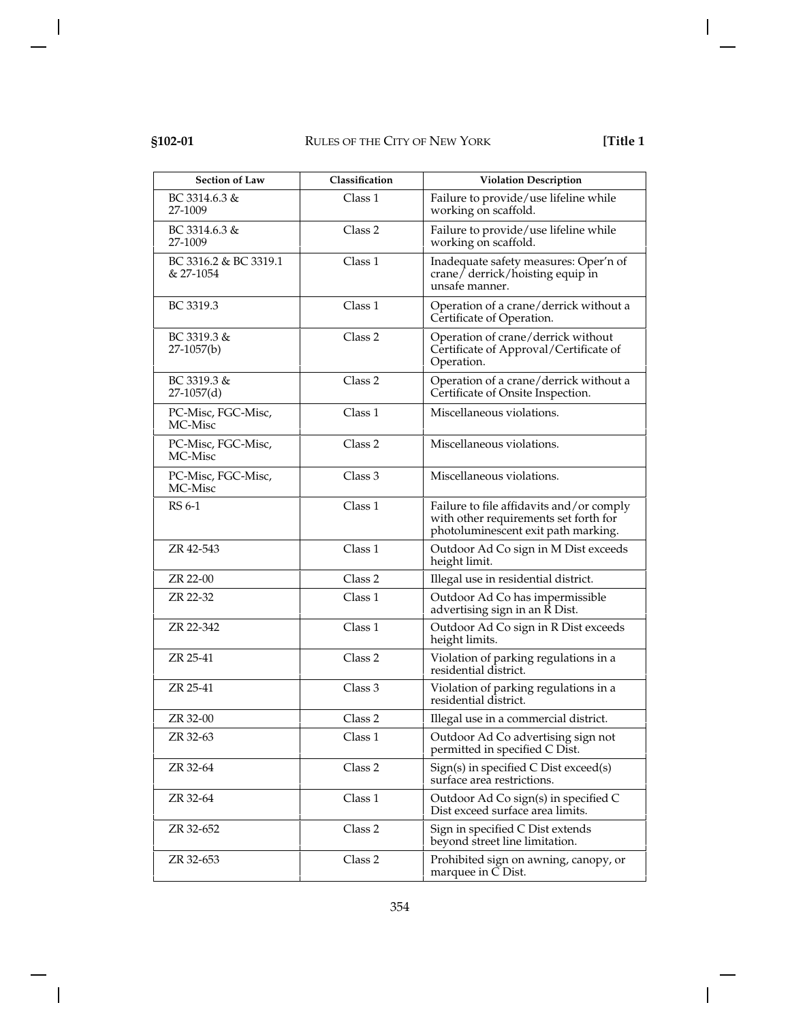# **§102-01** RULES OF THE CITY OF NEW YORK **[Title 1**

| <b>Section of Law</b>              | Classification     | <b>Violation Description</b>                                                                                             |
|------------------------------------|--------------------|--------------------------------------------------------------------------------------------------------------------------|
| BC 3314.6.3 &<br>27-1009           | Class 1            | Failure to provide/use lifeline while<br>working on scaffold.                                                            |
| BC 3314.6.3 &<br>27-1009           | Class 2            | Failure to provide/use lifeline while<br>working on scaffold.                                                            |
| BC 3316.2 & BC 3319.1<br>& 27-1054 | Class 1            | Inadequate safety measures: Oper'n of<br>$crane/$ derrick/hoisting equip in<br>unsafe manner.                            |
| BC 3319.3                          | Class 1            | Operation of a crane/derrick without a<br>Certificate of Operation.                                                      |
| $BC 3319.3 \&$<br>$27-1057(b)$     | Class 2            | Operation of crane/derrick without<br>Certificate of Approval/Certificate of<br>Operation.                               |
| $BC 3319.3 \&$<br>$27-1057(d)$     | Class 2            | Operation of a crane/derrick without a<br>Certificate of Onsite Inspection.                                              |
| PC-Misc, FGC-Misc,<br>MC-Misc      | Class 1            | Miscellaneous violations.                                                                                                |
| PC-Misc, FGC-Misc,<br>MC-Misc      | Class <sub>2</sub> | Miscellaneous violations.                                                                                                |
| PC-Misc, FGC-Misc,<br>MC-Misc      | Class 3            | Miscellaneous violations.                                                                                                |
| RS 6-1                             | Class 1            | Failure to file affidavits and/or comply<br>with other requirements set forth for<br>photoluminescent exit path marking. |
| ZR 42-543                          | Class 1            | Outdoor Ad Co sign in M Dist exceeds<br>height limit.                                                                    |
| ZR 22-00                           | Class <sub>2</sub> | Illegal use in residential district.                                                                                     |
| ZR 22-32                           | Class 1            | Outdoor Ad Co has impermissible<br>advertising sign in an R Dist.                                                        |
| ZR 22-342                          | Class 1            | Outdoor Ad Co sign in R Dist exceeds<br>height limits.                                                                   |
| ZR 25-41                           | Class 2            | Violation of parking regulations in a<br>residential district.                                                           |
| ZR 25-41                           | Class 3            | Violation of parking regulations in a<br>residential district.                                                           |
| ZR 32-00                           | Class 2            | Illegal use in a commercial district.                                                                                    |
| ZR 32-63                           | Class 1            | Outdoor Ad Co advertising sign not<br>permitted in specified C Dist.                                                     |
| ZR 32-64                           | Class 2            | Sign(s) in specified C Dist exceed(s)<br>surface area restrictions.                                                      |
| ZR 32-64                           | Class 1            | Outdoor Ad Co sign(s) in specified C<br>Dist exceed surface area limits.                                                 |
| ZR 32-652                          | Class 2            | Sign in specified C Dist extends<br>beyond street line limitation.                                                       |
| ZR 32-653                          | Class 2            | Prohibited sign on awning, canopy, or<br>marquee in C Dist.                                                              |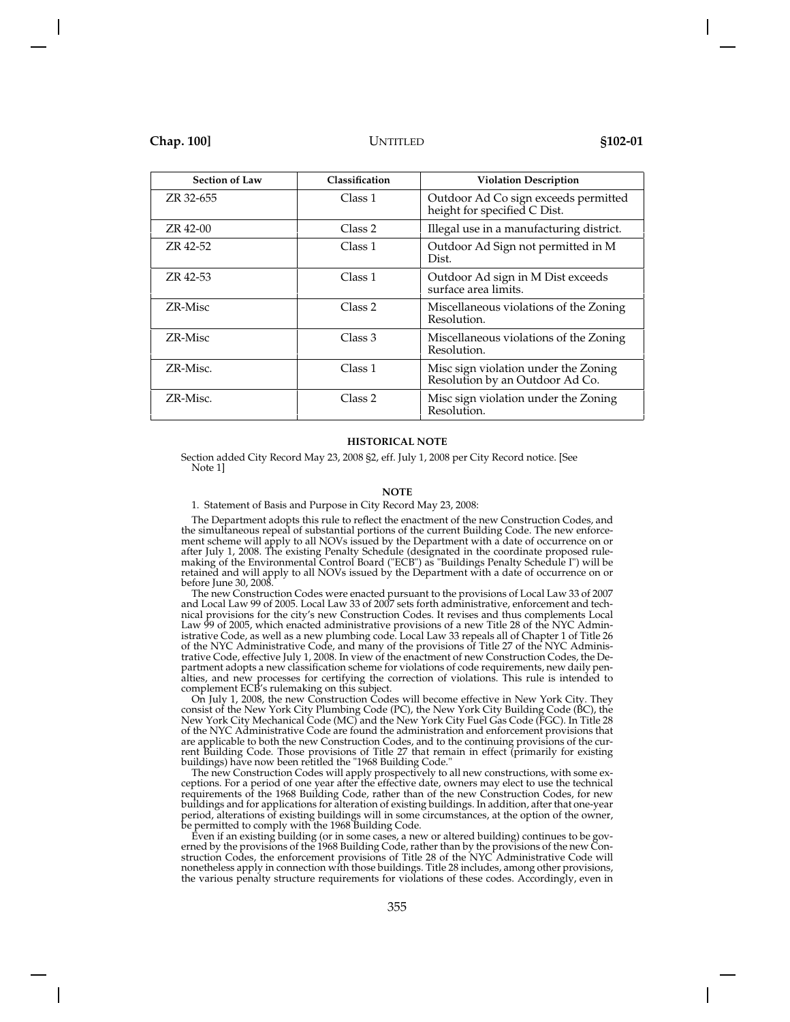| <b>Section of Law</b> | Classification | <b>Violation Description</b>                                            |
|-----------------------|----------------|-------------------------------------------------------------------------|
| ZR 32-655             | Class 1        | Outdoor Ad Co sign exceeds permitted<br>height for specified C Dist.    |
| ZR 42-00              | Class 2        | Illegal use in a manufacturing district.                                |
| ZR 42-52              | Class 1        | Outdoor Ad Sign not permitted in M<br>Dist.                             |
| ZR 42-53              | Class 1        | Outdoor Ad sign in M Dist exceeds<br>surface area limits.               |
| ZR-Misc               | Class 2        | Miscellaneous violations of the Zoning<br>Resolution.                   |
| ZR-Misc               | Class 3        | Miscellaneous violations of the Zoning<br>Resolution.                   |
| ZR-Misc.              | Class 1        | Misc sign violation under the Zoning<br>Resolution by an Outdoor Ad Co. |
| ZR-Misc.              | Class 2        | Misc sign violation under the Zoning<br>Resolution.                     |

### **HISTORICAL NOTE**

Section added City Record May 23, 2008 §2, eff. July 1, 2008 per City Record notice. [See Note 1]

### **NOTE**

### 1. Statement of Basis and Purpose in City Record May 23, 2008:

The Department adopts this rule to reflect the enactment of the new Construction Codes, and the simultaneous repeal of substantial portions of the current Building Code. The new enforcement scheme will apply to all NOVs issued by the Department with a date of occurrence on or after July 1, 2008. The existing Penalty Schedule (designated in the coordinate proposed rulemaking of the Environmental Control Board ("ECB") as "Buildings Penalty Schedule I") will be retained and will apply to all NOVs issued by the Department with a date of occurrence on or before June 30, 2008.

The new Construction Codes were enacted pursuant to the provisions of Local Law 33 of 2007 and Local Law 99 of 2005. Local Law 33 of 2007 sets forth administrative, enforcement and technical provisions for the city's new Construction Codes. It revises and thus complements Local Law 99 of 2005, which enacted administrative provisions of a new Title 28 of the NYC Administrative Code, as well as a new plumbing code. Local Law 33 repeals all of Chapter 1 of Title 26 of the NYC Administrative Code, and many of the provisions of Title 27 of the NYC Administrative Code, effective July 1, 2008. In view of the enactment of new Construction Codes, the Department adopts a new classification scheme for violations of code requirements, new daily penalties, and new processes for certifying the correction of violations. This rule is intended to complement ECB's rulemaking on this subject.

On July 1, 2008, the new Construction Codes will become effective in New York City. They consist of the New York City Plumbing Code (PC), the New York City Building Code (BC), the New York City Mechanical Code (MC) and the New York City Fuel Gas Code (FGC). In Title 28 of the NYC Administrative Code are found the administration and enforcement provisions that are applicable to both the new Construction Codes, and to the continuing provisions of the current Building Code. Those provisions of Title 27 that remain in effect (primarily for existing buildings) have now been retitled the "1968 Building Code."

The new Construction Codes will apply prospectively to all new constructions, with some exceptions. For a period of one year after the effective date, owners may elect to use the technical requirements of the 1968 Building Code, rather than of the new Construction Codes, for new buildings and for applications for alteration of existing buildings. In addition, after that one-year period, alterations of existing buildings will in some circumstances, at the option of the owner, be permitted to comply with the 1968 Building Code.

Even if an existing building (or in some cases, a new or altered building) continues to be governed by the provisions of the 1968 Building Code, rather than by the provisions of the new Construction Codes, the enforcement provisions of Title 28 of the NYC Administrative Code will nonetheless apply in connection with those buildings. Title 28 includes, among other provisions, the various penalty structure requirements for violations of these codes. Accordingly, even in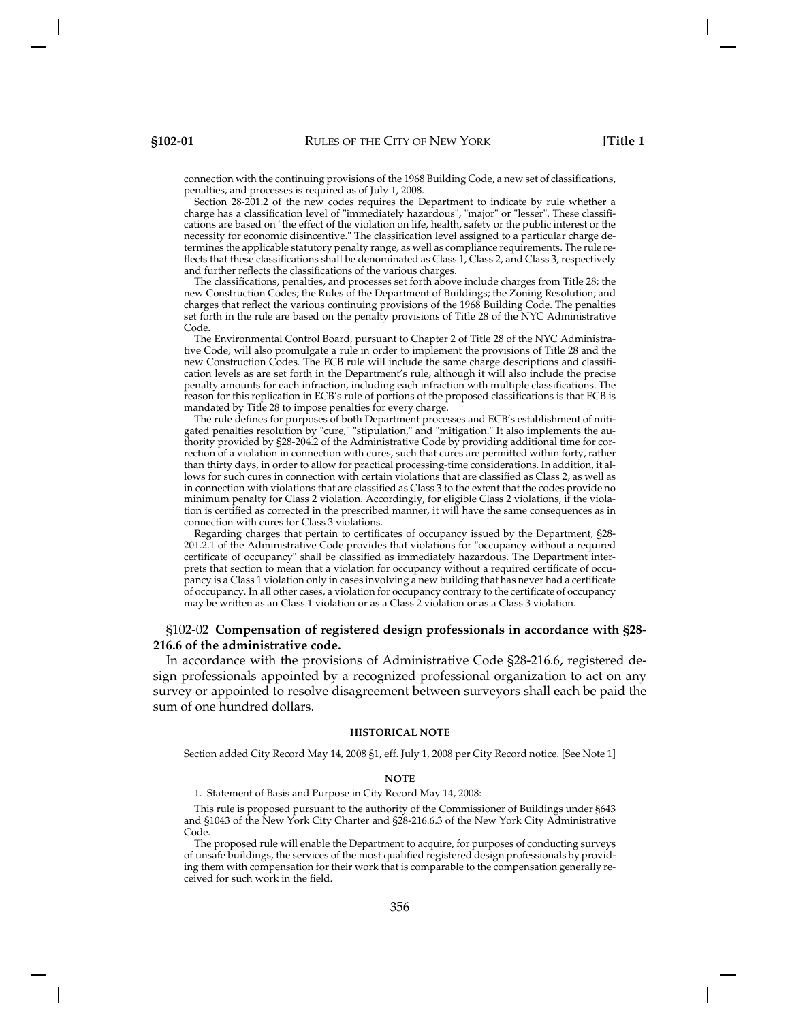connection with the continuing provisions of the 1968 Building Code, a new set of classifications, penalties, and processes is required as of July 1, 2008.

Section 28-201.2 of the new codes requires the Department to indicate by rule whether a charge has a classification level of "immediately hazardous", "major" or "lesser". These classifications are based on "the effect of the violation on life, health, safety or the public interest or the necessity for economic disincentive." The classification level assigned to a particular charge determines the applicable statutory penalty range, as well as compliance requirements. The rule reflects that these classifications shall be denominated as Class 1, Class 2, and Class 3, respectively and further reflects the classifications of the various charges.

The classifications, penalties, and processes set forth above include charges from Title 28; the new Construction Codes; the Rules of the Department of Buildings; the Zoning Resolution; and charges that reflect the various continuing provisions of the 1968 Building Code. The penalties set forth in the rule are based on the penalty provisions of Title 28 of the NYC Administrative Code.

The Environmental Control Board, pursuant to Chapter 2 of Title 28 of the NYC Administrative Code, will also promulgate a rule in order to implement the provisions of Title 28 and the new Construction Codes. The ECB rule will include the same charge descriptions and classification levels as are set forth in the Department's rule, although it will also include the precise penalty amounts for each infraction, including each infraction with multiple classifications. The reason for this replication in ECB's rule of portions of the proposed classifications is that ECB is mandated by Title 28 to impose penalties for every charge.

The rule defines for purposes of both Department processes and ECB's establishment of mitigated penalties resolution by "cure," "stipulation," and "mitigation." It also implements the authority provided by §28-204.2 of the Administrative Code by providing additional time for correction of a violation in connection with cures, such that cures are permitted within forty, rather than thirty days, in order to allow for practical processing-time considerations. In addition, it allows for such cures in connection with certain violations that are classified as Class 2, as well as in connection with violations that are classified as Class 3 to the extent that the codes provide no minimum penalty for Class 2 violation. Accordingly, for eligible Class 2 violations, if the violation is certified as corrected in the prescribed manner, it will have the same consequences as in connection with cures for Class 3 violations.

Regarding charges that pertain to certificates of occupancy issued by the Department, §28- 201.2.1 of the Administrative Code provides that violations for "occupancy without a required certificate of occupancy" shall be classified as immediately hazardous. The Department interprets that section to mean that a violation for occupancy without a required certificate of occupancy is a Class 1 violation only in cases involving a new building that has never had a certificate of occupancy. In all other cases, a violation for occupancy contrary to the certificate of occupancy may be written as an Class 1 violation or as a Class 2 violation or as a Class 3 violation.

# §102-02 **Compensation of registered design professionals in accordance with §28- 216.6 of the administrative code.**

In accordance with the provisions of Administrative Code §28-216.6, registered design professionals appointed by a recognized professional organization to act on any survey or appointed to resolve disagreement between surveyors shall each be paid the sum of one hundred dollars.

### **HISTORICAL NOTE**

Section added City Record May 14, 2008 §1, eff. July 1, 2008 per City Record notice. [See Note 1]

#### **NOTE**

1. Statement of Basis and Purpose in City Record May 14, 2008:

This rule is proposed pursuant to the authority of the Commissioner of Buildings under §643 and §1043 of the New York City Charter and §28-216.6.3 of the New York City Administrative Code.

The proposed rule will enable the Department to acquire, for purposes of conducting surveys of unsafe buildings, the services of the most qualified registered design professionals by providing them with compensation for their work that is comparable to the compensation generally received for such work in the field.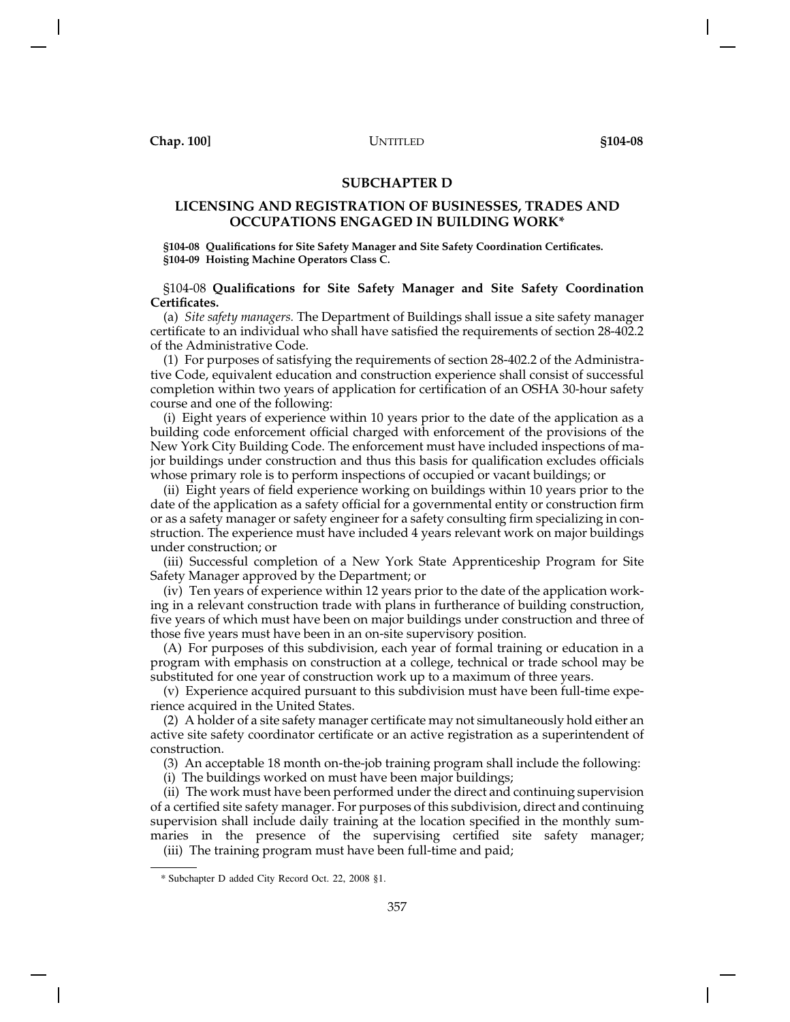# **SUBCHAPTER D**

# **LICENSING AND REGISTRATION OF BUSINESSES, TRADES AND OCCUPATIONS ENGAGED IN BUILDING WORK\***

**§104-08 Qualifications for Site Safety Manager and Site Safety Coordination Certificates. §104-09 Hoisting Machine Operators Class C.**

# §104-08 **Qualifications for Site Safety Manager and Site Safety Coordination Certificates.**

(a) *Site safety managers.* The Department of Buildings shall issue a site safety manager certificate to an individual who shall have satisfied the requirements of section 28-402.2 of the Administrative Code.

(1) For purposes of satisfying the requirements of section 28-402.2 of the Administrative Code, equivalent education and construction experience shall consist of successful completion within two years of application for certification of an OSHA 30-hour safety course and one of the following:

(i) Eight years of experience within 10 years prior to the date of the application as a building code enforcement official charged with enforcement of the provisions of the New York City Building Code. The enforcement must have included inspections of major buildings under construction and thus this basis for qualification excludes officials whose primary role is to perform inspections of occupied or vacant buildings; or

(ii) Eight years of field experience working on buildings within 10 years prior to the date of the application as a safety official for a governmental entity or construction firm or as a safety manager or safety engineer for a safety consulting firm specializing in construction. The experience must have included 4 years relevant work on major buildings under construction; or

(iii) Successful completion of a New York State Apprenticeship Program for Site Safety Manager approved by the Department; or

(iv) Ten years of experience within 12 years prior to the date of the application working in a relevant construction trade with plans in furtherance of building construction, five years of which must have been on major buildings under construction and three of those five years must have been in an on-site supervisory position.

(A) For purposes of this subdivision, each year of formal training or education in a program with emphasis on construction at a college, technical or trade school may be substituted for one year of construction work up to a maximum of three years.

(v) Experience acquired pursuant to this subdivision must have been full-time experience acquired in the United States.

(2) A holder of a site safety manager certificate may not simultaneously hold either an active site safety coordinator certificate or an active registration as a superintendent of construction.

(3) An acceptable 18 month on-the-job training program shall include the following:

(i) The buildings worked on must have been major buildings;

(ii) The work must have been performed under the direct and continuing supervision of a certified site safety manager. For purposes of this subdivision, direct and continuing supervision shall include daily training at the location specified in the monthly summaries in the presence of the supervising certified site safety manager;

(iii) The training program must have been full-time and paid;

<sup>\*</sup> Subchapter D added City Record Oct. 22, 2008 §1.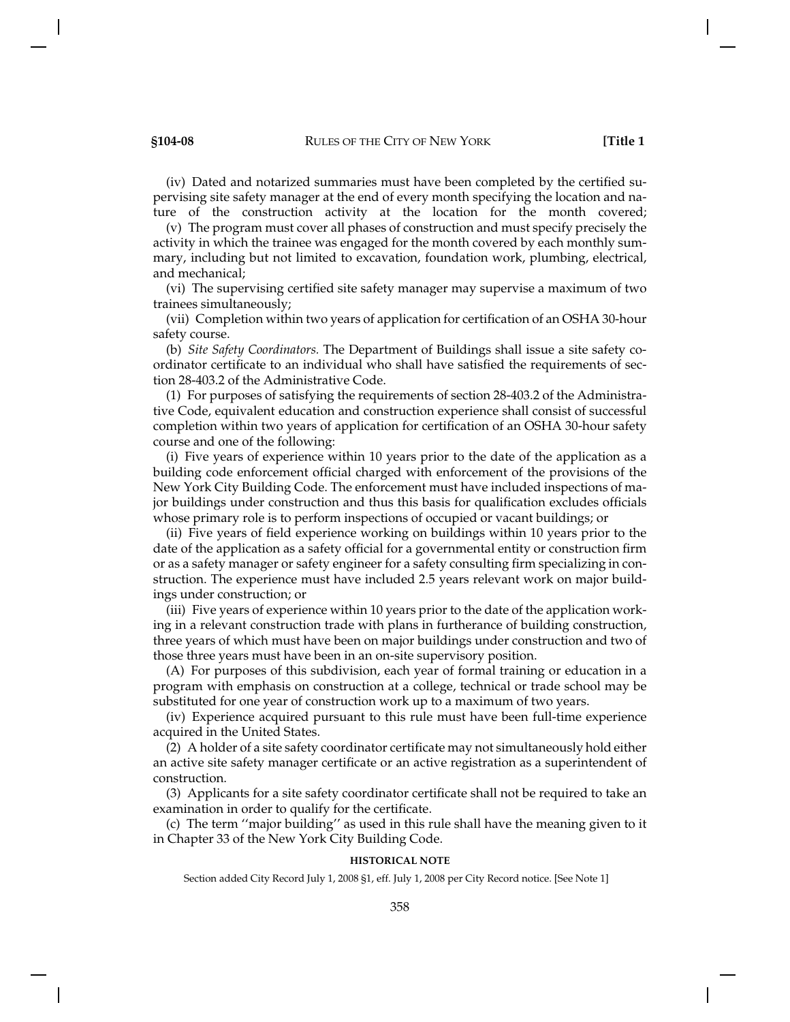(iv) Dated and notarized summaries must have been completed by the certified supervising site safety manager at the end of every month specifying the location and nature of the construction activity at the location for the month covered;

(v) The program must cover all phases of construction and must specify precisely the activity in which the trainee was engaged for the month covered by each monthly summary, including but not limited to excavation, foundation work, plumbing, electrical, and mechanical;

(vi) The supervising certified site safety manager may supervise a maximum of two trainees simultaneously;

(vii) Completion within two years of application for certification of an OSHA 30-hour safety course.

(b) *Site Safety Coordinators.* The Department of Buildings shall issue a site safety coordinator certificate to an individual who shall have satisfied the requirements of section 28-403.2 of the Administrative Code.

(1) For purposes of satisfying the requirements of section 28-403.2 of the Administrative Code, equivalent education and construction experience shall consist of successful completion within two years of application for certification of an OSHA 30-hour safety course and one of the following:

(i) Five years of experience within 10 years prior to the date of the application as a building code enforcement official charged with enforcement of the provisions of the New York City Building Code. The enforcement must have included inspections of major buildings under construction and thus this basis for qualification excludes officials whose primary role is to perform inspections of occupied or vacant buildings; or

(ii) Five years of field experience working on buildings within 10 years prior to the date of the application as a safety official for a governmental entity or construction firm or as a safety manager or safety engineer for a safety consulting firm specializing in construction. The experience must have included 2.5 years relevant work on major buildings under construction; or

(iii) Five years of experience within 10 years prior to the date of the application working in a relevant construction trade with plans in furtherance of building construction, three years of which must have been on major buildings under construction and two of those three years must have been in an on-site supervisory position.

(A) For purposes of this subdivision, each year of formal training or education in a program with emphasis on construction at a college, technical or trade school may be substituted for one year of construction work up to a maximum of two years.

(iv) Experience acquired pursuant to this rule must have been full-time experience acquired in the United States.

(2) A holder of a site safety coordinator certificate may not simultaneously hold either an active site safety manager certificate or an active registration as a superintendent of construction.

(3) Applicants for a site safety coordinator certificate shall not be required to take an examination in order to qualify for the certificate.

(c) The term ''major building'' as used in this rule shall have the meaning given to it in Chapter 33 of the New York City Building Code.

# **HISTORICAL NOTE**

Section added City Record July 1, 2008 §1, eff. July 1, 2008 per City Record notice. [See Note 1]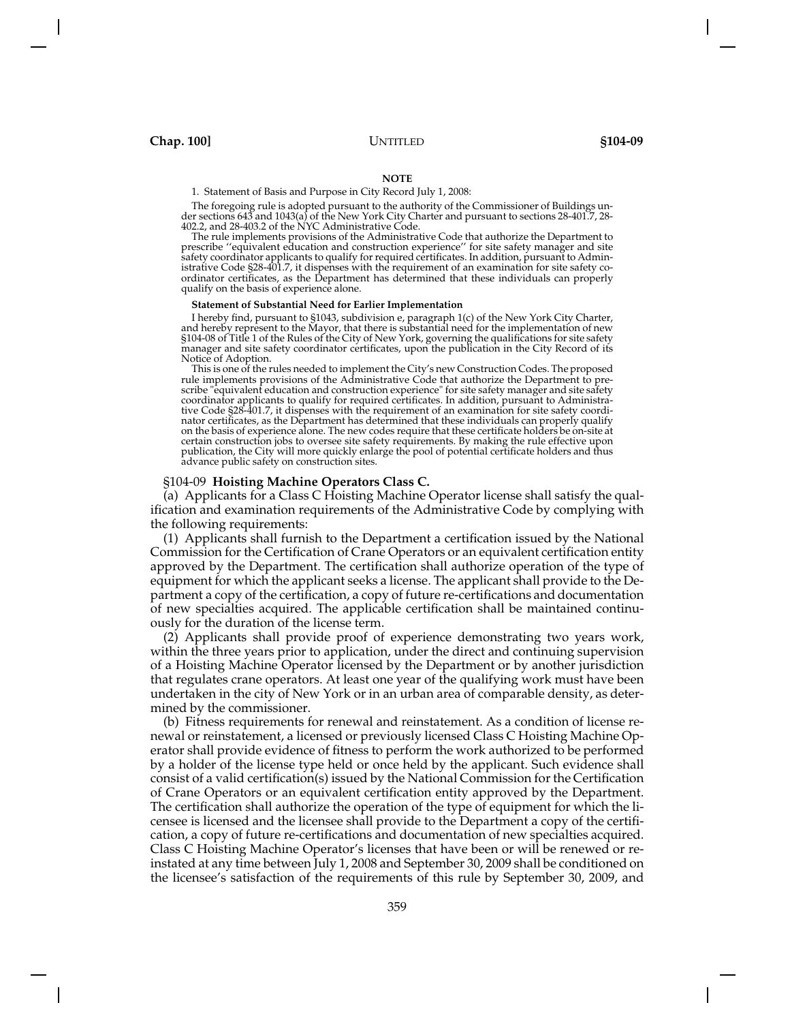### **NOTE**

1. Statement of Basis and Purpose in City Record July 1, 2008:

The foregoing rule is adopted pursuant to the authority of the Commissioner of Buildings under sections 643 and 1043(a) of the New York City Charter and pursuant to sections 28-401.7, 28- 402.2, and 28-403.2 of the NYC Administrative Code.

The rule implements provisions of the Administrative Code that authorize the Department to prescribe ''equivalent education and construction experience'' for site safety manager and site safety coordinator applicants to qualify for required certificates. In addition, pursuant to Admin-istrative Code §28-401.7, it dispenses with the requirement of an examination for site safety coordinator certificates, as the Department has determined that these individuals can properly qualify on the basis of experience alone.

#### **Statement of Substantial Need for Earlier Implementation**

I hereby find, pursuant to §1043, subdivision e, paragraph 1(c) of the New York City Charter, and hereby represent to the Mayor, that there is substantial need for the implementation of new<br>§104-08 of Title 1 of the Rules of the City of New York, governing the qualifications for site safety<br>manager and site safety Notice of Adoption.<br>This is one of the rules needed to implement the City's new Construction Codes. The proposed

rule implements provisions of the Administrative Code that authorize the Department to prescribe "equivalent education and construction experience" for site safety manager and site safety coordinator applicants to qualify for required certificates. In addition, pursuant to Administra-tive Code §28-401.7, it dispenses with the requirement of an examination for site safety coordinator certificates, as the Department has determined that these individuals can properly qualify on the basis of experience alone. The new codes require that these certificate holders be on-site at certain construction jobs to oversee site safety requirements. By making the rule effective upon publication, the City will more quickly enlarge the pool of potential certificate holders and thus advance public safety on construction sites.

### §104-09 **Hoisting Machine Operators Class C.**

(a) Applicants for a Class C Hoisting Machine Operator license shall satisfy the qualification and examination requirements of the Administrative Code by complying with the following requirements:

(1) Applicants shall furnish to the Department a certification issued by the National Commission for the Certification of Crane Operators or an equivalent certification entity approved by the Department. The certification shall authorize operation of the type of equipment for which the applicant seeks a license. The applicant shall provide to the Department a copy of the certification, a copy of future re-certifications and documentation of new specialties acquired. The applicable certification shall be maintained continuously for the duration of the license term.

(2) Applicants shall provide proof of experience demonstrating two years work, within the three years prior to application, under the direct and continuing supervision of a Hoisting Machine Operator licensed by the Department or by another jurisdiction that regulates crane operators. At least one year of the qualifying work must have been undertaken in the city of New York or in an urban area of comparable density, as determined by the commissioner.

(b) Fitness requirements for renewal and reinstatement. As a condition of license renewal or reinstatement, a licensed or previously licensed Class C Hoisting Machine Operator shall provide evidence of fitness to perform the work authorized to be performed by a holder of the license type held or once held by the applicant. Such evidence shall consist of a valid certification(s) issued by the National Commission for the Certification of Crane Operators or an equivalent certification entity approved by the Department. The certification shall authorize the operation of the type of equipment for which the licensee is licensed and the licensee shall provide to the Department a copy of the certification, a copy of future re-certifications and documentation of new specialties acquired. Class C Hoisting Machine Operator's licenses that have been or will be renewed or reinstated at any time between July 1, 2008 and September 30, 2009 shall be conditioned on the licensee's satisfaction of the requirements of this rule by September 30, 2009, and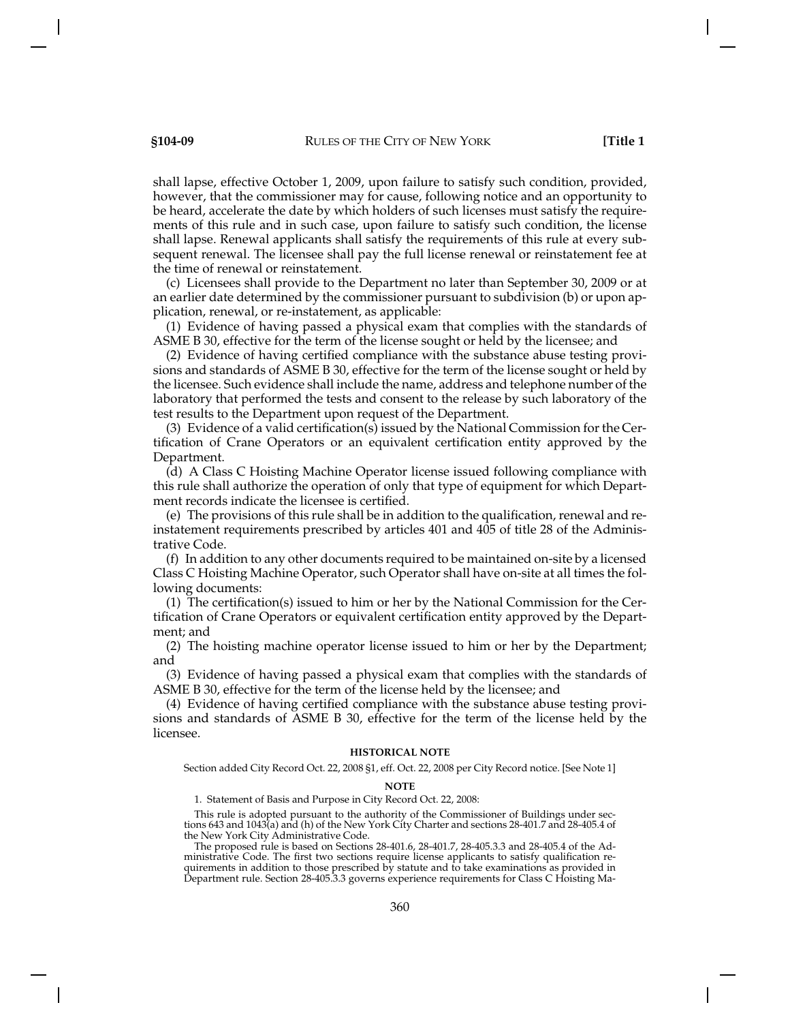shall lapse, effective October 1, 2009, upon failure to satisfy such condition, provided, however, that the commissioner may for cause, following notice and an opportunity to be heard, accelerate the date by which holders of such licenses must satisfy the requirements of this rule and in such case, upon failure to satisfy such condition, the license shall lapse. Renewal applicants shall satisfy the requirements of this rule at every subsequent renewal. The licensee shall pay the full license renewal or reinstatement fee at the time of renewal or reinstatement.

(c) Licensees shall provide to the Department no later than September 30, 2009 or at an earlier date determined by the commissioner pursuant to subdivision (b) or upon application, renewal, or re-instatement, as applicable:

(1) Evidence of having passed a physical exam that complies with the standards of ASME B 30, effective for the term of the license sought or held by the licensee; and

(2) Evidence of having certified compliance with the substance abuse testing provisions and standards of ASME B 30, effective for the term of the license sought or held by the licensee. Such evidence shall include the name, address and telephone number of the laboratory that performed the tests and consent to the release by such laboratory of the test results to the Department upon request of the Department.

(3) Evidence of a valid certification(s) issued by the National Commission for the Certification of Crane Operators or an equivalent certification entity approved by the Department.

(d) A Class C Hoisting Machine Operator license issued following compliance with this rule shall authorize the operation of only that type of equipment for which Department records indicate the licensee is certified.

(e) The provisions of this rule shall be in addition to the qualification, renewal and reinstatement requirements prescribed by articles 401 and 405 of title 28 of the Administrative Code.

(f) In addition to any other documents required to be maintained on-site by a licensed Class C Hoisting Machine Operator, such Operator shall have on-site at all times the following documents:

(1) The certification(s) issued to him or her by the National Commission for the Certification of Crane Operators or equivalent certification entity approved by the Department; and

(2) The hoisting machine operator license issued to him or her by the Department; and

(3) Evidence of having passed a physical exam that complies with the standards of ASME B 30, effective for the term of the license held by the licensee; and

(4) Evidence of having certified compliance with the substance abuse testing provisions and standards of ASME B 30, effective for the term of the license held by the licensee.

## **HISTORICAL NOTE**

Section added City Record Oct. 22, 2008 §1, eff. Oct. 22, 2008 per City Record notice. [See Note 1]

### **NOTE**

1. Statement of Basis and Purpose in City Record Oct. 22, 2008:

This rule is adopted pursuant to the authority of the Commissioner of Buildings under sections 643 and 1043(a) and (h) of the New York City Charter and sections 28-401.7 and 28-405.4 of the New York City Administrative Code.

The proposed rule is based on Sections 28-401.6, 28-401.7, 28-405.3.3 and 28-405.4 of the Administrative Code. The first two sections require license applicants to satisfy qualification requirements in addition to those prescribed by statute and to take examinations as provided in Department rule. Section 28-405.3.3 governs experience requirements for Class C Hoisting Ma